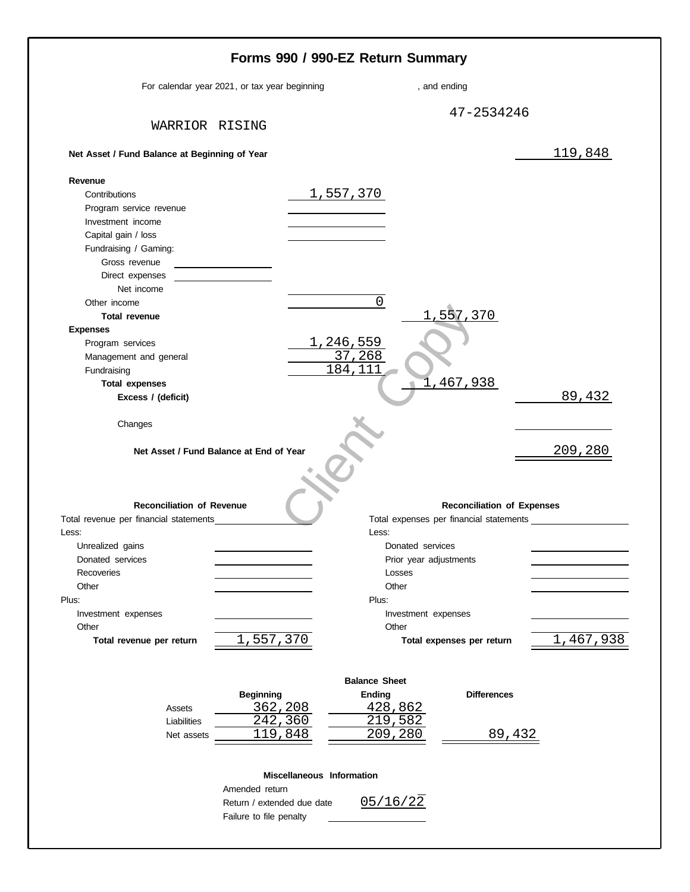|                                                                            | For calendar year 2021, or tax year beginning | , and ending                                                                 |           |
|----------------------------------------------------------------------------|-----------------------------------------------|------------------------------------------------------------------------------|-----------|
|                                                                            |                                               | 47-2534246                                                                   |           |
| WARRIOR RISING                                                             |                                               |                                                                              |           |
| Net Asset / Fund Balance at Beginning of Year                              |                                               |                                                                              | 119,848   |
| Revenue                                                                    |                                               |                                                                              |           |
| Contributions                                                              |                                               | <u>1,557,370</u>                                                             |           |
| Program service revenue                                                    |                                               |                                                                              |           |
| Investment income                                                          |                                               |                                                                              |           |
| Capital gain / loss                                                        |                                               |                                                                              |           |
| Fundraising / Gaming:                                                      |                                               |                                                                              |           |
| Gross revenue                                                              |                                               |                                                                              |           |
| Direct expenses<br>Net income                                              |                                               |                                                                              |           |
| Other income                                                               |                                               | 0                                                                            |           |
| Total revenue                                                              |                                               | 1,557,370                                                                    |           |
| <b>Expenses</b>                                                            |                                               |                                                                              |           |
| Program services                                                           |                                               | <u>1,246,559</u>                                                             |           |
| Management and general                                                     |                                               | 37,268                                                                       |           |
| Fundraising                                                                |                                               | 184, 111                                                                     |           |
| <b>Total expenses</b>                                                      |                                               | 467,938                                                                      |           |
| Excess / (deficit)                                                         |                                               |                                                                              | 89,432    |
| Changes                                                                    |                                               |                                                                              |           |
|                                                                            |                                               |                                                                              |           |
|                                                                            | Net Asset / Fund Balance at End of Year       |                                                                              | 209,280   |
|                                                                            |                                               |                                                                              |           |
| <b>Reconciliation of Revenue</b><br>Total revenue per financial statements |                                               | <b>Reconciliation of Expenses</b><br>Total expenses per financial statements |           |
| Less:                                                                      |                                               | Less:                                                                        |           |
| Unrealized gains                                                           |                                               | Donated services                                                             |           |
| Donated services                                                           |                                               | Prior year adjustments                                                       |           |
| Recoveries                                                                 |                                               | Losses                                                                       |           |
| Other                                                                      |                                               | Other                                                                        |           |
|                                                                            |                                               | Plus:                                                                        |           |
| Investment expenses<br>Other                                               |                                               | Investment expenses<br>Other                                                 |           |
| Total revenue per return                                                   | 1,557,370                                     | Total expenses per return                                                    | 1,467,938 |
|                                                                            |                                               |                                                                              |           |
|                                                                            |                                               | <b>Balance Sheet</b><br><b>Differences</b>                                   |           |
| Assets                                                                     | <b>Beginning</b>                              | <b>Ending</b>                                                                |           |
| Liabilities                                                                | <u>362,208</u><br>242,360                     | 428,862<br>219,582                                                           |           |
| Net assets                                                                 | 119,848                                       | 209,280<br>89,432                                                            |           |
|                                                                            |                                               |                                                                              |           |
|                                                                            | Miscellaneous Information                     |                                                                              |           |
|                                                                            | Amended return                                |                                                                              |           |
| Plus:                                                                      | Return / extended due date                    | 05/16/22                                                                     |           |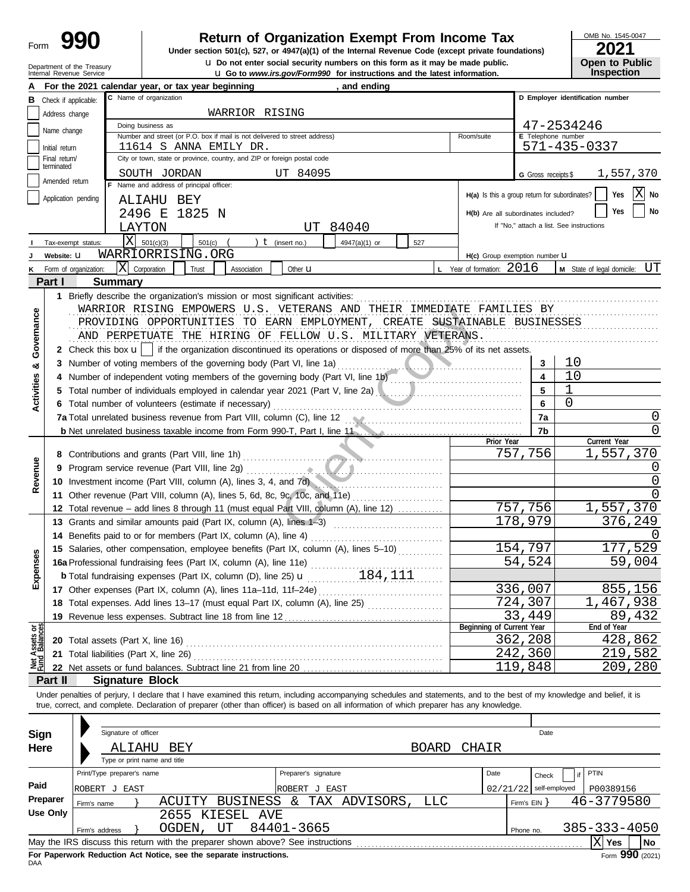| Form |  |  |
|------|--|--|
|      |  |  |

### **Return of Organization Exempt From Income Tax**

**u** Do not enter social security numbers on this form as it may be made public.<br> **Open to Public**  $\frac{1}{2}$  Co. to Public Contract on Public Line is public. **Under section 501(c), 527, or 4947(a)(1) of the Internal Revenue Code (except private foundations)** OMB No. 1545-0047

| ZUZ I                 |
|-----------------------|
| <b>Open to Public</b> |
| <b>Inspection</b>     |

|                           | Department of the Treasury<br>Internal Revenue Service |                                                                          | <b>U.</b> Do not enter social security numbers on this form as it may be made public.<br><b>u</b> Go to www.irs.gov/Form990 for instructions and the latest information.                                                                                                                                                 |                      |                                               |                                    | <b>Open to Public</b><br><b>Inspection</b> |  |  |
|---------------------------|--------------------------------------------------------|--------------------------------------------------------------------------|--------------------------------------------------------------------------------------------------------------------------------------------------------------------------------------------------------------------------------------------------------------------------------------------------------------------------|----------------------|-----------------------------------------------|------------------------------------|--------------------------------------------|--|--|
|                           |                                                        |                                                                          | For the 2021 calendar year, or tax year beginning                                                                                                                                                                                                                                                                        | , and ending         |                                               |                                    |                                            |  |  |
| в                         | Check if applicable:                                   |                                                                          | C Name of organization                                                                                                                                                                                                                                                                                                   |                      |                                               |                                    | D Employer identification number           |  |  |
|                           | Address change                                         |                                                                          | WARRIOR RISING                                                                                                                                                                                                                                                                                                           |                      |                                               |                                    |                                            |  |  |
|                           | Name change                                            |                                                                          | Doing business as                                                                                                                                                                                                                                                                                                        |                      |                                               |                                    | 47-2534246                                 |  |  |
|                           |                                                        |                                                                          | Number and street (or P.O. box if mail is not delivered to street address)<br>11614 S ANNA EMILY DR.                                                                                                                                                                                                                     |                      | Room/suite                                    | E Telephone number<br>571-435-0337 |                                            |  |  |
|                           | Initial return<br>Final return/                        | City or town, state or province, country, and ZIP or foreign postal code |                                                                                                                                                                                                                                                                                                                          |                      |                                               |                                    |                                            |  |  |
|                           | terminated                                             |                                                                          |                                                                                                                                                                                                                                                                                                                          |                      |                                               |                                    |                                            |  |  |
|                           | Amended return                                         |                                                                          | SOUTH JORDAN<br>UT 84095<br>F Name and address of principal officer:                                                                                                                                                                                                                                                     |                      |                                               | <b>G</b> Gross receipts \$         | 1,557,370                                  |  |  |
|                           | Application pending                                    |                                                                          | ALIAHU BEY                                                                                                                                                                                                                                                                                                               |                      | H(a) Is this a group return for subordinates? |                                    | X No<br>Yes                                |  |  |
|                           |                                                        |                                                                          | 2496 E 1825 N                                                                                                                                                                                                                                                                                                            |                      | H(b) Are all subordinates included?           |                                    | Yes<br>No                                  |  |  |
|                           |                                                        |                                                                          | 84040<br>LAYTON<br>UT                                                                                                                                                                                                                                                                                                    |                      |                                               |                                    | If "No," attach a list. See instructions   |  |  |
|                           | Tax-exempt status:                                     | X                                                                        | 501(c)(3)<br>501(c)<br>$t$ (insert no.)                                                                                                                                                                                                                                                                                  | 4947(a)(1) or<br>527 |                                               |                                    |                                            |  |  |
|                           | Website: U                                             |                                                                          | WARRIORRISING.ORG                                                                                                                                                                                                                                                                                                        |                      | H(c) Group exemption number U                 |                                    |                                            |  |  |
|                           | Form of organization:                                  |                                                                          | X Corporation<br>Trust<br>Association<br>Other <b>u</b>                                                                                                                                                                                                                                                                  |                      | <b>L</b> Year of formation: $2016$            |                                    | UT<br>M State of legal domicile:           |  |  |
|                           | Part I                                                 | <b>Summary</b>                                                           |                                                                                                                                                                                                                                                                                                                          |                      |                                               |                                    |                                            |  |  |
|                           |                                                        |                                                                          | 1 Briefly describe the organization's mission or most significant activities:                                                                                                                                                                                                                                            |                      |                                               |                                    |                                            |  |  |
|                           |                                                        |                                                                          | WARRIOR RISING EMPOWERS U.S. VETERANS AND THEIR IMMEDIATE FAMILIES BY                                                                                                                                                                                                                                                    |                      |                                               |                                    |                                            |  |  |
| Governance                |                                                        |                                                                          | PROVIDING OPPORTUNITIES TO EARN EMPLOYMENT, CREATE SUSTAINABLE BUSINESSES                                                                                                                                                                                                                                                |                      |                                               |                                    |                                            |  |  |
|                           |                                                        |                                                                          | AND PERPETUATE THE HIRING OF FELLOW U.S. MILITARY VETERANS.                                                                                                                                                                                                                                                              |                      |                                               |                                    |                                            |  |  |
|                           |                                                        |                                                                          | 2 Check this box $\mathbf{u}$   if the organization discontinued its operations or disposed of more than 25% of its net assets.                                                                                                                                                                                          |                      |                                               |                                    |                                            |  |  |
|                           |                                                        |                                                                          | 3 Number of voting members of the governing body (Part VI, line 1a)                                                                                                                                                                                                                                                      | المستكسيات           |                                               | 3                                  | 10                                         |  |  |
| න්                        |                                                        |                                                                          | 4 Number of independent voting members of the governing body (Part VI, line 1b)                                                                                                                                                                                                                                          |                      |                                               | 4                                  | 10                                         |  |  |
| Activities                |                                                        |                                                                          | 5 Total number of individuals employed in calendar year 2021 (Part V, line 2a)                                                                                                                                                                                                                                           |                      |                                               | 5                                  | 1                                          |  |  |
|                           |                                                        |                                                                          | 6 Total number of volunteers (estimate if necessary)                                                                                                                                                                                                                                                                     |                      |                                               | 6                                  | 0                                          |  |  |
|                           |                                                        |                                                                          |                                                                                                                                                                                                                                                                                                                          |                      |                                               | 7a                                 | 0                                          |  |  |
|                           |                                                        |                                                                          | <b>b</b> Net unrelated business taxable income from Form 990-T, Part I, line 11 <b>Common Constant Constant Constant Part</b>                                                                                                                                                                                            |                      |                                               | 7b                                 | O                                          |  |  |
|                           |                                                        |                                                                          |                                                                                                                                                                                                                                                                                                                          |                      | Prior Year                                    |                                    | Current Year                               |  |  |
|                           |                                                        |                                                                          |                                                                                                                                                                                                                                                                                                                          |                      |                                               | 757,756                            | 1,557,370                                  |  |  |
| Revenue                   |                                                        |                                                                          |                                                                                                                                                                                                                                                                                                                          |                      |                                               |                                    |                                            |  |  |
|                           |                                                        |                                                                          | 10 Investment income (Part VIII, column (A), lines 3, 4, and 7d)                                                                                                                                                                                                                                                         |                      |                                               |                                    | 0                                          |  |  |
|                           |                                                        |                                                                          | 11 Other revenue (Part VIII, column (A), lines 5, 6d, 8c, 9c, 10c, and 11e)                                                                                                                                                                                                                                              |                      |                                               |                                    | <sup>0</sup>                               |  |  |
|                           |                                                        |                                                                          | 12 Total revenue - add lines 8 through 11 (must equal Part VIII, column (A), line 12)                                                                                                                                                                                                                                    |                      |                                               | 757,756                            | 1,557,370                                  |  |  |
|                           |                                                        |                                                                          | 13 Grants and similar amounts paid (Part IX, column (A), lines 1-3)                                                                                                                                                                                                                                                      |                      |                                               | 178,979                            | 376,249                                    |  |  |
|                           |                                                        |                                                                          | 14 Benefits paid to or for members (Part IX, column (A), line 4)                                                                                                                                                                                                                                                         |                      |                                               |                                    | $\left( \right)$                           |  |  |
|                           |                                                        |                                                                          | 15 Salaries, other compensation, employee benefits (Part IX, column (A), lines 5-10)                                                                                                                                                                                                                                     |                      |                                               | 154,797                            | 177,529                                    |  |  |
| <b>Ses</b>                |                                                        |                                                                          | 16a Professional fundraising fees (Part IX, column (A), line 11e)                                                                                                                                                                                                                                                        |                      |                                               | 54,524                             | 59,004                                     |  |  |
| Exper                     |                                                        |                                                                          | <b>b</b> Total fundraising expenses (Part IX, column (D), line 25) $\mathbf{u}$ 184, 111                                                                                                                                                                                                                                 |                      |                                               |                                    |                                            |  |  |
|                           |                                                        |                                                                          |                                                                                                                                                                                                                                                                                                                          |                      |                                               | 336,007                            | 855,156                                    |  |  |
|                           |                                                        |                                                                          | 18 Total expenses. Add lines 13-17 (must equal Part IX, column (A), line 25)                                                                                                                                                                                                                                             |                      |                                               | 724,307                            | 1,467,938                                  |  |  |
|                           |                                                        |                                                                          |                                                                                                                                                                                                                                                                                                                          |                      |                                               | 33,449                             | 89,432                                     |  |  |
| t Assets or<br>d Balances |                                                        |                                                                          |                                                                                                                                                                                                                                                                                                                          |                      | Beginning of Current Year                     |                                    | End of Year                                |  |  |
|                           |                                                        |                                                                          |                                                                                                                                                                                                                                                                                                                          |                      |                                               | 362,208                            | 428,862                                    |  |  |
| 꽱                         |                                                        |                                                                          |                                                                                                                                                                                                                                                                                                                          |                      |                                               | 242,360                            | 219,582                                    |  |  |
|                           |                                                        |                                                                          |                                                                                                                                                                                                                                                                                                                          |                      |                                               | $\overline{1}$ 19,848              | 209,280                                    |  |  |
|                           | Part II                                                |                                                                          | <b>Signature Block</b>                                                                                                                                                                                                                                                                                                   |                      |                                               |                                    |                                            |  |  |
|                           |                                                        |                                                                          | Under penalties of perjury, I declare that I have examined this return, including accompanying schedules and statements, and to the best of my knowledge and belief, it is<br>true, correct, and complete. Declaration of preparer (other than officer) is based on all information of which preparer has any knowledge. |                      |                                               |                                    |                                            |  |  |
|                           |                                                        |                                                                          |                                                                                                                                                                                                                                                                                                                          |                      |                                               |                                    |                                            |  |  |
|                           |                                                        | Signature of officer                                                     |                                                                                                                                                                                                                                                                                                                          |                      |                                               | Date                               |                                            |  |  |
| Sign                      |                                                        |                                                                          |                                                                                                                                                                                                                                                                                                                          | <b>BOARD</b>         | <b>CHAIR</b>                                  |                                    |                                            |  |  |
| Here                      |                                                        |                                                                          | BEY<br>ALIAHU<br>Type or print name and title                                                                                                                                                                                                                                                                            |                      |                                               |                                    |                                            |  |  |
|                           |                                                        | Print/Type preparer's name                                               | Preparer's signature                                                                                                                                                                                                                                                                                                     |                      | Date                                          |                                    | PTIN                                       |  |  |
| Paid                      |                                                        |                                                                          |                                                                                                                                                                                                                                                                                                                          |                      |                                               | Check                              |                                            |  |  |
|                           | Preparer                                               | ROBERT J EAST                                                            | ROBERT J EAST<br>ACUITY BUSINESS & TAX ADVISORS,                                                                                                                                                                                                                                                                         | <b>LLC</b>           | 02/21/22                                      | self-employed                      | P00389156                                  |  |  |
|                           | <b>Use Only</b>                                        | Firm's name                                                              | 2655 KIESEL AVE                                                                                                                                                                                                                                                                                                          |                      |                                               | Firm's $EIN$ }                     | 46-3779580                                 |  |  |
|                           |                                                        |                                                                          | 84401-3665<br>OGDEN, UT                                                                                                                                                                                                                                                                                                  |                      |                                               |                                    | $385 - 333 - 4050$                         |  |  |
|                           |                                                        | Firm's address                                                           | May the IRS discuss this return with the preparer shown above? See instructions [11] May the IRS discuss this return with the preparer shown above? See instructions                                                                                                                                                     |                      |                                               | Phone no.                          | $ \mathbf{X} $ Yes<br>No                   |  |  |
|                           |                                                        |                                                                          |                                                                                                                                                                                                                                                                                                                          |                      |                                               |                                    |                                            |  |  |

| Sign     |                | Signature of officer         |                                                                                 |    |            |               |                      |              |              |       |                                       | Date         |  |            |                    |
|----------|----------------|------------------------------|---------------------------------------------------------------------------------|----|------------|---------------|----------------------|--------------|--------------|-------|---------------------------------------|--------------|--|------------|--------------------|
| Here     |                | ALIAHU                       | BEY                                                                             |    |            |               |                      |              | <b>BOARD</b> | CHAIR |                                       |              |  |            |                    |
|          |                | Type or print name and title |                                                                                 |    |            |               |                      |              |              |       |                                       |              |  |            |                    |
|          |                | Print/Type preparer's name   |                                                                                 |    |            |               | Preparer's signature |              |              | Date  |                                       | Check        |  | PTIN       |                    |
| Paid     | ROBERT J EAST  |                              |                                                                                 |    |            | ROBERT J EAST |                      |              |              |       | $02/21/22$ self-employed<br>P00389156 |              |  |            |                    |
| Preparer | Firm's name    |                              | ACUITY BUSINESS &                                                               |    |            |               |                      | TAX ADVISORS | LLC          |       |                                       | Firm's $EIN$ |  | 46-3779580 |                    |
| Use Only |                |                              | 2655 KIESEL AVE                                                                 |    |            |               |                      |              |              |       |                                       |              |  |            |                    |
|          | Firm's address |                              | OGDEN,                                                                          | UΤ | 84401-3665 |               |                      |              |              |       | Phone no.                             |              |  |            | $385 - 333 - 4050$ |
|          |                |                              | May the IRS discuss this return with the preparer shown above? See instructions |    |            |               |                      |              |              |       |                                       |              |  | <b>Yes</b> | l No               |
|          |                |                              | Fax Bananceal: Badriettan, Ant Nation, and the accession instruments            |    |            |               |                      |              |              |       |                                       |              |  |            | nnn.               |

**For Paperwork Reduction Act Notice, see the separate instructions.**<br>DAA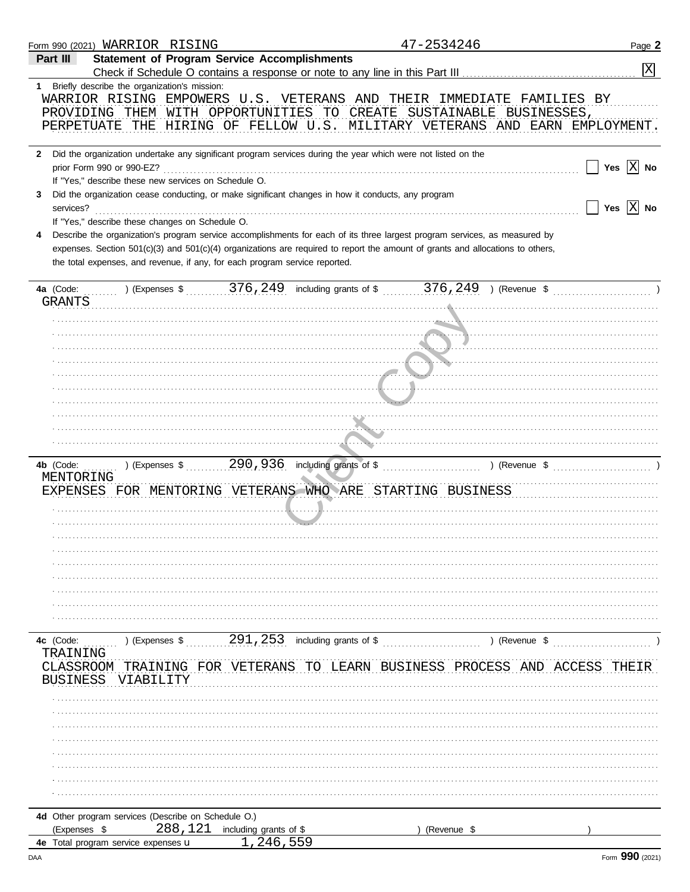| Form 990 (2021) WARRIOR RISING                                                                                                                                                                                                        | 47-2534246                                                                                                                                                                                                                                                                                                                                                                                                                                                                           | Page 2                                         |
|---------------------------------------------------------------------------------------------------------------------------------------------------------------------------------------------------------------------------------------|--------------------------------------------------------------------------------------------------------------------------------------------------------------------------------------------------------------------------------------------------------------------------------------------------------------------------------------------------------------------------------------------------------------------------------------------------------------------------------------|------------------------------------------------|
| Part III                                                                                                                                                                                                                              | <b>Statement of Program Service Accomplishments</b><br>Check if Schedule O contains a response or note to any line in this Part III [11] [11] [11] [11] [11] [11] [1                                                                                                                                                                                                                                                                                                                 | $\mathbf{X}$                                   |
| 1 Briefly describe the organization's mission:                                                                                                                                                                                        | WARRIOR RISING EMPOWERS U.S. VETERANS AND THEIR IMMEDIATE FAMILIES BY<br>PROVIDING THEM WITH OPPORTUNITIES TO CREATE SUSTAINABLE BUSINESSES,<br>PERPETUATE THE HIRING OF FELLOW U.S. MILITARY VETERANS AND EARN EMPLOYMENT.                                                                                                                                                                                                                                                          |                                                |
| prior Form 990 or 990-EZ?<br>If "Yes," describe these new services on Schedule O.<br>3<br>services?<br>If "Yes," describe these changes on Schedule O.<br>the total expenses, and revenue, if any, for each program service reported. | 2 Did the organization undertake any significant program services during the year which were not listed on the<br>Did the organization cease conducting, or make significant changes in how it conducts, any program<br>Describe the organization's program service accomplishments for each of its three largest program services, as measured by<br>expenses. Section 501(c)(3) and 501(c)(4) organizations are required to report the amount of grants and allocations to others, | Yes $\overline{X}$ No<br>Yes $\overline{X}$ No |
| 4a (Code:<br><b>GRANTS</b>                                                                                                                                                                                                            | ) (Expenses \$ 376, 249 including grants of \$ 376, 249 ) (Revenue \$ 1                                                                                                                                                                                                                                                                                                                                                                                                              |                                                |
| 4b (Code:<br>MENTORING                                                                                                                                                                                                                | EXPENSES FOR MENTORING VETERANS WHO ARE STARTING BUSINESS                                                                                                                                                                                                                                                                                                                                                                                                                            |                                                |
| 4c (Code:<br>) (Expenses \$<br>TRAINING<br>CLASSROOM<br>BUSINESS<br>VIABILITY                                                                                                                                                         | 291,253<br>including grants of \$<br>) (Revenue \$<br>TRAINING FOR VETERANS TO LEARN BUSINESS PROCESS AND ACCESS                                                                                                                                                                                                                                                                                                                                                                     | THEIR                                          |
| 4d Other program services (Describe on Schedule O.)<br>288,121<br>(Expenses \$                                                                                                                                                        | including grants of \$<br>(Revenue \$                                                                                                                                                                                                                                                                                                                                                                                                                                                |                                                |
| 4e Total program service expenses u                                                                                                                                                                                                   | , 246, 559                                                                                                                                                                                                                                                                                                                                                                                                                                                                           |                                                |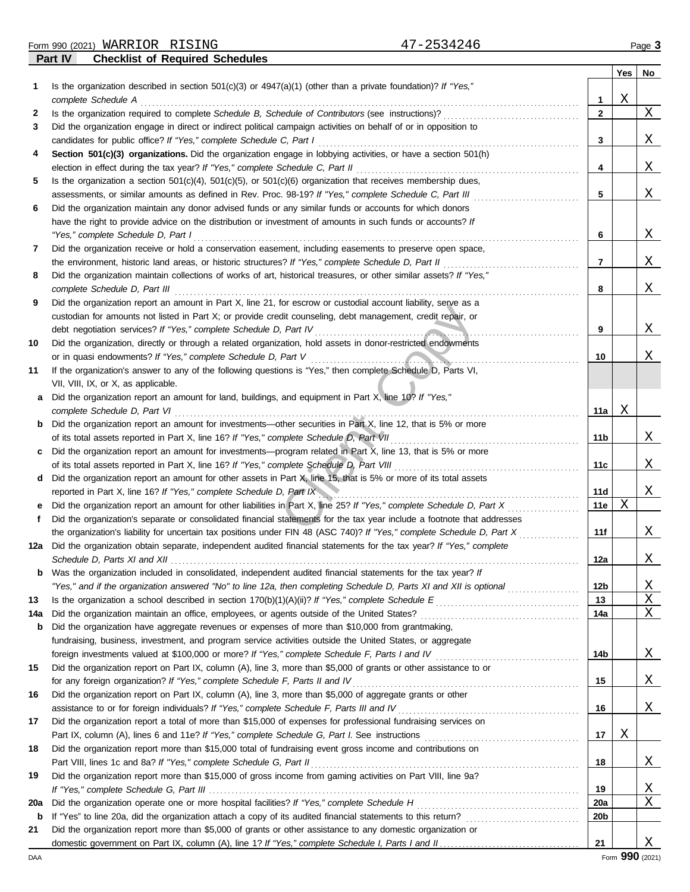Form 990 (2021) Page **3** WARRIOR RISING 47-2534246

**Part IV Checklist of Required Schedules**

|              |                                                                                                                                                                                                           |              | Yes | No       |
|--------------|-----------------------------------------------------------------------------------------------------------------------------------------------------------------------------------------------------------|--------------|-----|----------|
| 1            | Is the organization described in section $501(c)(3)$ or $4947(a)(1)$ (other than a private foundation)? If "Yes,"<br>complete Schedule A                                                                  | 1            | Χ   |          |
| 2            | Is the organization required to complete Schedule B, Schedule of Contributors (see instructions)?                                                                                                         | $\mathbf{2}$ |     | Χ        |
| 3            | Did the organization engage in direct or indirect political campaign activities on behalf of or in opposition to                                                                                          |              |     |          |
|              | candidates for public office? If "Yes," complete Schedule C, Part I                                                                                                                                       | 3            |     | Χ        |
| 4            | Section 501(c)(3) organizations. Did the organization engage in lobbying activities, or have a section 501(h)<br>election in effect during the tax year? If "Yes," complete Schedule C, Part II           | 4            |     | Χ        |
| 5            | Is the organization a section $501(c)(4)$ , $501(c)(5)$ , or $501(c)(6)$ organization that receives membership dues,                                                                                      |              |     |          |
|              | assessments, or similar amounts as defined in Rev. Proc. 98-19? If "Yes," complete Schedule C, Part III                                                                                                   | 5            |     | Χ        |
| 6            | Did the organization maintain any donor advised funds or any similar funds or accounts for which donors                                                                                                   |              |     |          |
|              | have the right to provide advice on the distribution or investment of amounts in such funds or accounts? If                                                                                               |              |     |          |
|              | "Yes," complete Schedule D, Part I                                                                                                                                                                        | 6            |     | Χ        |
| 7            | Did the organization receive or hold a conservation easement, including easements to preserve open space,                                                                                                 |              |     |          |
|              | the environment, historic land areas, or historic structures? If "Yes," complete Schedule D, Part II                                                                                                      | 7            |     | Χ        |
| 8            | Did the organization maintain collections of works of art, historical treasures, or other similar assets? If "Yes,"<br>complete Schedule D, Part III                                                      | 8            |     | Χ        |
| 9            | Did the organization report an amount in Part X, line 21, for escrow or custodial account liability, serve as a                                                                                           |              |     |          |
|              | custodian for amounts not listed in Part X; or provide credit counseling, debt management, credit repair, or                                                                                              |              |     |          |
|              | debt negotiation services? If "Yes," complete Schedule D, Part IV                                                                                                                                         | 9            |     | Χ        |
| 10           | Did the organization, directly or through a related organization, hold assets in donor-restricted endowments                                                                                              |              |     |          |
|              | or in quasi endowments? If "Yes," complete Schedule D, Part V                                                                                                                                             | 10           |     | Χ        |
| 11           | If the organization's answer to any of the following questions is "Yes," then complete Schedule D, Parts VI,                                                                                              |              |     |          |
|              | VII, VIII, IX, or X, as applicable.                                                                                                                                                                       |              |     |          |
| a            | Did the organization report an amount for land, buildings, and equipment in Part X, line 10? If "Yes,"                                                                                                    |              |     |          |
|              | complete Schedule D, Part VI                                                                                                                                                                              | 11a          | Χ   |          |
| $\mathbf{b}$ | Did the organization report an amount for investments—other securities in Part X, line 12, that is 5% or more                                                                                             |              |     |          |
|              | of its total assets reported in Part X, line 16? If "Yes," complete Schedule D, Part VII                                                                                                                  | 11b          |     | Χ        |
| c            | Did the organization report an amount for investments—program related in Part X, line 13, that is 5% or more<br>of its total assets reported in Part X, line 16? If "Yes," complete Schedule D, Part VIII | 11c          |     | Χ        |
| d            | Did the organization report an amount for other assets in Part X, line 15, that is 5% or more of its total assets                                                                                         |              |     |          |
|              | reported in Part X, line 16? If "Yes," complete Schedule D, Part IX                                                                                                                                       | 11d          |     | Χ        |
| е            | Did the organization report an amount for other liabilities in Part X, line 25? If "Yes," complete Schedule D, Part X                                                                                     | 11e          | Χ   |          |
| f            | Did the organization's separate or consolidated financial statements for the tax year include a footnote that addresses                                                                                   |              |     |          |
|              | the organization's liability for uncertain tax positions under FIN 48 (ASC 740)? If "Yes," complete Schedule D, Part X                                                                                    | 11f          |     | Χ        |
| 12a          | Did the organization obtain separate, independent audited financial statements for the tax year? If "Yes," complete<br>Schedule D, Parts XI and XII                                                       | 12a          |     | Χ        |
|              | <b>b</b> Was the organization included in consolidated, independent audited financial statements for the tax year? If                                                                                     |              |     |          |
|              | "Yes," and if the organization answered "No" to line 12a, then completing Schedule D, Parts XI and XII is optional                                                                                        | 12b          |     | <u>X</u> |
| 13           |                                                                                                                                                                                                           | 13           |     | Χ        |
| 14a          |                                                                                                                                                                                                           | 14a          |     | Χ        |
| b            | Did the organization have aggregate revenues or expenses of more than \$10,000 from grantmaking,                                                                                                          |              |     |          |
|              | fundraising, business, investment, and program service activities outside the United States, or aggregate                                                                                                 |              |     |          |
|              |                                                                                                                                                                                                           | 14b          |     | <u>X</u> |
| 15           | Did the organization report on Part IX, column (A), line 3, more than \$5,000 of grants or other assistance to or                                                                                         |              |     |          |
|              | for any foreign organization? If "Yes," complete Schedule F, Parts II and IV                                                                                                                              | 15           |     | <u>X</u> |
| 16           | Did the organization report on Part IX, column (A), line 3, more than \$5,000 of aggregate grants or other                                                                                                |              |     |          |
|              |                                                                                                                                                                                                           | 16           |     | <u>X</u> |
| 17           | Did the organization report a total of more than \$15,000 of expenses for professional fundraising services on                                                                                            |              |     |          |
|              |                                                                                                                                                                                                           | 17           | Χ   |          |
| 18           | Did the organization report more than \$15,000 total of fundraising event gross income and contributions on                                                                                               | 18           |     | <u>X</u> |
| 19           | Did the organization report more than \$15,000 of gross income from gaming activities on Part VIII, line 9a?                                                                                              |              |     |          |
|              |                                                                                                                                                                                                           | 19           |     | <u>X</u> |
| 20a          |                                                                                                                                                                                                           | <b>20a</b>   |     | Χ        |
| b            |                                                                                                                                                                                                           | 20b          |     |          |
| 21           | Did the organization report more than \$5,000 of grants or other assistance to any domestic organization or                                                                                               |              |     |          |
|              |                                                                                                                                                                                                           | 21           |     | X        |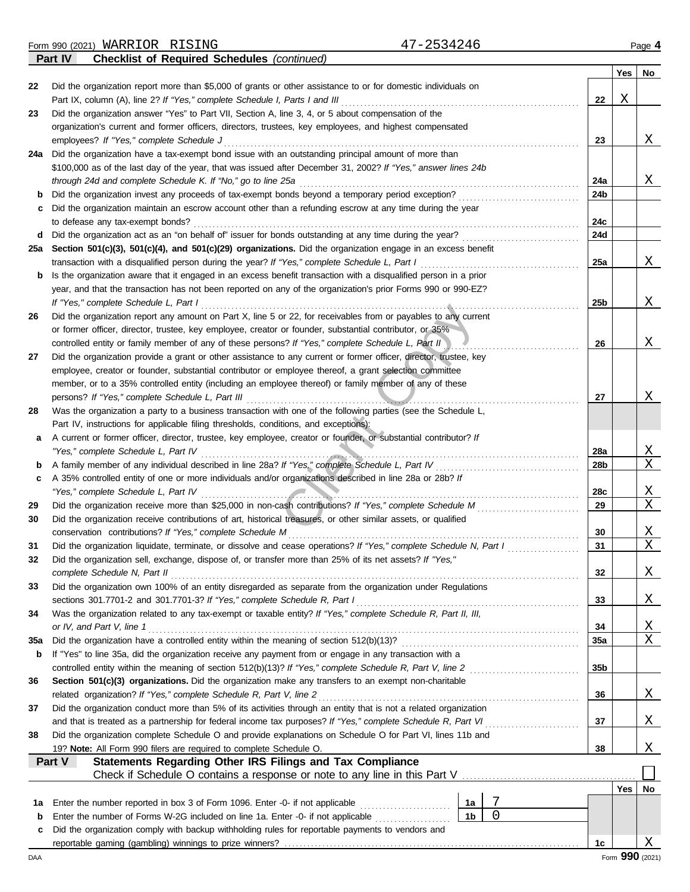Form 990 (2021) Page **4** WARRIOR RISING 47-2534246 **Part IV Checklist of Required Schedules** *(continued)*

|             |                                                                                                                                                                                                                            |     | Yes | <b>No</b>     |
|-------------|----------------------------------------------------------------------------------------------------------------------------------------------------------------------------------------------------------------------------|-----|-----|---------------|
| 22          | Did the organization report more than \$5,000 of grants or other assistance to or for domestic individuals on                                                                                                              |     |     |               |
|             | Part IX, column (A), line 2? If "Yes," complete Schedule I, Parts I and III                                                                                                                                                | 22  | Χ   |               |
| 23          | Did the organization answer "Yes" to Part VII, Section A, line 3, 4, or 5 about compensation of the                                                                                                                        |     |     |               |
|             | organization's current and former officers, directors, trustees, key employees, and highest compensated                                                                                                                    |     |     |               |
|             | employees? If "Yes," complete Schedule J                                                                                                                                                                                   | 23  |     | X             |
| 24a         | Did the organization have a tax-exempt bond issue with an outstanding principal amount of more than                                                                                                                        |     |     |               |
|             | \$100,000 as of the last day of the year, that was issued after December 31, 2002? If "Yes," answer lines 24b                                                                                                              |     |     |               |
|             | through 24d and complete Schedule K. If "No," go to line 25a                                                                                                                                                               | 24a |     | X             |
| b           | Did the organization invest any proceeds of tax-exempt bonds beyond a temporary period exception?<br>Did the organization maintain an escrow account other than a refunding escrow at any time during the year             | 24b |     |               |
| c           | to defease any tax-exempt bonds?                                                                                                                                                                                           | 24c |     |               |
| d           | Did the organization act as an "on behalf of" issuer for bonds outstanding at any time during the year?                                                                                                                    | 24d |     |               |
| 25a         | Section 501(c)(3), 501(c)(4), and 501(c)(29) organizations. Did the organization engage in an excess benefit                                                                                                               |     |     |               |
|             | transaction with a disqualified person during the year? If "Yes," complete Schedule L, Part I                                                                                                                              | 25a |     | Χ             |
| b           | Is the organization aware that it engaged in an excess benefit transaction with a disqualified person in a prior                                                                                                           |     |     |               |
|             | year, and that the transaction has not been reported on any of the organization's prior Forms 990 or 990-EZ?                                                                                                               |     |     |               |
|             | If "Yes," complete Schedule L, Part I                                                                                                                                                                                      | 25b |     | Χ             |
| 26          | Did the organization report any amount on Part X, line 5 or 22, for receivables from or payables to any current                                                                                                            |     |     |               |
|             | or former officer, director, trustee, key employee, creator or founder, substantial contributor, or 35%                                                                                                                    |     |     |               |
|             | controlled entity or family member of any of these persons? If "Yes," complete Schedule L, Part II                                                                                                                         | 26  |     | Χ             |
| 27          | Did the organization provide a grant or other assistance to any current or former officer, director, trustee, key                                                                                                          |     |     |               |
|             | employee, creator or founder, substantial contributor or employee thereof, a grant selection committee                                                                                                                     |     |     |               |
|             | member, or to a 35% controlled entity (including an employee thereof) or family member of any of these                                                                                                                     |     |     |               |
|             | persons? If "Yes," complete Schedule L, Part III                                                                                                                                                                           | 27  |     | Χ             |
| 28          | Was the organization a party to a business transaction with one of the following parties (see the Schedule L,                                                                                                              |     |     |               |
|             | Part IV, instructions for applicable filing thresholds, conditions, and exceptions):                                                                                                                                       |     |     |               |
| а           | A current or former officer, director, trustee, key employee, creator or founder, or substantial contributor? If                                                                                                           |     |     |               |
|             | "Yes," complete Schedule L, Part IV                                                                                                                                                                                        | 28a |     | <u>X</u><br>X |
| b           | A family member of any individual described in line 28a? If "Yes," complete Schedule L, Part IV                                                                                                                            | 28b |     |               |
| c           | A 35% controlled entity of one or more individuals and/or organizations described in line 28a or 28b? If<br>"Yes," complete Schedule L, Part IV                                                                            | 28c |     | X             |
| 29          |                                                                                                                                                                                                                            | 29  |     | Χ             |
| 30          | Did the organization receive contributions of art, historical treasures, or other similar assets, or qualified                                                                                                             |     |     |               |
|             | conservation contributions? If "Yes," complete Schedule M                                                                                                                                                                  | 30  |     | <u>X</u>      |
| 31          | Did the organization liquidate, terminate, or dissolve and cease operations? If "Yes," complete Schedule N, Part I                                                                                                         | 31  |     | X             |
| 32          | Did the organization sell, exchange, dispose of, or transfer more than 25% of its net assets? If "Yes,"                                                                                                                    |     |     |               |
|             | complete Schedule N, Part II                                                                                                                                                                                               | 32  |     | X             |
| 33          | Did the organization own 100% of an entity disregarded as separate from the organization under Regulations                                                                                                                 |     |     |               |
|             | sections 301.7701-2 and 301.7701-3? If "Yes," complete Schedule R, Part I                                                                                                                                                  | 33  |     | <u>X</u>      |
| 34          | Was the organization related to any tax-exempt or taxable entity? If "Yes," complete Schedule R, Part II, III,                                                                                                             |     |     |               |
|             | or IV, and Part V, line 1                                                                                                                                                                                                  | 34  |     | <u>X</u>      |
| 35a         |                                                                                                                                                                                                                            | 35a |     | Χ             |
| b           | If "Yes" to line 35a, did the organization receive any payment from or engage in any transaction with a                                                                                                                    |     |     |               |
|             | controlled entity within the meaning of section 512(b)(13)? If "Yes," complete Schedule R, Part V, line 2                                                                                                                  | 35b |     |               |
| 36          | Section 501(c)(3) organizations. Did the organization make any transfers to an exempt non-charitable                                                                                                                       |     |     |               |
|             | related organization? If "Yes," complete Schedule R, Part V, line 2                                                                                                                                                        | 36  |     | <u>X</u>      |
| 37          | Did the organization conduct more than 5% of its activities through an entity that is not a related organization                                                                                                           |     |     |               |
| 38          | and that is treated as a partnership for federal income tax purposes? If "Yes," complete Schedule R, Part VI<br>Did the organization complete Schedule O and provide explanations on Schedule O for Part VI, lines 11b and | 37  |     | X             |
|             | 19? Note: All Form 990 filers are required to complete Schedule O.                                                                                                                                                         | 38  |     | X             |
|             | <b>Statements Regarding Other IRS Filings and Tax Compliance</b><br>Part V                                                                                                                                                 |     |     |               |
|             |                                                                                                                                                                                                                            |     |     |               |
|             |                                                                                                                                                                                                                            |     | Yes | No            |
| 1а          | 7<br>Enter the number reported in box 3 of Form 1096. Enter -0- if not applicable<br>1a                                                                                                                                    |     |     |               |
| $\mathbf b$ | $\mathbf 0$<br>1 <sub>b</sub><br>Enter the number of Forms W-2G included on line 1a. Enter -0- if not applicable                                                                                                           |     |     |               |
| c           | Did the organization comply with backup withholding rules for reportable payments to vendors and                                                                                                                           |     |     |               |
|             |                                                                                                                                                                                                                            | 1c  |     | Χ             |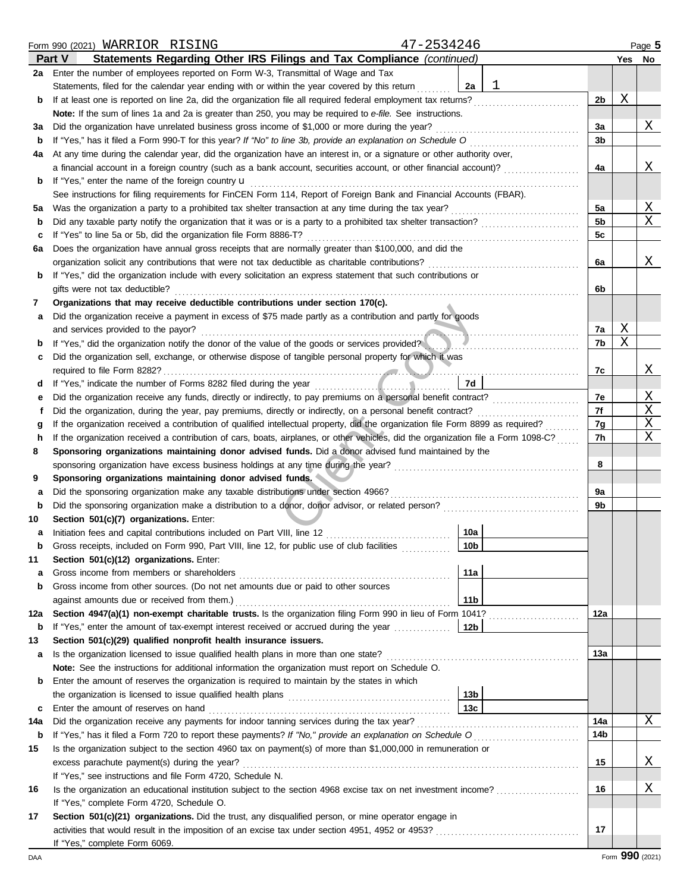|     | 47-2534246<br>Form 990 (2021) WARRIOR RISING                                                                                                    |                |   | Page 5 |
|-----|-------------------------------------------------------------------------------------------------------------------------------------------------|----------------|---|--------|
|     | Statements Regarding Other IRS Filings and Tax Compliance (continued)<br><b>Part V</b>                                                          |                |   | Yes No |
|     | 2a Enter the number of employees reported on Form W-3, Transmittal of Wage and Tax                                                              |                |   |        |
|     | ı<br>Statements, filed for the calendar year ending with or within the year covered by this return<br>2a                                        |                |   |        |
| b   | If at least one is reported on line 2a, did the organization file all required federal employment tax returns?                                  | 2 <sub>b</sub> | Χ |        |
|     | Note: If the sum of lines 1a and 2a is greater than 250, you may be required to e-file. See instructions.                                       |                |   |        |
| за  | Did the organization have unrelated business gross income of \$1,000 or more during the year?                                                   | За             |   | Χ      |
| b   | If "Yes," has it filed a Form 990-T for this year? If "No" to line 3b, provide an explanation on Schedule O                                     | 3b             |   |        |
| 4a  | At any time during the calendar year, did the organization have an interest in, or a signature or other authority over,                         |                |   |        |
|     | a financial account in a foreign country (such as a bank account, securities account, or other financial account)?                              | 4a             |   | Χ      |
| b   | If "Yes," enter the name of the foreign country <b>u</b>                                                                                        |                |   |        |
|     | See instructions for filing requirements for FinCEN Form 114, Report of Foreign Bank and Financial Accounts (FBAR).                             |                |   |        |
| 5а  | Was the organization a party to a prohibited tax shelter transaction at any time during the tax year?                                           | 5a             |   | Χ      |
| b   |                                                                                                                                                 | 5b             |   | Χ      |
| с   | If "Yes" to line 5a or 5b, did the organization file Form 8886-T?                                                                               | 5c             |   |        |
| 6а  | Does the organization have annual gross receipts that are normally greater than \$100,000, and did the                                          |                |   |        |
|     | organization solicit any contributions that were not tax deductible as charitable contributions?                                                | 6a             |   | Χ      |
| b   | If "Yes," did the organization include with every solicitation an express statement that such contributions or                                  |                |   |        |
|     | gifts were not tax deductible?                                                                                                                  | 6b             |   |        |
| 7   | Organizations that may receive deductible contributions under section 170(c).                                                                   |                |   |        |
| а   | Did the organization receive a payment in excess of \$75 made partly as a contribution and partly for goods                                     |                |   |        |
|     | and services provided to the payor?                                                                                                             | 7a             | Χ |        |
| b   | If "Yes," did the organization notify the donor of the value of the goods or services provided?                                                 | 7b             | Χ |        |
| c   | Did the organization sell, exchange, or otherwise dispose of tangible personal property for which it was                                        |                |   |        |
|     | required to file Form 8282?                                                                                                                     | 7c             |   | Χ      |
| α   | If "Yes," indicate the number of Forms 8282 filed during the year [11, 11, 11, 11]<br>7d                                                        |                |   |        |
| е   |                                                                                                                                                 | 7e             |   | Χ      |
| f   | Did the organization, during the year, pay premiums, directly or indirectly, on a personal benefit contract?                                    | 7f             |   | Χ<br>Χ |
| g   | If the organization received a contribution of qualified intellectual property, did the organization file Form 8899 as required?                | 7g             |   | Χ      |
| h   | If the organization received a contribution of cars, boats, airplanes, or other vehicles, did the organization file a Form 1098-C?              | 7h             |   |        |
| 8   | Sponsoring organizations maintaining donor advised funds. Did a donor advised fund maintained by the                                            | 8              |   |        |
| 9   | sponsoring organization have excess business holdings at any time during the year?<br>Sponsoring organizations maintaining donor advised funds. |                |   |        |
| а   | Did the sponsoring organization make any taxable distributions under section 4966?                                                              | 9а             |   |        |
| b   |                                                                                                                                                 | 9b             |   |        |
| 10  | Section 501(c)(7) organizations. Enter:                                                                                                         |                |   |        |
| a   | 10a<br>Initiation fees and capital contributions included on Part VIII, line 12 [11] [11] [12] [11] [12] [11] [12] [1                           |                |   |        |
|     | 10 <sub>b</sub><br>Gross receipts, included on Form 990, Part VIII, line 12, for public use of club facilities                                  |                |   |        |
| 11  | Section 501(c)(12) organizations. Enter:                                                                                                        |                |   |        |
| а   | 11a<br>Gross income from members or shareholders                                                                                                |                |   |        |
| b   | Gross income from other sources. (Do not net amounts due or paid to other sources                                                               |                |   |        |
|     | 11 <sub>b</sub><br>against amounts due or received from them.)                                                                                  |                |   |        |
| 12a | Section 4947(a)(1) non-exempt charitable trusts. Is the organization filing Form 990 in lieu of Form 1041?                                      | 12a            |   |        |
| b   | If "Yes," enter the amount of tax-exempt interest received or accrued during the year <i>conservation</i><br>  12b                              |                |   |        |
| 13  | Section 501(c)(29) qualified nonprofit health insurance issuers.                                                                                |                |   |        |
| a   | Is the organization licensed to issue qualified health plans in more than one state?                                                            | 13а            |   |        |
|     | Note: See the instructions for additional information the organization must report on Schedule O.                                               |                |   |        |
| b   | Enter the amount of reserves the organization is required to maintain by the states in which                                                    |                |   |        |
|     | 13b                                                                                                                                             |                |   |        |
| C   | 13c<br>Enter the amount of reserves on hand                                                                                                     |                |   |        |
| 14a | Did the organization receive any payments for indoor tanning services during the tax year?                                                      | 14a            |   | Χ      |
| b   |                                                                                                                                                 | 14b            |   |        |
| 15  | Is the organization subject to the section 4960 tax on payment(s) of more than \$1,000,000 in remuneration or                                   |                |   |        |
|     | excess parachute payment(s) during the year?                                                                                                    | 15             |   | Χ      |
|     | If "Yes," see instructions and file Form 4720, Schedule N.                                                                                      |                |   |        |
| 16  | Is the organization an educational institution subject to the section 4968 excise tax on net investment income?                                 | 16             |   | Χ      |
|     | If "Yes," complete Form 4720, Schedule O.                                                                                                       |                |   |        |
| 17  | Section 501(c)(21) organizations. Did the trust, any disqualified person, or mine operator engage in                                            |                |   |        |
|     |                                                                                                                                                 | 17             |   |        |
|     | If "Yes," complete Form 6069.                                                                                                                   |                |   |        |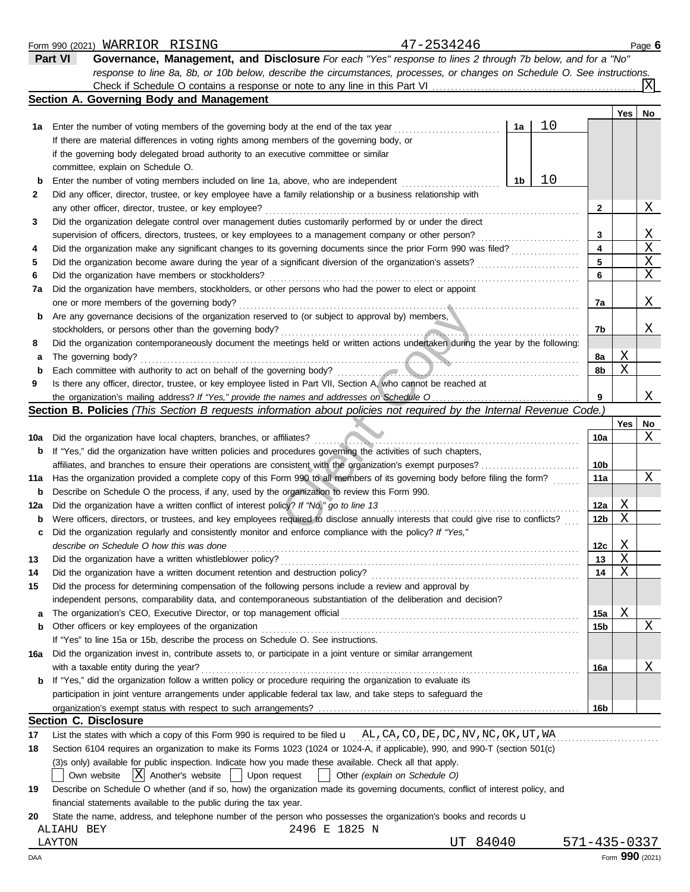|     |            | Form 990 (2021) WARRIOR RISING                                        |                                          |                                                                                                                         |                               | 47-2534246                                                                                                                          |       |    |                 |                 | Page 6 |
|-----|------------|-----------------------------------------------------------------------|------------------------------------------|-------------------------------------------------------------------------------------------------------------------------|-------------------------------|-------------------------------------------------------------------------------------------------------------------------------------|-------|----|-----------------|-----------------|--------|
|     | Part VI    |                                                                       |                                          |                                                                                                                         |                               | Governance, Management, and Disclosure For each "Yes" response to lines 2 through 7b below, and for a "No"                          |       |    |                 |                 |        |
|     |            |                                                                       |                                          |                                                                                                                         |                               | response to line 8a, 8b, or 10b below, describe the circumstances, processes, or changes on Schedule O. See instructions.           |       |    |                 |                 |        |
|     |            |                                                                       |                                          |                                                                                                                         |                               | Check if Schedule O contains a response or note to any line in this Part VI                                                         |       |    |                 |                 | ΙXΙ    |
|     |            | Section A. Governing Body and Management                              |                                          |                                                                                                                         |                               |                                                                                                                                     |       |    |                 |                 |        |
|     |            |                                                                       |                                          |                                                                                                                         |                               |                                                                                                                                     |       |    |                 | Yes             | No     |
| 1a  |            |                                                                       |                                          | Enter the number of voting members of the governing body at the end of the tax year                                     |                               |                                                                                                                                     | 1a    | 10 |                 |                 |        |
|     |            |                                                                       |                                          | If there are material differences in voting rights among members of the governing body, or                              |                               |                                                                                                                                     |       |    |                 |                 |        |
|     |            |                                                                       |                                          | if the governing body delegated broad authority to an executive committee or similar                                    |                               |                                                                                                                                     |       |    |                 |                 |        |
|     |            | committee, explain on Schedule O.                                     |                                          |                                                                                                                         |                               |                                                                                                                                     |       |    |                 |                 |        |
| b   |            |                                                                       |                                          | Enter the number of voting members included on line 1a, above, who are independent                                      |                               |                                                                                                                                     | 1b    | 10 |                 |                 |        |
| 2   |            |                                                                       |                                          | Did any officer, director, trustee, or key employee have a family relationship or a business relationship with          |                               |                                                                                                                                     |       |    |                 |                 |        |
|     |            | any other officer, director, trustee, or key employee?                |                                          |                                                                                                                         |                               |                                                                                                                                     |       |    | 2               |                 | Χ      |
| 3   |            |                                                                       |                                          | Did the organization delegate control over management duties customarily performed by or under the direct               |                               |                                                                                                                                     |       |    |                 |                 |        |
|     |            |                                                                       |                                          | supervision of officers, directors, trustees, or key employees to a management company or other person?                 |                               |                                                                                                                                     |       |    | 3               |                 | Χ      |
| 4   |            |                                                                       |                                          |                                                                                                                         |                               | Did the organization make any significant changes to its governing documents since the prior Form 990 was filed?                    |       |    | 4               |                 | Χ      |
| 5   |            |                                                                       |                                          | Did the organization become aware during the year of a significant diversion of the organization's assets?              |                               |                                                                                                                                     |       |    | 5               |                 | Χ      |
| 6   |            | Did the organization have members or stockholders?                    |                                          |                                                                                                                         |                               |                                                                                                                                     |       |    | 6               |                 | X      |
| 7a  |            |                                                                       |                                          | Did the organization have members, stockholders, or other persons who had the power to elect or appoint                 |                               |                                                                                                                                     |       |    |                 |                 |        |
|     |            | one or more members of the governing body?                            |                                          |                                                                                                                         |                               |                                                                                                                                     |       |    | 7a              |                 | Χ      |
| b   |            |                                                                       |                                          | Are any governance decisions of the organization reserved to (or subject to approval by) members,                       |                               |                                                                                                                                     |       |    |                 |                 |        |
|     |            | stockholders, or persons other than the governing body?               |                                          |                                                                                                                         |                               |                                                                                                                                     |       |    | 7b              |                 | Χ      |
| 8   |            |                                                                       |                                          |                                                                                                                         |                               | Did the organization contemporaneously document the meetings held or written actions undertaken during the year by the following:   |       |    |                 |                 |        |
| а   |            | The governing body?                                                   |                                          |                                                                                                                         |                               |                                                                                                                                     |       |    | 8а              | Χ               |        |
| b   |            | Each committee with authority to act on behalf of the governing body? |                                          |                                                                                                                         |                               |                                                                                                                                     |       |    | 8b              | X               |        |
| 9   |            |                                                                       |                                          |                                                                                                                         |                               | Is there any officer, director, trustee, or key employee listed in Part VII, Section A, who cannot be reached at                    |       |    |                 |                 |        |
|     |            |                                                                       |                                          |                                                                                                                         |                               |                                                                                                                                     |       |    | 9               |                 | Χ      |
|     |            |                                                                       |                                          |                                                                                                                         |                               | Section B. Policies (This Section B requests information about policies not required by the Internal Revenue Code.)                 |       |    |                 |                 |        |
|     |            |                                                                       |                                          |                                                                                                                         |                               |                                                                                                                                     |       |    |                 | Yes             | No     |
| 10a |            | Did the organization have local chapters, branches, or affiliates?    |                                          |                                                                                                                         |                               |                                                                                                                                     |       |    | 10a             |                 | Χ      |
|     |            |                                                                       |                                          | <b>b</b> If "Yes," did the organization have written policies and procedures governing the activities of such chapters, |                               |                                                                                                                                     |       |    |                 |                 |        |
|     |            |                                                                       |                                          | affiliates, and branches to ensure their operations are consistent with the organization's exempt purposes?             |                               |                                                                                                                                     |       |    | 10b             |                 |        |
| 11a |            |                                                                       |                                          |                                                                                                                         |                               | Has the organization provided a complete copy of this Form 990 to all members of its governing body before filing the form?         |       |    | 11a             |                 | Χ      |
| b   |            |                                                                       |                                          | Describe on Schedule O the process, if any, used by the organization to review this Form 990.                           |                               |                                                                                                                                     |       |    |                 |                 |        |
| 12a |            |                                                                       |                                          | Did the organization have a written conflict of interest policy? If "No," go to line 13                                 |                               |                                                                                                                                     |       |    | 12a             | Χ               |        |
| b   |            |                                                                       |                                          |                                                                                                                         |                               | Were officers, directors, or trustees, and key employees required to disclose annually interests that could give rise to conflicts? |       |    | 12 <sub>b</sub> | Χ               |        |
| c   |            |                                                                       |                                          | Did the organization regularly and consistently monitor and enforce compliance with the policy? If "Yes,"               |                               |                                                                                                                                     |       |    |                 |                 |        |
|     |            | describe on Schedule O how this was done                              |                                          |                                                                                                                         |                               |                                                                                                                                     |       |    | 12c             | Χ               |        |
| 13  |            | Did the organization have a written whistleblower policy?             |                                          |                                                                                                                         |                               |                                                                                                                                     |       |    | 13              | Χ               |        |
| 14  |            |                                                                       |                                          | Did the organization have a written document retention and destruction policy?                                          |                               |                                                                                                                                     |       |    | 14              | Χ               |        |
| 15  |            |                                                                       |                                          | Did the process for determining compensation of the following persons include a review and approval by                  |                               |                                                                                                                                     |       |    |                 |                 |        |
|     |            |                                                                       |                                          |                                                                                                                         |                               | independent persons, comparability data, and contemporaneous substantiation of the deliberation and decision?                       |       |    |                 |                 |        |
| a   |            |                                                                       |                                          |                                                                                                                         |                               |                                                                                                                                     |       |    | 15a             | Χ               |        |
| b   |            | Other officers or key employees of the organization                   |                                          |                                                                                                                         |                               |                                                                                                                                     |       |    | 15b             |                 | Χ      |
|     |            |                                                                       |                                          | If "Yes" to line 15a or 15b, describe the process on Schedule O. See instructions.                                      |                               |                                                                                                                                     |       |    |                 |                 |        |
| 16a |            |                                                                       |                                          | Did the organization invest in, contribute assets to, or participate in a joint venture or similar arrangement          |                               |                                                                                                                                     |       |    |                 |                 |        |
|     |            | with a taxable entity during the year?                                |                                          |                                                                                                                         |                               |                                                                                                                                     |       |    | 16a             |                 | Χ      |
| b   |            |                                                                       |                                          | If "Yes," did the organization follow a written policy or procedure requiring the organization to evaluate its          |                               |                                                                                                                                     |       |    |                 |                 |        |
|     |            |                                                                       |                                          | participation in joint venture arrangements under applicable federal tax law, and take steps to safeguard the           |                               |                                                                                                                                     |       |    |                 |                 |        |
|     |            |                                                                       |                                          |                                                                                                                         |                               |                                                                                                                                     |       |    | 16b             |                 |        |
|     |            | <b>Section C. Disclosure</b>                                          |                                          |                                                                                                                         |                               |                                                                                                                                     |       |    |                 |                 |        |
| 17  |            |                                                                       |                                          |                                                                                                                         |                               | List the states with which a copy of this Form 990 is required to be filed <b>u</b> AL, CA, CO, DE, DC, NV, NC, OK, UT, WA          |       |    |                 |                 |        |
| 18  |            |                                                                       |                                          |                                                                                                                         |                               | Section 6104 requires an organization to make its Forms 1023 (1024 or 1024-A, if applicable), 990, and 990-T (section 501(c)        |       |    |                 |                 |        |
|     |            |                                                                       |                                          | (3)s only) available for public inspection. Indicate how you made these available. Check all that apply.                |                               |                                                                                                                                     |       |    |                 |                 |        |
|     |            | Own website                                                           | $ X $ Another's website $ $ Upon request |                                                                                                                         | Other (explain on Schedule O) |                                                                                                                                     |       |    |                 |                 |        |
| 19  |            |                                                                       |                                          |                                                                                                                         |                               | Describe on Schedule O whether (and if so, how) the organization made its governing documents, conflict of interest policy, and     |       |    |                 |                 |        |
|     |            | financial statements available to the public during the tax year.     |                                          |                                                                                                                         |                               |                                                                                                                                     |       |    |                 |                 |        |
| 20  |            |                                                                       |                                          |                                                                                                                         |                               | State the name, address, and telephone number of the person who possesses the organization's books and records u                    |       |    |                 |                 |        |
|     | ALIAHU BEY |                                                                       |                                          | 2496 E 1825 N                                                                                                           |                               |                                                                                                                                     |       |    |                 |                 |        |
|     | LAYTON     |                                                                       |                                          |                                                                                                                         |                               | UT                                                                                                                                  | 84040 |    | 571-435-0337    |                 |        |
| DAA |            |                                                                       |                                          |                                                                                                                         |                               |                                                                                                                                     |       |    |                 | Form 990 (2021) |        |
|     |            |                                                                       |                                          |                                                                                                                         |                               |                                                                                                                                     |       |    |                 |                 |        |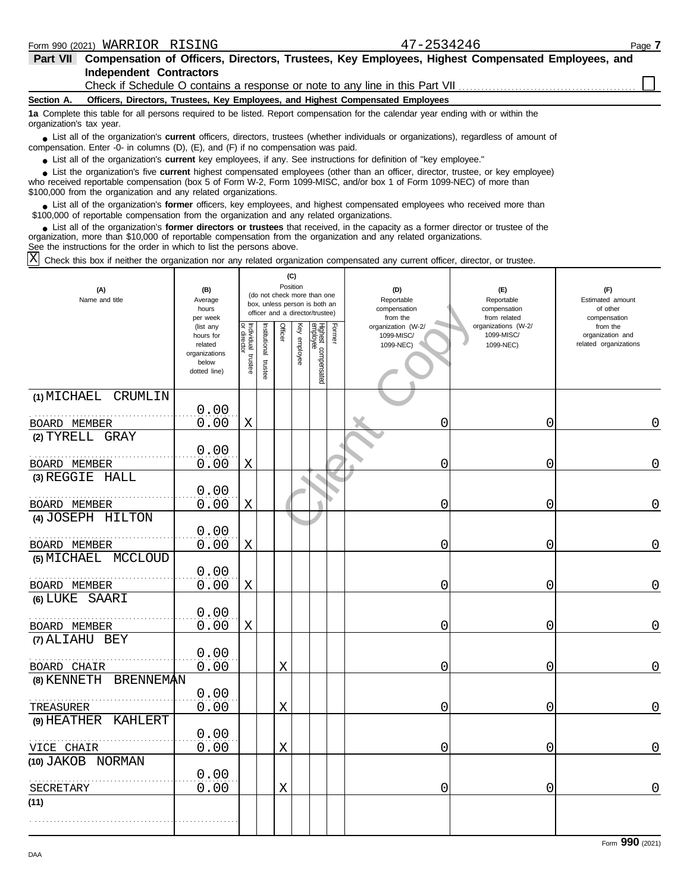| <b>Part VII</b>                                                                                                                                                                                                                                                                                                                   | Compensation of Officers, Directors, Trustees, Key Employees, Highest Compensated Employees, and                                           |                                                                                                                                                                                      |                                                                                 |                                                                                       |                                                                 |  |  |  |  |  |  |
|-----------------------------------------------------------------------------------------------------------------------------------------------------------------------------------------------------------------------------------------------------------------------------------------------------------------------------------|--------------------------------------------------------------------------------------------------------------------------------------------|--------------------------------------------------------------------------------------------------------------------------------------------------------------------------------------|---------------------------------------------------------------------------------|---------------------------------------------------------------------------------------|-----------------------------------------------------------------|--|--|--|--|--|--|
|                                                                                                                                                                                                                                                                                                                                   | <b>Independent Contractors</b><br>Check if Schedule O contains a response or note to any line in this Part VII <i>containant container</i> |                                                                                                                                                                                      |                                                                                 |                                                                                       |                                                                 |  |  |  |  |  |  |
|                                                                                                                                                                                                                                                                                                                                   |                                                                                                                                            |                                                                                                                                                                                      |                                                                                 |                                                                                       |                                                                 |  |  |  |  |  |  |
| Section A.                                                                                                                                                                                                                                                                                                                        |                                                                                                                                            |                                                                                                                                                                                      | Officers, Directors, Trustees, Key Employees, and Highest Compensated Employees |                                                                                       |                                                                 |  |  |  |  |  |  |
| 1a Complete this table for all persons required to be listed. Report compensation for the calendar year ending with or within the<br>organization's tax year.                                                                                                                                                                     |                                                                                                                                            |                                                                                                                                                                                      |                                                                                 |                                                                                       |                                                                 |  |  |  |  |  |  |
| • List all of the organization's <b>current</b> officers, directors, trustees (whether individuals or organizations), regardless of amount of<br>compensation. Enter -0- in columns (D), (E), and (F) if no compensation was paid.                                                                                                |                                                                                                                                            |                                                                                                                                                                                      |                                                                                 |                                                                                       |                                                                 |  |  |  |  |  |  |
| • List all of the organization's current key employees, if any. See instructions for definition of "key employee."                                                                                                                                                                                                                |                                                                                                                                            |                                                                                                                                                                                      |                                                                                 |                                                                                       |                                                                 |  |  |  |  |  |  |
| List the organization's five current highest compensated employees (other than an officer, director, trustee, or key employee)<br>who received reportable compensation (box 5 of Form W-2, Form 1099-MISC, and/or box 1 of Form 1099-NEC) of more than<br>\$100,000 from the organization and any related organizations.          |                                                                                                                                            |                                                                                                                                                                                      |                                                                                 |                                                                                       |                                                                 |  |  |  |  |  |  |
| • List all of the organization's former officers, key employees, and highest compensated employees who received more than<br>\$100,000 of reportable compensation from the organization and any related organizations.                                                                                                            |                                                                                                                                            |                                                                                                                                                                                      |                                                                                 |                                                                                       |                                                                 |  |  |  |  |  |  |
| • List all of the organization's former directors or trustees that received, in the capacity as a former director or trustee of the<br>organization, more than \$10,000 of reportable compensation from the organization and any related organizations.<br>See the instructions for the order in which to list the persons above. |                                                                                                                                            |                                                                                                                                                                                      |                                                                                 |                                                                                       |                                                                 |  |  |  |  |  |  |
| Check this box if neither the organization nor any related organization compensated any current officer, director, or trustee.                                                                                                                                                                                                    |                                                                                                                                            |                                                                                                                                                                                      |                                                                                 |                                                                                       |                                                                 |  |  |  |  |  |  |
| (A)<br>Name and title                                                                                                                                                                                                                                                                                                             | (B)<br>Average<br>hours<br>per week<br>(list any                                                                                           | (C)<br>Position<br>(do not check more than one<br>box, unless person is both an<br>officer and a director/trustee)<br>통합 호<br>For<br>$\frac{1}{2}$<br>$\frac{1}{2}$<br>$\frac{1}{2}$ | (D)<br>Reportable<br>compensation<br>from the<br>organization (W-2/             | (F)<br>Reportable<br>compensation<br>from related<br>organizations (W-2/<br>100011001 | (F)<br>Estimated amount<br>of other<br>compensation<br>from the |  |  |  |  |  |  |

|                                 | hours<br>per week                                                           |                                   |                       |             |              | DOX, UNIESS DEISUN IS DUIN AN<br>officer and a director/trustee) | compensation<br>from the                      | compensation<br>from related                   | of other<br>compensation                              |
|---------------------------------|-----------------------------------------------------------------------------|-----------------------------------|-----------------------|-------------|--------------|------------------------------------------------------------------|-----------------------------------------------|------------------------------------------------|-------------------------------------------------------|
|                                 | (list any<br>hours for<br>related<br>organizations<br>below<br>dotted line) | Individual trustee<br>or director | Institutional trustee | Officer     | Key employee | Former<br>Highest compensated<br>employee                        | organization (W-2/<br>1099-MISC/<br>1099-NEC) | organizations (W-2/<br>1099-MISC/<br>1099-NEC) | from the<br>organization and<br>related organizations |
| (1) MICHAEL CRUMLIN             |                                                                             |                                   |                       |             |              |                                                                  |                                               |                                                |                                                       |
|                                 | 0.00                                                                        | $\mathbf X$                       |                       |             |              |                                                                  | 0                                             |                                                |                                                       |
| BOARD MEMBER<br>(2) TYRELL GRAY | 0.00                                                                        |                                   |                       |             |              |                                                                  |                                               | 0                                              | 0                                                     |
| BOARD MEMBER                    | 0.00<br>0.00                                                                | $\mathbf X$                       |                       |             |              |                                                                  | 0                                             | 0                                              | $\mathbf 0$                                           |
| (3) REGGIE HALL                 | 0.00                                                                        |                                   |                       |             |              |                                                                  |                                               |                                                |                                                       |
| BOARD MEMBER                    | 0.00                                                                        | $\mathbf X$                       |                       |             |              |                                                                  | 0                                             | 0                                              | 0                                                     |
| (4) JOSEPH HILTON               |                                                                             |                                   |                       |             |              |                                                                  |                                               |                                                |                                                       |
|                                 | 0.00                                                                        |                                   |                       |             |              |                                                                  |                                               |                                                |                                                       |
| BOARD MEMBER                    | 0.00                                                                        | Χ                                 |                       |             |              |                                                                  | 0                                             | 0                                              | $\mathsf{O}\xspace$                                   |
| (5) MICHAEL MCCLOUD             |                                                                             |                                   |                       |             |              |                                                                  |                                               |                                                |                                                       |
| BOARD MEMBER                    | 0.00<br>0.00                                                                | $\mathbf X$                       |                       |             |              |                                                                  | 0                                             | 0                                              | 0                                                     |
| (6) LUKE SAARI                  |                                                                             |                                   |                       |             |              |                                                                  |                                               |                                                |                                                       |
| BOARD MEMBER                    | 0.00<br>0.00                                                                | X                                 |                       |             |              |                                                                  | 0                                             | 0                                              | $\mathsf{O}$                                          |
| (7) ALIAHU BEY                  |                                                                             |                                   |                       |             |              |                                                                  |                                               |                                                |                                                       |
| BOARD CHAIR                     | 0.00<br>0.00                                                                |                                   |                       | X           |              |                                                                  | 0                                             | 0                                              | 0                                                     |
| (8) KENNETH BRENNEMAN           |                                                                             |                                   |                       |             |              |                                                                  |                                               |                                                |                                                       |
| .<br>TREASURER                  | 0.00<br>0.00                                                                |                                   |                       | $\mathbf X$ |              |                                                                  | 0                                             | 0                                              | 0                                                     |
| (9) HEATHER KAHLERT             |                                                                             |                                   |                       |             |              |                                                                  |                                               |                                                |                                                       |
| VICE CHAIR                      | 0.00<br>0.00                                                                |                                   |                       | $\mathbf X$ |              |                                                                  | 0                                             | 0                                              | $\overline{0}$                                        |
| (10) JAKOB NORMAN               |                                                                             |                                   |                       |             |              |                                                                  |                                               |                                                |                                                       |
| SECRETARY                       | 0.00<br>0.00                                                                |                                   |                       | $\mathbf X$ |              |                                                                  | 0                                             | 0                                              | $\mathbf 0$                                           |
| (11)                            |                                                                             |                                   |                       |             |              |                                                                  |                                               |                                                |                                                       |
|                                 |                                                                             |                                   |                       |             |              |                                                                  |                                               |                                                |                                                       |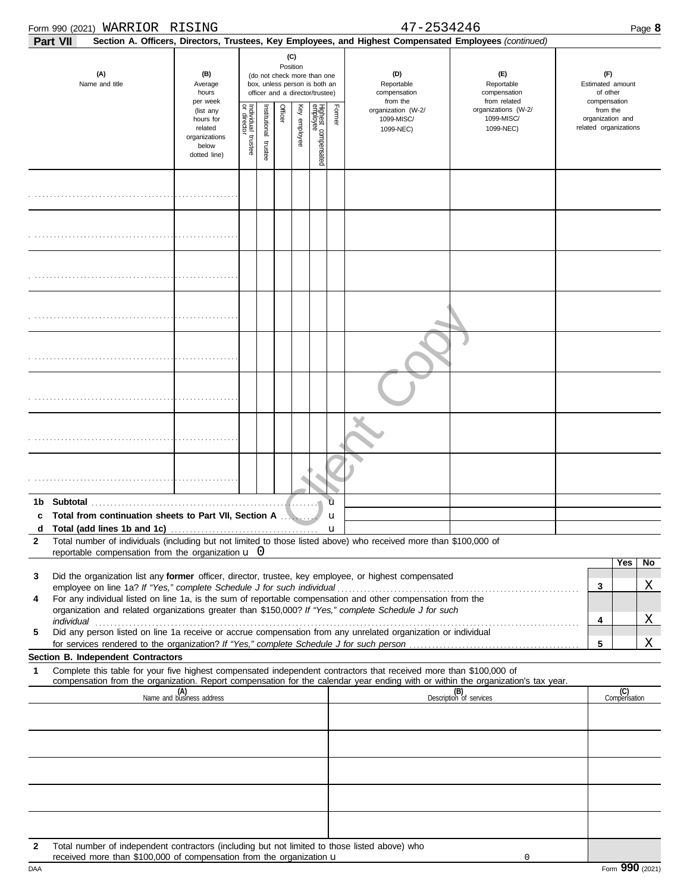| Form 990 (2021) WARRIOR RISING                                                                                                                                                                                                                              |                                                                             |                                        |                      |         |                 |                                                                                                 |        | 47-2534246                                                                                             |                                                   |                                                       | Page 8              |                |
|-------------------------------------------------------------------------------------------------------------------------------------------------------------------------------------------------------------------------------------------------------------|-----------------------------------------------------------------------------|----------------------------------------|----------------------|---------|-----------------|-------------------------------------------------------------------------------------------------|--------|--------------------------------------------------------------------------------------------------------|---------------------------------------------------|-------------------------------------------------------|---------------------|----------------|
| Part VII                                                                                                                                                                                                                                                    |                                                                             |                                        |                      |         |                 |                                                                                                 |        | Section A. Officers, Directors, Trustees, Key Employees, and Highest Compensated Employees (continued) |                                                   |                                                       |                     |                |
| (A)<br>Name and title                                                                                                                                                                                                                                       | (B)<br>Average<br>hours<br>per week                                         |                                        |                      |         | (C)<br>Position | (do not check more than one<br>box, unless person is both an<br>officer and a director/trustee) |        | (D)<br>Reportable<br>compensation<br>from the                                                          | (F)<br>Reportable<br>compensation<br>from related | (F)<br>Estimated amount<br>of other<br>compensation   |                     |                |
|                                                                                                                                                                                                                                                             | (list any<br>hours for<br>related<br>organizations<br>below<br>dotted line) | Individual 1<br>or director<br>trustee | nstitutional trustee | Officer | Key employee    | Highest compensated<br>employee                                                                 | Former | organization (W-2/<br>1099-MISC/<br>1099-NEC)                                                          | organizations (W-2/<br>1099-MISC/<br>1099-NEC)    | from the<br>organization and<br>related organizations |                     |                |
|                                                                                                                                                                                                                                                             |                                                                             |                                        |                      |         |                 |                                                                                                 |        |                                                                                                        |                                                   |                                                       |                     |                |
|                                                                                                                                                                                                                                                             |                                                                             |                                        |                      |         |                 |                                                                                                 |        |                                                                                                        |                                                   |                                                       |                     |                |
|                                                                                                                                                                                                                                                             |                                                                             |                                        |                      |         |                 |                                                                                                 |        |                                                                                                        |                                                   |                                                       |                     |                |
|                                                                                                                                                                                                                                                             |                                                                             |                                        |                      |         |                 |                                                                                                 |        |                                                                                                        |                                                   |                                                       |                     |                |
|                                                                                                                                                                                                                                                             |                                                                             |                                        |                      |         |                 |                                                                                                 |        |                                                                                                        |                                                   |                                                       |                     |                |
|                                                                                                                                                                                                                                                             |                                                                             |                                        |                      |         |                 |                                                                                                 |        |                                                                                                        |                                                   |                                                       |                     |                |
|                                                                                                                                                                                                                                                             |                                                                             |                                        |                      |         |                 |                                                                                                 |        |                                                                                                        |                                                   |                                                       |                     |                |
|                                                                                                                                                                                                                                                             |                                                                             |                                        |                      |         |                 |                                                                                                 |        |                                                                                                        |                                                   |                                                       |                     |                |
| Total from continuation sheets to Part VII, Section A<br>c                                                                                                                                                                                                  |                                                                             |                                        |                      |         |                 |                                                                                                 | ū<br>u |                                                                                                        |                                                   |                                                       |                     |                |
| Total number of individuals (including but not limited to those listed above) who received more than \$100,000 of<br>$\mathbf{2}$<br>reportable compensation from the organization $\mathbf u$ 0                                                            |                                                                             |                                        |                      |         |                 |                                                                                                 |        |                                                                                                        |                                                   |                                                       |                     |                |
| Did the organization list any former officer, director, trustee, key employee, or highest compensated<br>3                                                                                                                                                  |                                                                             |                                        |                      |         |                 |                                                                                                 |        |                                                                                                        |                                                   |                                                       | Yes                 | N <sub>o</sub> |
| For any individual listed on line 1a, is the sum of reportable compensation and other compensation from the<br>4<br>organization and related organizations greater than \$150,000? If "Yes," complete Schedule J for such                                   |                                                                             |                                        |                      |         |                 |                                                                                                 |        |                                                                                                        |                                                   | 3                                                     |                     | Χ              |
| Did any person listed on line 1a receive or accrue compensation from any unrelated organization or individual<br>5                                                                                                                                          |                                                                             |                                        |                      |         |                 |                                                                                                 |        |                                                                                                        |                                                   | 4                                                     |                     | Χ              |
| Section B. Independent Contractors                                                                                                                                                                                                                          |                                                                             |                                        |                      |         |                 |                                                                                                 |        |                                                                                                        |                                                   | 5                                                     |                     | Χ              |
| Complete this table for your five highest compensated independent contractors that received more than \$100,000 of<br>1<br>compensation from the organization. Report compensation for the calendar year ending with or within the organization's tax year. |                                                                             |                                        |                      |         |                 |                                                                                                 |        |                                                                                                        |                                                   |                                                       |                     |                |
|                                                                                                                                                                                                                                                             | (A)<br>Name and business address                                            |                                        |                      |         |                 |                                                                                                 |        |                                                                                                        | (B)<br>Description of services                    |                                                       | (C)<br>Compensation |                |
|                                                                                                                                                                                                                                                             |                                                                             |                                        |                      |         |                 |                                                                                                 |        |                                                                                                        |                                                   |                                                       |                     |                |
|                                                                                                                                                                                                                                                             |                                                                             |                                        |                      |         |                 |                                                                                                 |        |                                                                                                        |                                                   |                                                       |                     |                |
|                                                                                                                                                                                                                                                             |                                                                             |                                        |                      |         |                 |                                                                                                 |        |                                                                                                        |                                                   |                                                       |                     |                |
|                                                                                                                                                                                                                                                             |                                                                             |                                        |                      |         |                 |                                                                                                 |        |                                                                                                        |                                                   |                                                       |                     |                |
| Total number of independent contractors (including but not limited to those listed above) who<br>$\mathbf{2}$                                                                                                                                               |                                                                             |                                        |                      |         |                 |                                                                                                 |        |                                                                                                        |                                                   |                                                       |                     |                |
| received more than \$100,000 of compensation from the organization u                                                                                                                                                                                        |                                                                             |                                        |                      |         |                 |                                                                                                 |        |                                                                                                        |                                                   |                                                       |                     |                |

|     | <b>TOODIVO HIGH WILL WILL ON DOMINATION IN THE HIGH STUDIES OF STATISTICS</b> |                            |
|-----|-------------------------------------------------------------------------------|----------------------------|
| DAA |                                                                               | Form 990<br>10001<br>(2021 |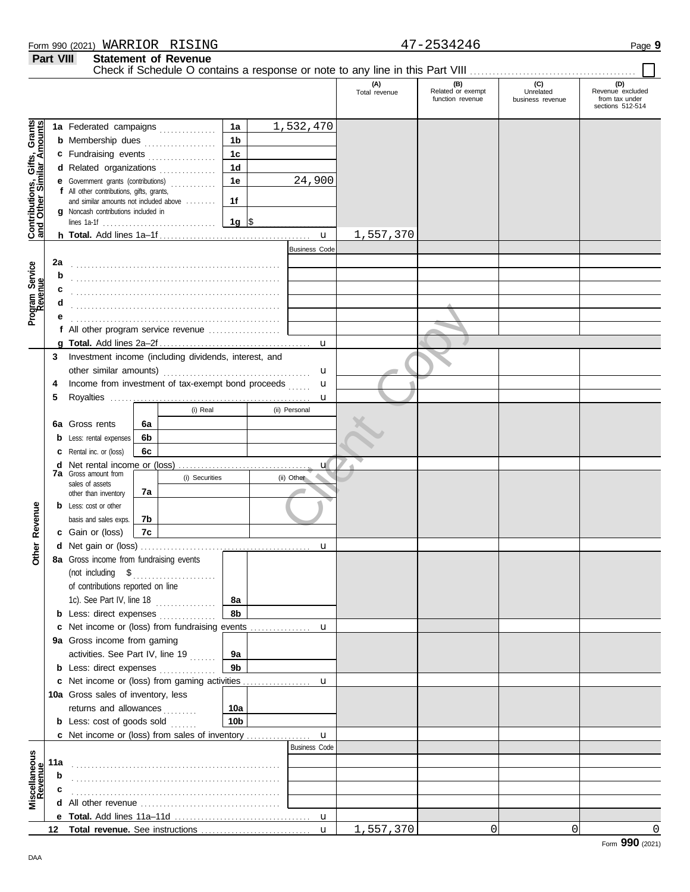|                                                           |     |                                                                                               |    |                |                 |                      | (A)<br>Total revenue | (B)<br>Related or exempt<br>function revenue | (C)<br>Unrelated<br>business revenue | (D)<br>Revenue excluded<br>from tax under<br>sections 512-514 |
|-----------------------------------------------------------|-----|-----------------------------------------------------------------------------------------------|----|----------------|-----------------|----------------------|----------------------|----------------------------------------------|--------------------------------------|---------------------------------------------------------------|
|                                                           |     | 1a Federated campaigns                                                                        |    |                | 1a              | 1,532,470            |                      |                                              |                                      |                                                               |
| Contributions, Gifts, Grants<br>and Other Similar Amounts |     | <b>b</b> Membership dues <i></i>                                                              |    |                | 1 <sub>b</sub>  |                      |                      |                                              |                                      |                                                               |
|                                                           |     |                                                                                               |    |                | 1 <sub>c</sub>  |                      |                      |                                              |                                      |                                                               |
|                                                           |     | c Fundraising events<br>d Related organizations<br><b>e</b> Government grants (contributions) |    |                | 1 <sub>d</sub>  |                      |                      |                                              |                                      |                                                               |
|                                                           |     |                                                                                               |    |                | 1e              | 24,900               |                      |                                              |                                      |                                                               |
|                                                           |     | f All other contributions, gifts, grants,                                                     |    |                |                 |                      |                      |                                              |                                      |                                                               |
|                                                           |     | and similar amounts not included above                                                        |    |                | 1f              |                      |                      |                                              |                                      |                                                               |
|                                                           |     | g Noncash contributions included in                                                           |    |                | $1g$ \$         |                      |                      |                                              |                                      |                                                               |
|                                                           |     |                                                                                               |    |                |                 |                      | 1,557,370            |                                              |                                      |                                                               |
|                                                           |     |                                                                                               |    |                |                 | <b>Business Code</b> |                      |                                              |                                      |                                                               |
|                                                           | 2a  |                                                                                               |    |                |                 |                      |                      |                                              |                                      |                                                               |
|                                                           | b   |                                                                                               |    |                |                 |                      |                      |                                              |                                      |                                                               |
| Program Service<br>Revenue                                |     |                                                                                               |    |                |                 |                      |                      |                                              |                                      |                                                               |
|                                                           |     |                                                                                               |    |                |                 |                      |                      |                                              |                                      |                                                               |
|                                                           |     |                                                                                               |    |                |                 |                      |                      |                                              |                                      |                                                               |
|                                                           |     | f All other program service revenue                                                           |    |                |                 |                      |                      |                                              |                                      |                                                               |
|                                                           |     |                                                                                               |    |                |                 |                      |                      |                                              |                                      |                                                               |
|                                                           |     | 3 Investment income (including dividends, interest, and                                       |    |                |                 |                      |                      |                                              |                                      |                                                               |
|                                                           |     |                                                                                               |    |                |                 | u                    |                      |                                              |                                      |                                                               |
|                                                           | 4   | Income from investment of tax-exempt bond proceeds                                            |    |                |                 | $\mathbf{u}$         |                      |                                              |                                      |                                                               |
|                                                           | 5   |                                                                                               |    |                |                 | $\mathbf u$          |                      |                                              |                                      |                                                               |
|                                                           |     |                                                                                               |    | (i) Real       |                 | (ii) Personal        |                      |                                              |                                      |                                                               |
|                                                           |     | 6a Gross rents                                                                                | 6a |                |                 |                      |                      |                                              |                                      |                                                               |
|                                                           |     | <b>b</b> Less: rental expenses                                                                | 6b |                |                 |                      |                      |                                              |                                      |                                                               |
|                                                           |     | C Rental inc. or (loss)                                                                       | 6c |                |                 |                      |                      |                                              |                                      |                                                               |
|                                                           |     |                                                                                               |    |                |                 | $\mathbf{u}$         |                      |                                              |                                      |                                                               |
|                                                           |     | <b>7a</b> Gross amount from                                                                   |    | (i) Securities |                 | (ii) Other           |                      |                                              |                                      |                                                               |
|                                                           |     | sales of assets<br>other than inventory                                                       | 7a |                |                 |                      |                      |                                              |                                      |                                                               |
|                                                           |     | <b>b</b> Less: cost or other                                                                  |    |                |                 |                      |                      |                                              |                                      |                                                               |
|                                                           |     | basis and sales exps.                                                                         | 7b |                |                 |                      |                      |                                              |                                      |                                                               |
| Revenue                                                   |     | c Gain or (loss)                                                                              | 7c |                |                 |                      |                      |                                              |                                      |                                                               |
|                                                           |     |                                                                                               |    |                |                 | u                    |                      |                                              |                                      |                                                               |
| Other                                                     |     | 8a Gross income from fundraising events                                                       |    |                |                 |                      |                      |                                              |                                      |                                                               |
|                                                           |     | (not including $$$                                                                            |    | .              |                 |                      |                      |                                              |                                      |                                                               |
|                                                           |     | of contributions reported on line                                                             |    |                |                 |                      |                      |                                              |                                      |                                                               |
|                                                           |     | 1c). See Part IV, line $18$                                                                   |    |                | 8а              |                      |                      |                                              |                                      |                                                               |
|                                                           |     | <b>b</b> Less: direct expenses                                                                |    |                | 8b              |                      |                      |                                              |                                      |                                                               |
|                                                           |     | <b>c</b> Net income or (loss) from fundraising events                                         |    |                |                 | u                    |                      |                                              |                                      |                                                               |
|                                                           |     | 9a Gross income from gaming                                                                   |    |                |                 |                      |                      |                                              |                                      |                                                               |
|                                                           |     | activities. See Part IV, line 19                                                              |    |                | 9а              |                      |                      |                                              |                                      |                                                               |
|                                                           |     | <b>b</b> Less: direct expenses                                                                |    |                | 9b              |                      |                      |                                              |                                      |                                                               |
|                                                           |     | c Net income or (loss) from gaming activities                                                 |    |                |                 | u                    |                      |                                              |                                      |                                                               |
|                                                           |     | 10a Gross sales of inventory, less                                                            |    |                |                 |                      |                      |                                              |                                      |                                                               |
|                                                           |     | returns and allowances                                                                        |    |                | 10a             |                      |                      |                                              |                                      |                                                               |
|                                                           |     | <b>b</b> Less: cost of goods sold                                                             |    |                | 10 <sub>b</sub> |                      |                      |                                              |                                      |                                                               |
|                                                           |     | c Net income or (loss) from sales of inventory                                                |    |                |                 | $\mathbf{u}$         |                      |                                              |                                      |                                                               |
|                                                           |     |                                                                                               |    |                |                 | <b>Business Code</b> |                      |                                              |                                      |                                                               |
|                                                           | 11a |                                                                                               |    |                |                 |                      |                      |                                              |                                      |                                                               |
|                                                           | b   |                                                                                               |    |                |                 |                      |                      |                                              |                                      |                                                               |
| Miscellaneous<br>Revenue                                  | c   |                                                                                               |    |                |                 |                      |                      |                                              |                                      |                                                               |
|                                                           |     |                                                                                               |    |                |                 |                      |                      |                                              |                                      |                                                               |
|                                                           |     |                                                                                               |    |                |                 |                      |                      |                                              |                                      |                                                               |
|                                                           |     |                                                                                               |    |                |                 | $\mathbf{u}$         | 1,557,370            | 0                                            | $\mathbf 0$                          | $\Omega$                                                      |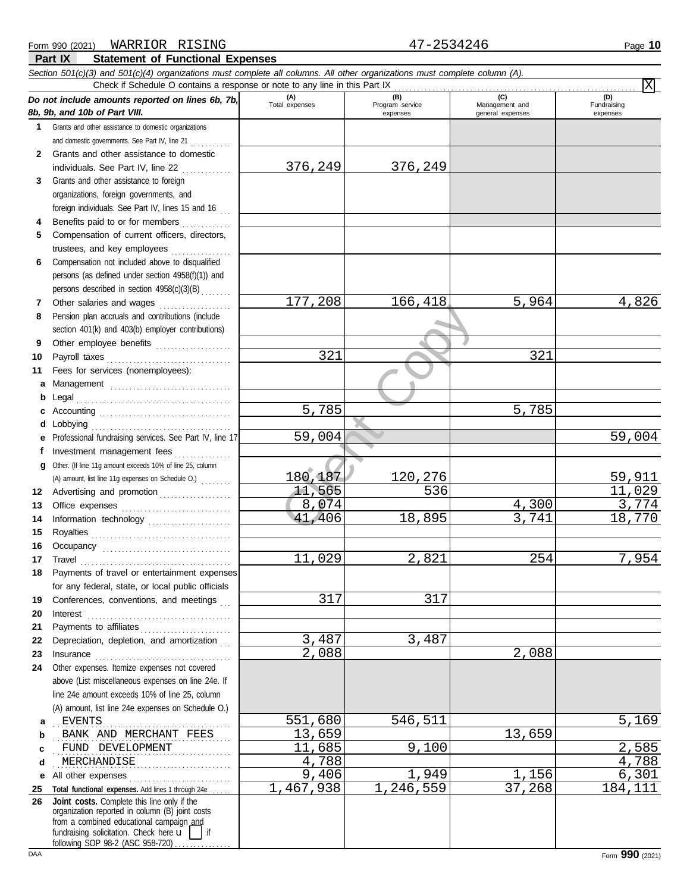| Form 990 (2021) | WARRIOR | RISING                                  | 2534246 | 10<br>Page |
|-----------------|---------|-----------------------------------------|---------|------------|
| <b>Part IX</b>  |         | <b>Statement of Functional Expenses</b> |         |            |

|    | Section 501(c)(3) and 501(c)(4) organizations must complete all columns. All other organizations must complete column (A).<br>Check if Schedule O contains a response or note to any line in this Part IX |                    |                             |                                    | $\overline{\mathrm{x}}$ |
|----|-----------------------------------------------------------------------------------------------------------------------------------------------------------------------------------------------------------|--------------------|-----------------------------|------------------------------------|-------------------------|
|    |                                                                                                                                                                                                           | (A)                | (B)                         | (C)                                | (D)                     |
|    | Do not include amounts reported on lines 6b, 7b,<br>8b, 9b, and 10b of Part VIII.                                                                                                                         | Total expenses     | Program service<br>expenses | Management and<br>general expenses | Fundraising<br>expenses |
| 1  | Grants and other assistance to domestic organizations                                                                                                                                                     |                    |                             |                                    |                         |
|    | and domestic governments. See Part IV, line 21                                                                                                                                                            |                    |                             |                                    |                         |
| 2  | Grants and other assistance to domestic                                                                                                                                                                   |                    |                             |                                    |                         |
|    | individuals. See Part IV, line 22                                                                                                                                                                         | 376,249            | 376,249                     |                                    |                         |
| 3  | in de la partida<br>Grants and other assistance to foreign                                                                                                                                                |                    |                             |                                    |                         |
|    | organizations, foreign governments, and                                                                                                                                                                   |                    |                             |                                    |                         |
|    | foreign individuals. See Part IV, lines 15 and 16                                                                                                                                                         |                    |                             |                                    |                         |
| 4  | Benefits paid to or for members                                                                                                                                                                           |                    |                             |                                    |                         |
| 5  | Compensation of current officers, directors,                                                                                                                                                              |                    |                             |                                    |                         |
|    | trustees, and key employees                                                                                                                                                                               |                    |                             |                                    |                         |
| 6  | Compensation not included above to disqualified                                                                                                                                                           |                    |                             |                                    |                         |
|    | persons (as defined under section 4958(f)(1)) and                                                                                                                                                         |                    |                             |                                    |                         |
|    | persons described in section 4958(c)(3)(B)                                                                                                                                                                |                    |                             |                                    |                         |
| 7  | Other salaries and wages                                                                                                                                                                                  | 177,208            | 166,418                     | 5,964                              | 4,826                   |
| 8  | Pension plan accruals and contributions (include                                                                                                                                                          |                    |                             |                                    |                         |
|    | section 401(k) and 403(b) employer contributions)                                                                                                                                                         |                    |                             |                                    |                         |
| 9  | Other employee benefits                                                                                                                                                                                   |                    |                             |                                    |                         |
| 10 | Payroll taxes                                                                                                                                                                                             | 321                |                             | 321                                |                         |
| 11 | Fees for services (nonemployees):                                                                                                                                                                         |                    |                             |                                    |                         |
| a  | Management                                                                                                                                                                                                |                    |                             |                                    |                         |
| b  | Legal                                                                                                                                                                                                     |                    |                             |                                    |                         |
| c  |                                                                                                                                                                                                           | $\overline{5,785}$ |                             | 5,785                              |                         |
| d  | Lobbying                                                                                                                                                                                                  |                    |                             |                                    |                         |
| е  | Professional fundraising services. See Part IV, line 17                                                                                                                                                   | 59,004             |                             |                                    | 59,004                  |
| f  | Investment management fees<br>.                                                                                                                                                                           |                    |                             |                                    |                         |
| g  | Other. (If line 11g amount exceeds 10% of line 25, column                                                                                                                                                 |                    |                             |                                    |                         |
|    | (A) amount, list line 11g expenses on Schedule O.)                                                                                                                                                        | 180,187            | 120,276                     |                                    | 59,911                  |
| 12 | Advertising and promotion                                                                                                                                                                                 | 11,565             | 536                         |                                    | 11,029                  |
| 13 |                                                                                                                                                                                                           | 8,074              |                             | 4,300                              | 3,774                   |
| 14 | Information technology                                                                                                                                                                                    | 41,406             | 18,895                      | 3,741                              | 18,770                  |
| 15 |                                                                                                                                                                                                           |                    |                             |                                    |                         |
| 16 |                                                                                                                                                                                                           |                    |                             |                                    |                         |
| 17 | Travel                                                                                                                                                                                                    | 11,029             | 2,821                       | 254                                | 7,954                   |
|    | Payments of travel or entertainment expenses                                                                                                                                                              |                    |                             |                                    |                         |
|    | for any federal, state, or local public officials                                                                                                                                                         |                    |                             |                                    |                         |
| 19 | Conferences, conventions, and meetings                                                                                                                                                                    | 317                | 317                         |                                    |                         |
| 20 | Interest                                                                                                                                                                                                  |                    |                             |                                    |                         |
| 21 | Payments to affiliates                                                                                                                                                                                    |                    |                             |                                    |                         |
| 22 | Depreciation, depletion, and amortization                                                                                                                                                                 | 3,487              | 3,487                       |                                    |                         |
| 23 | Insurance                                                                                                                                                                                                 | 2,088              |                             | 2,088                              |                         |
| 24 | Other expenses. Itemize expenses not covered                                                                                                                                                              |                    |                             |                                    |                         |
|    | above (List miscellaneous expenses on line 24e. If                                                                                                                                                        |                    |                             |                                    |                         |
|    | line 24e amount exceeds 10% of line 25, column                                                                                                                                                            |                    |                             |                                    |                         |
|    | (A) amount, list line 24e expenses on Schedule O.)                                                                                                                                                        |                    |                             |                                    |                         |
| a  | <b>EVENTS</b>                                                                                                                                                                                             | 551,680            | 546,511                     |                                    | 5,169                   |
| b  | BANK AND MERCHANT FEES                                                                                                                                                                                    | 13,659             |                             | 13,659                             |                         |
| c  | FUND DEVELOPMENT                                                                                                                                                                                          | 11,685             | 9,100                       |                                    | 2,585                   |
| d  | MERCHANDISE                                                                                                                                                                                               | 4,788              |                             |                                    | 4,788                   |
| е  | All other expenses                                                                                                                                                                                        | 9,406              | 1,949                       | 1,156                              | 6,301                   |
| 25 | Total functional expenses. Add lines 1 through 24e                                                                                                                                                        | 1,467,938          | 1,246,559                   | 37,268                             | 184,111                 |
| 26 | Joint costs. Complete this line only if the<br>organization reported in column (B) joint costs                                                                                                            |                    |                             |                                    |                         |
|    | from a combined educational campaign and                                                                                                                                                                  |                    |                             |                                    |                         |
|    | fundraising solicitation. Check here u<br>if<br>following SOP 98.2 (ASC 958.720)                                                                                                                          |                    |                             |                                    |                         |

following SOP 98-2 (ASC 958-720) . . . . . . . . . . . . .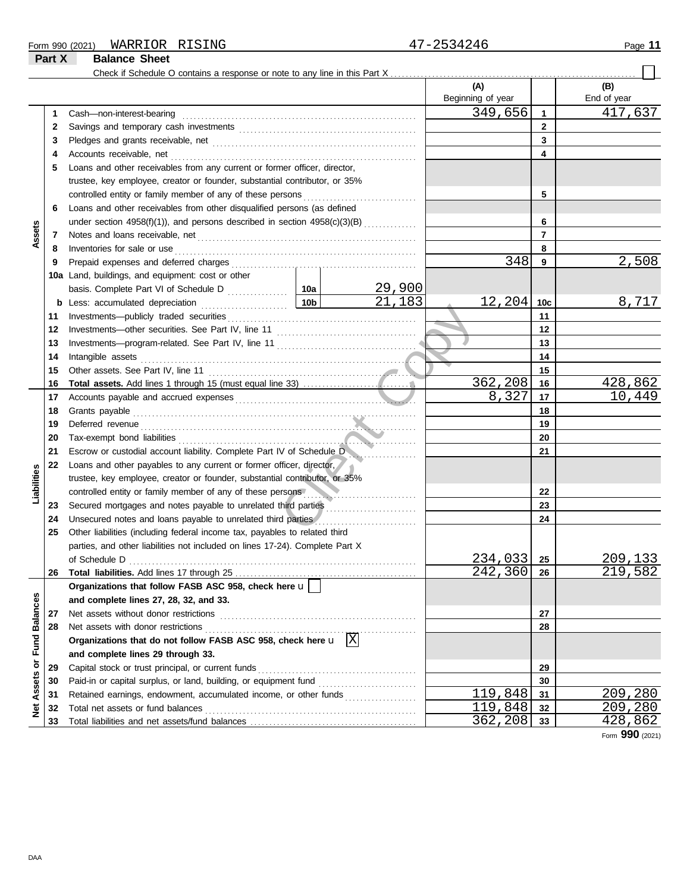#### Form 990 (2021) Page **11** WARRIOR RISING 47-2534246

**Part X Balance Sheet**

#### Check if Schedule O contains a response or note to any line in this Part X **(A) (B)** Beginning of year | End of year 349,656 417,637 Cash—non-interest-bearing . . . . . . . . . . . . . . . . . . . . . . . . . . . . . . . . . . . . . . . . . . . . . . . . . . . . . . . . . . . . . . **1 1 2** 2 Savings and temporary cash investments **contain the container and the set of the set of the set of the set of the set of the set of the set of the set of the set of the set of the set of the set of the set of the set of 3 3** Pledges and grants receivable, net . . . . . . . . . . . . . . . . . . . . . . . . . . . . . . . . . . . . . . . . . . . . . . . . . . . . . . **4 4** Accounts receivable, net . . . . . . . . . . . . . . . . . . . . . . . . . . . . . . . . . . . . . . . . . . . . . . . . . . . . . . . . . . . . . . . . . **5** Loans and other receivables from any current or former officer, director, trustee, key employee, creator or founder, substantial contributor, or 35% controlled entity or family member of any of these persons **5 6** Loans and other receivables from other disqualified persons (as defined **6** under section  $4958(f)(1)$ , and persons described in section  $4958(c)(3)(B)$  ............. **Assets 7 7** Notes and loans receivable, net . . . . . . . . . . . . . . . . . . . . . . . . . . . . . . . . . . . . . . . . . . . . . . . . . . . . . . . . . . **8 8** Inventories for sale or use . . . . . . . . . . . . . . . . . . . . . . . . . . . . . . . . . . . . . . . . . . . . . . . . . . . . . . . . . . . . . . . . Prepaid expenses and deferred charges . . . . . . . . . . . . . . . . . . . . . . . . . . . . . . . . . . . . . . . . . . . . . . . . . 348 2,508 **9 9 10a** Land, buildings, and equipment: cost or other <u>29,900</u><br>21,183 basis. Complete Part VI of Schedule D . . . . . . . . . . . . 10a  $12,204$  10c 8,717 **10c b** Less: accumulated depreciation . . . . . . . . . . . . . . . . . . . . . . . **10b** and the contract of the contract of the contract of the contract of the contract of the contract of the contract of the contract of the contract of the contract of the contract of the contract of the contract of the contra Investments—publicly traded securities . . . . . . . . . . . . . . . . . . . . . . . . . . . . . . . . . . . . . . . . . . . . . . . . . . **11 11 12 12** Investments—other securities. See Part IV, line 11 . . . . . . . . . . . . . . . . . . . . . . . . . . . . . . . . . . . . . **13 13** Investments—program-related. See Part IV, line 11 . . . . . . . . . . . . . . . . . . . . . . . . . . . . . . . . . . . . . 14 Intangible assets ........ Intangible assets . . . . . . . . . . . . . . . . . . . . . . . . . . . . . . . . . . . . . . . . . . . . . . . . . . . . . . . . . . . . . . . . . . . . . . . . . **14 15 15** Other assets. See Part IV, line 11 . . . . . . . . . . . . . . . . . . . . . . . . . . . . . . . . . . . . . . . . . . . . . . . . . . . . . . . **Total assets.** Add lines 1 through 15 (must equal line 33) ................... 362,208 16 428,862<br>8,327 17 10,449 **16 16** 10,449 **17** Accounts payable and accrued expenses . . . . . . . . . . . . . . . . . . . . . . . . . . . . . . . . . . . . . . . . . . . . . . . . **17** Grants payable . . . . . . . . . . . . . . . . . . . . . . . . . . . . . . . . . . . . . . . . . . . . . . . . . . . . . . . . . . . . . . . . . . . . . . . . . . . **18 18 19 19** Deferred revenue . . . . . . . . . . . . . . . . . . . . . . . . . . . . . . . . . . . . . . . . . . . . . . . . . . . . . . . . . . . . . . . . . . . . . . . . . **20 20** Tax-exempt bond liabilities . . . . . . . . . . . . . . . . . . . . . . . . . . . . . . . . . . . . . . . . . . . . . . . . . . . . . . . . . . . . . . . **21 21** Escrow or custodial account liability. Complete Part IV of Schedule D . . . . . . . . . . . . . . . . . . **22** Loans and other payables to any current or former officer, director, **Liabilities** trustee, key employee, creator or founder, substantial contributor, or 35% **22** controlled entity or family member of any of these persons **23** Secured mortgages and notes payable to unrelated third parties **23 24** Unsecured notes and loans payable to unrelated third parties **24 25** Other liabilities (including federal income tax, payables to related third parties, and other liabilities not included on lines 17-24). Complete Part X of Schedule D . . . . . . . . . . . . . . . . . . . . . . . . . . . . . . . . . . . . . . . . . . . . . . . . . . . . . . . . . . . . . . . . . . . . . . . . . . . .  $\begin{array}{|c|c|c|c|}\n \hline\n 234,033 & \textbf{25} & \textbf{209,133} \\
 \hline\n 242,360 & \textbf{26} & \textbf{219,582}\n \hline\n \end{array}$ **25** 242,360 **26** Total liabilities. Add lines 17 through 25 **26 Organizations that follow FASB ASC 958, check here** u Net Assets or Fund Balances **Net Assets or Fund Balances and complete lines 27, 28, 32, and 33. 27** Net assets without donor restrictions . . . . . . . . . . . . . . . . . . . . . . . . . . . . . . . . . . . . . . . . . . . . . . . . . . . . **27 28 28** Net assets with donor restrictions . . . . . . . . . . . . . . . . . . . . . . . . . . . . . . . . . . . . . . . . . . . . . . . . . . . . . . . . Organizations that do not follow FASB ASC 958, check here  $\mathbf{u} \phantom{a} \mathbf{X}$ **and complete lines 29 through 33.** Capital stock or trust principal, or current funds . . . . . . . . . . . . . . . . . . . . . . . . . . . . . . . . . . . . . . . . . . **29 29** Paid-in or capital surplus, or land, building, or equipment fund ........................... **30 30** 119,848 31 209,280<br>119,848 32 209,280 **31** Retained earnings, endowment, accumulated income, or other funds . . . . . . . . . . . . . . . . . . . **31** Total net assets or fund balances . . . . . . . . . . . . . . . . . . . . . . . . . . . . . . . . . . . . . . . . . . . . . . . . . . . . . . . .  $\begin{array}{|c|c|c|c|c|}\n \hline\n 119,848 & \mathbf{32} & 209,280 \\
 \hline\n 362,208 & \mathbf{33} & 428,862\n \end{array}$ **32 32 33** Total liabilities and net assets/fund balances .... 362,208 **33**

Form **990** (2021)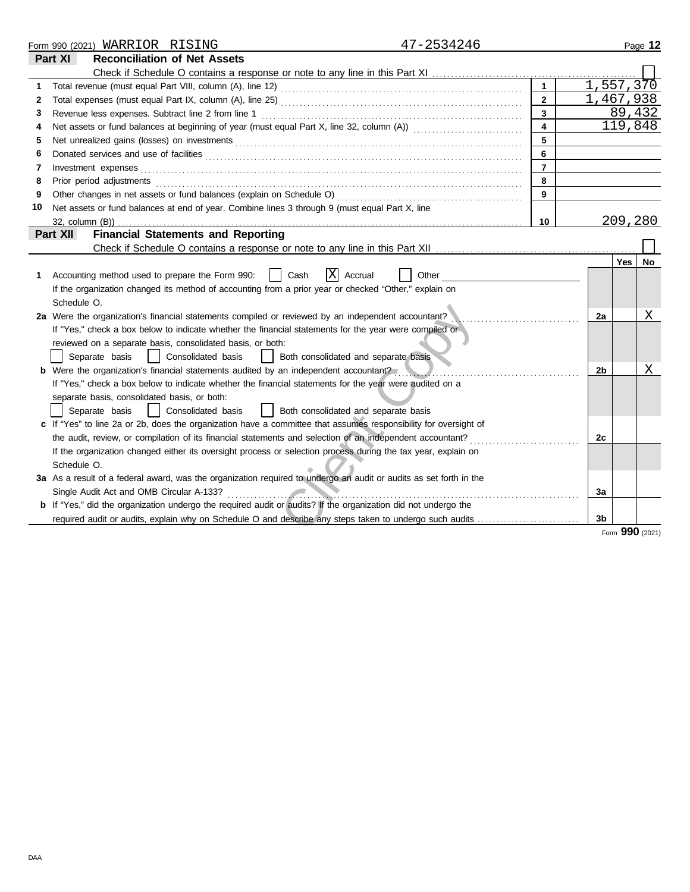|    | Form 990 (2021) WARRIOR RISING                                                                                                                                                                                                                                                   | 47-2534246              |                |         | Page 12 |
|----|----------------------------------------------------------------------------------------------------------------------------------------------------------------------------------------------------------------------------------------------------------------------------------|-------------------------|----------------|---------|---------|
|    | Part XI<br><b>Reconciliation of Net Assets</b>                                                                                                                                                                                                                                   |                         |                |         |         |
|    |                                                                                                                                                                                                                                                                                  |                         |                |         |         |
| 1  |                                                                                                                                                                                                                                                                                  | $\overline{1}$          | 1,557,370      |         |         |
| 2  |                                                                                                                                                                                                                                                                                  | $\overline{2}$          | 1,467,938      |         |         |
| 3  |                                                                                                                                                                                                                                                                                  | 3                       |                |         | 89,432  |
| 4  |                                                                                                                                                                                                                                                                                  | $\overline{\mathbf{4}}$ |                |         | 119,848 |
| 5  |                                                                                                                                                                                                                                                                                  | 5                       |                |         |         |
| 6  |                                                                                                                                                                                                                                                                                  | 6                       |                |         |         |
| 7  | Investment expenses                                                                                                                                                                                                                                                              | $\overline{7}$          |                |         |         |
| 8  | Prior period adjustments                                                                                                                                                                                                                                                         | 8                       |                |         |         |
| 9  |                                                                                                                                                                                                                                                                                  | 9                       |                |         |         |
| 10 | Net assets or fund balances at end of year. Combine lines 3 through 9 (must equal Part X, line                                                                                                                                                                                   |                         |                |         |         |
|    | $32$ , column $(B)$ )<br>. <u>.</u>                                                                                                                                                                                                                                              | 10                      |                | 209,280 |         |
|    | <b>Financial Statements and Reporting</b><br>Part XII                                                                                                                                                                                                                            |                         |                |         |         |
|    |                                                                                                                                                                                                                                                                                  |                         |                |         |         |
|    |                                                                                                                                                                                                                                                                                  |                         |                | Yes     | No      |
| 1  | ΙX<br>Accounting method used to prepare the Form 990:<br>Cash<br>Accrual<br>$\perp$                                                                                                                                                                                              | Other                   |                |         |         |
|    | If the organization changed its method of accounting from a prior year or checked "Other," explain on                                                                                                                                                                            |                         |                |         |         |
|    | Schedule O.                                                                                                                                                                                                                                                                      |                         |                |         |         |
|    | 2a Were the organization's financial statements compiled or reviewed by an independent accountant?                                                                                                                                                                               |                         | 2a             |         | X       |
|    | If "Yes," check a box below to indicate whether the financial statements for the year were compiled or                                                                                                                                                                           |                         |                |         |         |
|    | reviewed on a separate basis, consolidated basis, or both:                                                                                                                                                                                                                       |                         |                |         |         |
|    | Separate basis<br>Consolidated basis<br>Both consolidated and separate basis                                                                                                                                                                                                     |                         |                |         |         |
|    | <b>b</b> Were the organization's financial statements audited by an independent accountant?                                                                                                                                                                                      |                         | 2b             |         | Χ       |
|    | If "Yes," check a box below to indicate whether the financial statements for the year were audited on a                                                                                                                                                                          |                         |                |         |         |
|    | separate basis, consolidated basis, or both:                                                                                                                                                                                                                                     |                         |                |         |         |
|    | Consolidated basis<br>Both consolidated and separate basis<br>Separate basis                                                                                                                                                                                                     |                         |                |         |         |
|    | c If "Yes" to line 2a or 2b, does the organization have a committee that assumes responsibility for oversight of                                                                                                                                                                 |                         |                |         |         |
|    | the audit, review, or compilation of its financial statements and selection of an independent accountant?                                                                                                                                                                        |                         | 2c             |         |         |
|    | If the organization changed either its oversight process or selection process during the tax year, explain on                                                                                                                                                                    |                         |                |         |         |
|    | Schedule O.                                                                                                                                                                                                                                                                      |                         |                |         |         |
|    | 3a As a result of a federal award, was the organization required to undergo an audit or audits as set forth in the                                                                                                                                                               |                         |                |         |         |
|    | Single Audit Act and OMB Circular A-133?<br><u>and the state of the state of the state of the state of the state of the state of the state of the state of the state of the state of the state of the state of the state of the state of the state of the state of the state</u> |                         | За             |         |         |
|    | <b>b</b> If "Yes," did the organization undergo the required audit or audits? If the organization did not undergo the                                                                                                                                                            |                         |                |         |         |
|    | required audit or audits, explain why on Schedule O and describe any steps taken to undergo such audits                                                                                                                                                                          |                         | 3 <sub>b</sub> |         |         |
|    |                                                                                                                                                                                                                                                                                  |                         |                | aan     |         |

Form **990** (2021)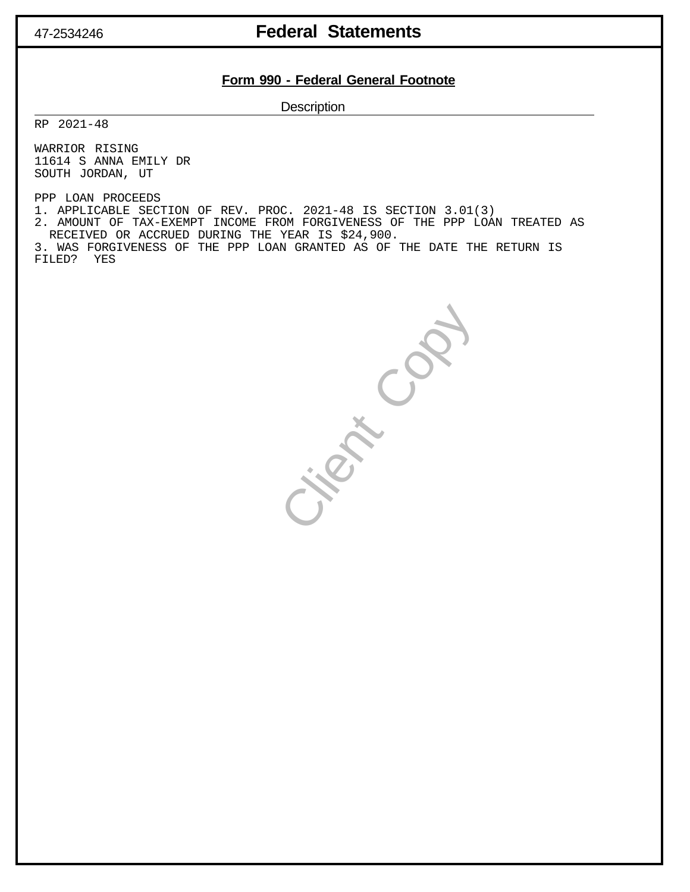## 47-2534246 **Federal Statements**

#### **Form 990 - Federal General Footnote**

**Description** 

RP 2021-48

WARRIOR RISING 11614 S ANNA EMILY DR SOUTH JORDAN, UT

PPP LOAN PROCEEDS

1. APPLICABLE SECTION OF REV. PROC. 2021-48 IS SECTION 3.01(3)

2. AMOUNT OF TAX-EXEMPT INCOME FROM FORGIVENESS OF THE PPP LOAN TREATED AS RECEIVED OR ACCRUED DURING THE YEAR IS \$24,900.

3. WAS FORGIVENESS OF THE PPP LOAN GRANTED AS OF THE DATE THE RETURN IS FILED? YES

Clark Copy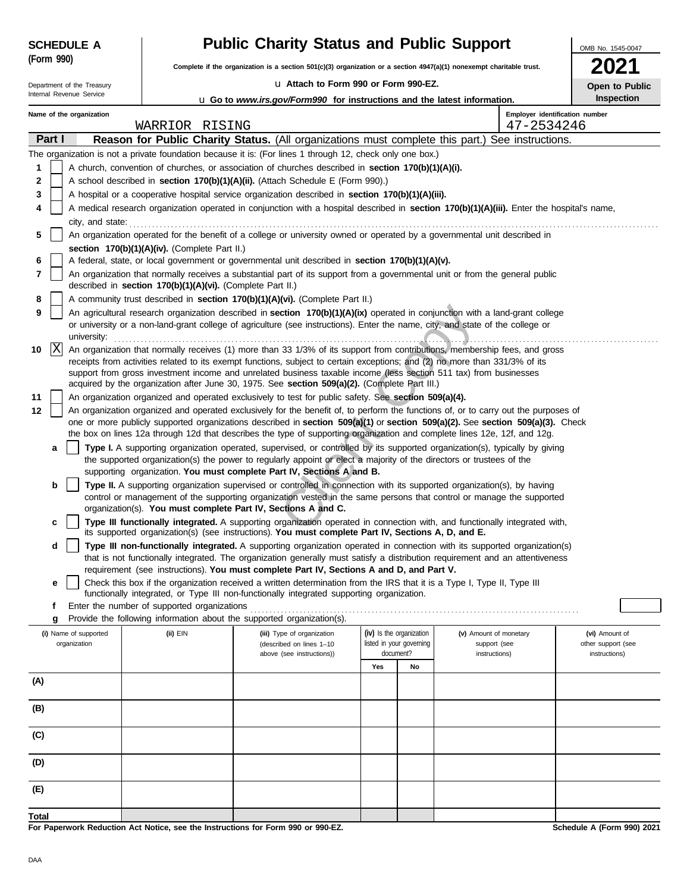| <b>SCHEDULE A</b> |  |
|-------------------|--|
| (Form 990)        |  |

# **A Public Charity Status and Public Support**

**Complete if the organization is a section 501(c)(3) organization or a section 4947(a)(1) nonexempt charitable trust.**

| u Attach to Form 990 or Form 990-EZ. |
|--------------------------------------|
|--------------------------------------|

| 2021                  |
|-----------------------|
| <b>Open to Public</b> |

OMB No. 1545-0047

| Department of the Treasury<br>U Attach to Form 990 or Form 990-EZ.<br>Internal Revenue Service |                                                                                                                           |                          |  |                                                            |                                                                                                                                                                                                                                                     |     | Open to Public           |                        |                                |                    |
|------------------------------------------------------------------------------------------------|---------------------------------------------------------------------------------------------------------------------------|--------------------------|--|------------------------------------------------------------|-----------------------------------------------------------------------------------------------------------------------------------------------------------------------------------------------------------------------------------------------------|-----|--------------------------|------------------------|--------------------------------|--------------------|
|                                                                                                |                                                                                                                           |                          |  |                                                            | <b>u</b> Go to <i>www.irs.gov/Form990</i> for instructions and the latest information.                                                                                                                                                              |     |                          |                        |                                | Inspection         |
|                                                                                                |                                                                                                                           | Name of the organization |  |                                                            |                                                                                                                                                                                                                                                     |     |                          |                        | Employer identification number |                    |
|                                                                                                |                                                                                                                           |                          |  | WARRIOR RISING                                             |                                                                                                                                                                                                                                                     |     |                          |                        | 47-2534246                     |                    |
|                                                                                                | Part I                                                                                                                    |                          |  |                                                            | Reason for Public Charity Status. (All organizations must complete this part.) See instructions.                                                                                                                                                    |     |                          |                        |                                |                    |
|                                                                                                |                                                                                                                           |                          |  |                                                            | The organization is not a private foundation because it is: (For lines 1 through 12, check only one box.)                                                                                                                                           |     |                          |                        |                                |                    |
| 1                                                                                              |                                                                                                                           |                          |  |                                                            | A church, convention of churches, or association of churches described in section 170(b)(1)(A)(i).                                                                                                                                                  |     |                          |                        |                                |                    |
| 2                                                                                              |                                                                                                                           |                          |  |                                                            | A school described in section 170(b)(1)(A)(ii). (Attach Schedule E (Form 990).)                                                                                                                                                                     |     |                          |                        |                                |                    |
| 3                                                                                              |                                                                                                                           |                          |  |                                                            | A hospital or a cooperative hospital service organization described in section 170(b)(1)(A)(iii).                                                                                                                                                   |     |                          |                        |                                |                    |
| 4                                                                                              |                                                                                                                           |                          |  |                                                            | A medical research organization operated in conjunction with a hospital described in section 170(b)(1)(A)(iii). Enter the hospital's name,                                                                                                          |     |                          |                        |                                |                    |
|                                                                                                |                                                                                                                           | city, and state:         |  |                                                            |                                                                                                                                                                                                                                                     |     |                          |                        |                                |                    |
| 5                                                                                              | An organization operated for the benefit of a college or university owned or operated by a governmental unit described in |                          |  |                                                            |                                                                                                                                                                                                                                                     |     |                          |                        |                                |                    |
|                                                                                                |                                                                                                                           |                          |  | section 170(b)(1)(A)(iv). (Complete Part II.)              |                                                                                                                                                                                                                                                     |     |                          |                        |                                |                    |
| 6                                                                                              |                                                                                                                           |                          |  |                                                            | A federal, state, or local government or governmental unit described in section 170(b)(1)(A)(v).                                                                                                                                                    |     |                          |                        |                                |                    |
| 7                                                                                              |                                                                                                                           |                          |  | described in section 170(b)(1)(A)(vi). (Complete Part II.) | An organization that normally receives a substantial part of its support from a governmental unit or from the general public                                                                                                                        |     |                          |                        |                                |                    |
| 8                                                                                              |                                                                                                                           |                          |  |                                                            | A community trust described in section 170(b)(1)(A)(vi). (Complete Part II.)                                                                                                                                                                        |     |                          |                        |                                |                    |
| 9                                                                                              |                                                                                                                           |                          |  |                                                            | An agricultural research organization described in section 170(b)(1)(A)(ix) operated in conjunction with a land-grant college                                                                                                                       |     |                          |                        |                                |                    |
|                                                                                                |                                                                                                                           |                          |  |                                                            | or university or a non-land-grant college of agriculture (see instructions). Enter the name, city, and state of the college or                                                                                                                      |     |                          |                        |                                |                    |
| 10                                                                                             | X                                                                                                                         | university:              |  |                                                            | An organization that normally receives (1) more than 33 1/3% of its support from contributions. membership fees, and gross                                                                                                                          |     |                          |                        |                                |                    |
|                                                                                                |                                                                                                                           |                          |  |                                                            | receipts from activities related to its exempt functions, subject to certain exceptions; and (2) no more than 331/3% of its                                                                                                                         |     |                          |                        |                                |                    |
|                                                                                                |                                                                                                                           |                          |  |                                                            | support from gross investment income and unrelated business taxable income (less section 511 tax) from businesses                                                                                                                                   |     |                          |                        |                                |                    |
|                                                                                                |                                                                                                                           |                          |  |                                                            | acquired by the organization after June 30, 1975. See section 509(a)(2). (Complete Part III.)                                                                                                                                                       |     |                          |                        |                                |                    |
| 11                                                                                             |                                                                                                                           |                          |  |                                                            | An organization organized and operated exclusively to test for public safety. See section 509(a)(4).                                                                                                                                                |     |                          |                        |                                |                    |
| 12                                                                                             |                                                                                                                           |                          |  |                                                            | An organization organized and operated exclusively for the benefit of, to perform the functions of, or to carry out the purposes of                                                                                                                 |     |                          |                        |                                |                    |
|                                                                                                |                                                                                                                           |                          |  |                                                            | one or more publicly supported organizations described in section 509(a)(1) or section 509(a)(2). See section 509(a)(3). Check                                                                                                                      |     |                          |                        |                                |                    |
|                                                                                                |                                                                                                                           |                          |  |                                                            | the box on lines 12a through 12d that describes the type of supporting organization and complete lines 12e, 12f, and 12g.                                                                                                                           |     |                          |                        |                                |                    |
|                                                                                                | a                                                                                                                         |                          |  |                                                            | Type I. A supporting organization operated, supervised, or controlled by its supported organization(s), typically by giving<br>the supported organization(s) the power to regularly appoint or elect a majority of the directors or trustees of the |     |                          |                        |                                |                    |
|                                                                                                |                                                                                                                           |                          |  |                                                            | supporting organization. You must complete Part IV, Sections A and B.                                                                                                                                                                               |     |                          |                        |                                |                    |
|                                                                                                | b                                                                                                                         |                          |  |                                                            | Type II. A supporting organization supervised or controlled in connection with its supported organization(s), by having                                                                                                                             |     |                          |                        |                                |                    |
|                                                                                                |                                                                                                                           |                          |  |                                                            | control or management of the supporting organization vested in the same persons that control or manage the supported                                                                                                                                |     |                          |                        |                                |                    |
|                                                                                                |                                                                                                                           |                          |  |                                                            | organization(s). You must complete Part IV, Sections A and C.                                                                                                                                                                                       |     |                          |                        |                                |                    |
|                                                                                                | c                                                                                                                         |                          |  |                                                            | Type III functionally integrated. A supporting organization operated in connection with, and functionally integrated with,<br>its supported organization(s) (see instructions). You must complete Part IV, Sections A, D, and E.                    |     |                          |                        |                                |                    |
|                                                                                                | d                                                                                                                         |                          |  |                                                            | Type III non-functionally integrated. A supporting organization operated in connection with its supported organization(s)                                                                                                                           |     |                          |                        |                                |                    |
|                                                                                                |                                                                                                                           |                          |  |                                                            | that is not functionally integrated. The organization generally must satisfy a distribution requirement and an attentiveness                                                                                                                        |     |                          |                        |                                |                    |
|                                                                                                |                                                                                                                           |                          |  |                                                            | requirement (see instructions). You must complete Part IV, Sections A and D, and Part V.                                                                                                                                                            |     |                          |                        |                                |                    |
|                                                                                                | е                                                                                                                         |                          |  |                                                            | Check this box if the organization received a written determination from the IRS that it is a Type I, Type II, Type III                                                                                                                             |     |                          |                        |                                |                    |
|                                                                                                |                                                                                                                           |                          |  |                                                            | functionally integrated, or Type III non-functionally integrated supporting organization.                                                                                                                                                           |     |                          |                        |                                |                    |
|                                                                                                | g                                                                                                                         |                          |  | Enter the number of supported organizations                | Provide the following information about the supported organization(s).                                                                                                                                                                              |     |                          |                        |                                |                    |
|                                                                                                |                                                                                                                           | (i) Name of supported    |  | (ii) EIN                                                   | (iii) Type of organization                                                                                                                                                                                                                          |     | (iv) Is the organization | (v) Amount of monetary |                                | (vi) Amount of     |
|                                                                                                |                                                                                                                           | organization             |  |                                                            | (described on lines 1-10                                                                                                                                                                                                                            |     | listed in your governing | support (see           |                                | other support (see |
|                                                                                                |                                                                                                                           |                          |  |                                                            | above (see instructions))                                                                                                                                                                                                                           |     | document?                | instructions)          |                                | instructions)      |
|                                                                                                |                                                                                                                           |                          |  |                                                            |                                                                                                                                                                                                                                                     | Yes | No                       |                        |                                |                    |
| (A)                                                                                            |                                                                                                                           |                          |  |                                                            |                                                                                                                                                                                                                                                     |     |                          |                        |                                |                    |
|                                                                                                |                                                                                                                           |                          |  |                                                            |                                                                                                                                                                                                                                                     |     |                          |                        |                                |                    |
| (B)                                                                                            |                                                                                                                           |                          |  |                                                            |                                                                                                                                                                                                                                                     |     |                          |                        |                                |                    |
| (C)                                                                                            |                                                                                                                           |                          |  |                                                            |                                                                                                                                                                                                                                                     |     |                          |                        |                                |                    |
| (D)                                                                                            |                                                                                                                           |                          |  |                                                            |                                                                                                                                                                                                                                                     |     |                          |                        |                                |                    |
|                                                                                                |                                                                                                                           |                          |  |                                                            |                                                                                                                                                                                                                                                     |     |                          |                        |                                |                    |
| (E)                                                                                            |                                                                                                                           |                          |  |                                                            |                                                                                                                                                                                                                                                     |     |                          |                        |                                |                    |
| Total                                                                                          |                                                                                                                           |                          |  |                                                            |                                                                                                                                                                                                                                                     |     |                          |                        |                                |                    |

**For Paperwork Reduction Act Notice, see the Instructions for Form 990 or 990-EZ.**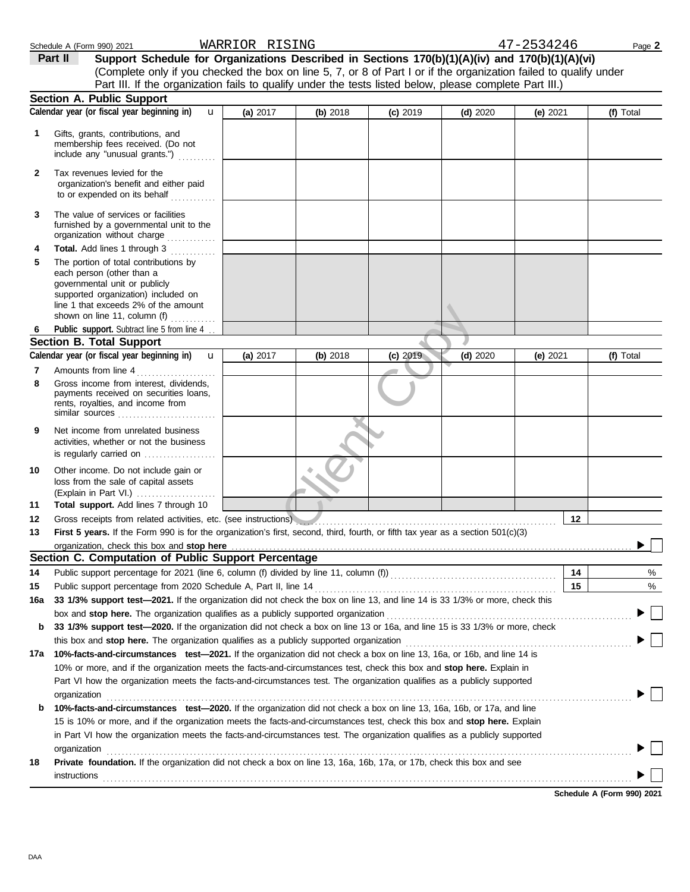|     | Schedule A (Form 990) 2021                                                                                                                                                                                                    | WARRIOR RISING |          |            |            | 47-2534246 |    | Page 2    |
|-----|-------------------------------------------------------------------------------------------------------------------------------------------------------------------------------------------------------------------------------|----------------|----------|------------|------------|------------|----|-----------|
|     | Support Schedule for Organizations Described in Sections 170(b)(1)(A)(iv) and 170(b)(1)(A)(vi)<br>Part II                                                                                                                     |                |          |            |            |            |    |           |
|     | (Complete only if you checked the box on line 5, 7, or 8 of Part I or if the organization failed to qualify under                                                                                                             |                |          |            |            |            |    |           |
|     | Part III. If the organization fails to qualify under the tests listed below, please complete Part III.)                                                                                                                       |                |          |            |            |            |    |           |
|     | <b>Section A. Public Support</b>                                                                                                                                                                                              |                |          |            |            |            |    |           |
|     | Calendar year (or fiscal year beginning in)<br>$\mathbf{u}$                                                                                                                                                                   | (a) 2017       | (b) 2018 | $(c)$ 2019 | $(d)$ 2020 | (e) $2021$ |    | (f) Total |
| 1   | Gifts, grants, contributions, and                                                                                                                                                                                             |                |          |            |            |            |    |           |
|     | membership fees received. (Do not                                                                                                                                                                                             |                |          |            |            |            |    |           |
|     | include any "unusual grants.")                                                                                                                                                                                                |                |          |            |            |            |    |           |
| 2   | Tax revenues levied for the                                                                                                                                                                                                   |                |          |            |            |            |    |           |
|     | organization's benefit and either paid                                                                                                                                                                                        |                |          |            |            |            |    |           |
|     | to or expended on its behalf                                                                                                                                                                                                  |                |          |            |            |            |    |           |
| 3   | The value of services or facilities                                                                                                                                                                                           |                |          |            |            |            |    |           |
|     | furnished by a governmental unit to the                                                                                                                                                                                       |                |          |            |            |            |    |           |
|     | organization without charge                                                                                                                                                                                                   |                |          |            |            |            |    |           |
| 4   | Total. Add lines 1 through 3<br>The portion of total contributions by                                                                                                                                                         |                |          |            |            |            |    |           |
| 5   | each person (other than a                                                                                                                                                                                                     |                |          |            |            |            |    |           |
|     | governmental unit or publicly                                                                                                                                                                                                 |                |          |            |            |            |    |           |
|     | supported organization) included on                                                                                                                                                                                           |                |          |            |            |            |    |           |
|     | line 1 that exceeds 2% of the amount<br>shown on line 11, column (f) $\ldots$                                                                                                                                                 |                |          |            |            |            |    |           |
| 6   | Public support. Subtract line 5 from line 4                                                                                                                                                                                   |                |          |            |            |            |    |           |
|     | <b>Section B. Total Support</b>                                                                                                                                                                                               |                |          |            |            |            |    |           |
|     | Calendar year (or fiscal year beginning in)<br>$\mathbf{u}$                                                                                                                                                                   | (a) 2017       | (b) 2018 | (c) 2019   | $(d)$ 2020 | (e) $2021$ |    | (f) Total |
| 7   | Amounts from line 4                                                                                                                                                                                                           |                |          |            |            |            |    |           |
| 8   | .<br>Gross income from interest, dividends,                                                                                                                                                                                   |                |          |            |            |            |    |           |
|     | payments received on securities loans,                                                                                                                                                                                        |                |          |            |            |            |    |           |
|     | rents, royalties, and income from                                                                                                                                                                                             |                |          |            |            |            |    |           |
|     |                                                                                                                                                                                                                               |                |          |            |            |            |    |           |
| 9   | Net income from unrelated business<br>activities, whether or not the business                                                                                                                                                 |                |          |            |            |            |    |           |
|     | is regularly carried on                                                                                                                                                                                                       |                |          |            |            |            |    |           |
|     |                                                                                                                                                                                                                               |                |          |            |            |            |    |           |
| 10  | Other income. Do not include gain or<br>loss from the sale of capital assets                                                                                                                                                  |                |          |            |            |            |    |           |
|     | (Explain in Part VI.)                                                                                                                                                                                                         |                |          |            |            |            |    |           |
| 11  | Total support. Add lines 7 through 10                                                                                                                                                                                         |                |          |            |            |            |    |           |
| 12  | Gross receipts from related activities, etc. (see instructions)                                                                                                                                                               |                |          |            |            |            | 12 |           |
| 13  | First 5 years. If the Form 990 is for the organization's first, second, third, fourth, or fifth tax year as a section 501(c)(3)                                                                                               |                |          |            |            |            |    |           |
|     | organization, check this box and stop here                                                                                                                                                                                    |                |          |            |            |            |    |           |
|     | Section C. Computation of Public Support Percentage                                                                                                                                                                           |                |          |            |            |            |    |           |
| 14  |                                                                                                                                                                                                                               |                |          |            |            |            | 14 | %         |
| 15  | Public support percentage from 2020 Schedule A, Part II, line 14                                                                                                                                                              |                |          |            |            |            | 15 | %         |
| 16a | 33 1/3% support test-2021. If the organization did not check the box on line 13, and line 14 is 33 1/3% or more, check this                                                                                                   |                |          |            |            |            |    |           |
|     | box and stop here. The organization qualifies as a publicly supported organization [11] content content content and stop here. The organization [11] or an analyzed organization [11] $\alpha$                                |                |          |            |            |            |    |           |
| b   | 33 1/3% support test-2020. If the organization did not check a box on line 13 or 16a, and line 15 is 33 1/3% or more, check                                                                                                   |                |          |            |            |            |    |           |
|     | this box and stop here. The organization qualifies as a publicly supported organization [11] content content content of the content of the content of the content of the content of the content of the content of the content |                |          |            |            |            |    |           |
| 17a | 10%-facts-and-circumstances test-2021. If the organization did not check a box on line 13, 16a, or 16b, and line 14 is                                                                                                        |                |          |            |            |            |    |           |
|     | 10% or more, and if the organization meets the facts-and-circumstances test, check this box and stop here. Explain in                                                                                                         |                |          |            |            |            |    |           |
|     | Part VI how the organization meets the facts-and-circumstances test. The organization qualifies as a publicly supported                                                                                                       |                |          |            |            |            |    |           |
|     | organization                                                                                                                                                                                                                  |                |          |            |            |            |    |           |
| b   | 10%-facts-and-circumstances test-2020. If the organization did not check a box on line 13, 16a, 16b, or 17a, and line                                                                                                         |                |          |            |            |            |    |           |
|     | 15 is 10% or more, and if the organization meets the facts-and-circumstances test, check this box and stop here. Explain                                                                                                      |                |          |            |            |            |    |           |
|     | in Part VI how the organization meets the facts-and-circumstances test. The organization qualifies as a publicly supported                                                                                                    |                |          |            |            |            |    |           |
| 18  | organization<br>Private foundation. If the organization did not check a box on line 13, 16a, 16b, 17a, or 17b, check this box and see                                                                                         |                |          |            |            |            |    |           |
|     |                                                                                                                                                                                                                               |                |          |            |            |            |    |           |
|     | instructions                                                                                                                                                                                                                  |                |          |            |            |            |    |           |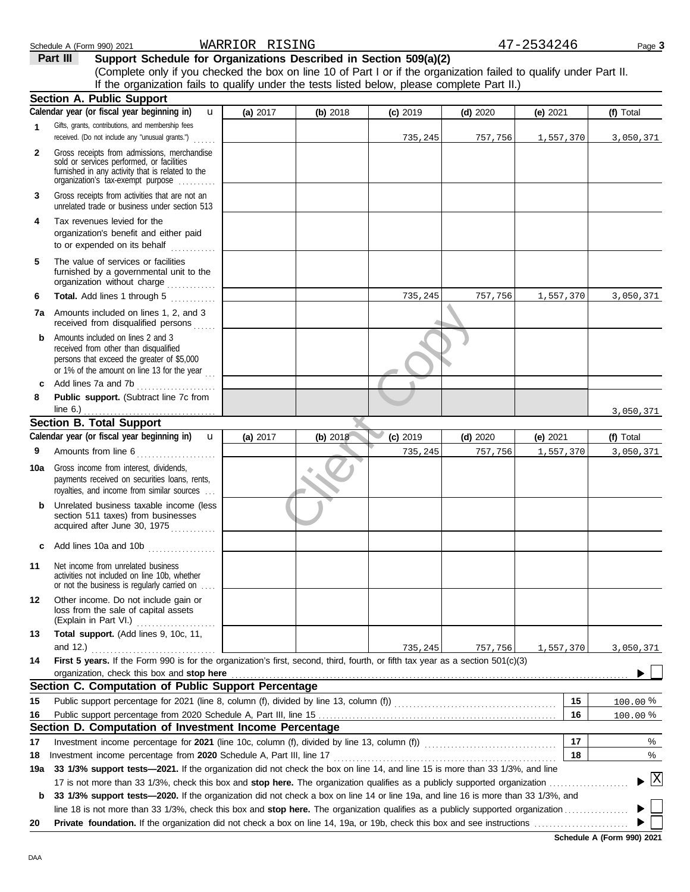|              | Schedule A (Form 990) 2021                                                                                                                                                                                                         | WARRIOR RISING |          |            |            | 47-2534246 | Page 3    |
|--------------|------------------------------------------------------------------------------------------------------------------------------------------------------------------------------------------------------------------------------------|----------------|----------|------------|------------|------------|-----------|
|              | Support Schedule for Organizations Described in Section 509(a)(2)<br>Part III                                                                                                                                                      |                |          |            |            |            |           |
|              | (Complete only if you checked the box on line 10 of Part I or if the organization failed to qualify under Part II.                                                                                                                 |                |          |            |            |            |           |
|              | If the organization fails to qualify under the tests listed below, please complete Part II.)                                                                                                                                       |                |          |            |            |            |           |
|              | <b>Section A. Public Support</b><br>Calendar year (or fiscal year beginning in)<br>$\mathbf{u}$                                                                                                                                    | (a) 2017       | (b) 2018 | $(c)$ 2019 | $(d)$ 2020 | (e) 2021   | (f) Total |
| $\mathbf{1}$ | Gifts, grants, contributions, and membership fees                                                                                                                                                                                  |                |          |            |            |            |           |
|              | received. (Do not include any "unusual grants.")                                                                                                                                                                                   |                |          | 735,245    | 757,756    | 1,557,370  | 3,050,371 |
| $\mathbf{2}$ | Gross receipts from admissions, merchandise<br>sold or services performed, or facilities<br>furnished in any activity that is related to the<br>organization's tax-exempt purpose                                                  |                |          |            |            |            |           |
| 3            | Gross receipts from activities that are not an<br>unrelated trade or business under section 513                                                                                                                                    |                |          |            |            |            |           |
| 4            | Tax revenues levied for the<br>organization's benefit and either paid<br>to or expended on its behalf<br>.                                                                                                                         |                |          |            |            |            |           |
| 5            | The value of services or facilities<br>furnished by a governmental unit to the<br>organization without charge                                                                                                                      |                |          |            |            |            |           |
| 6            | Total. Add lines 1 through 5                                                                                                                                                                                                       |                |          | 735,245    | 757,756    | 1,557,370  | 3,050,371 |
|              | <b>7a</b> Amounts included on lines 1, 2, and 3<br>received from disqualified persons<br>a a a a a                                                                                                                                 |                |          |            |            |            |           |
| b            | Amounts included on lines 2 and 3<br>received from other than disqualified<br>persons that exceed the greater of \$5,000<br>or 1% of the amount on line 13 for the year $\ldots$                                                   |                |          |            |            |            |           |
| c            | Add lines 7a and 7b<br>.                                                                                                                                                                                                           |                |          |            |            |            |           |
| 8            | Public support. (Subtract line 7c from<br>line $6.$ )                                                                                                                                                                              |                |          |            |            |            | 3,050,371 |
|              | <b>Section B. Total Support</b>                                                                                                                                                                                                    |                |          |            |            |            |           |
|              | Calendar year (or fiscal year beginning in)<br>$\mathbf{u}$                                                                                                                                                                        | (a) 2017       | (b) 2018 | $(c)$ 2019 | $(d)$ 2020 | (e) $2021$ | (f) Total |
| 9            | Amounts from line 6                                                                                                                                                                                                                |                |          | 735,245    | 757,756    | 1,557,370  | 3,050,371 |
| 10a          | Gross income from interest, dividends,<br>payments received on securities loans, rents,<br>royalties, and income from similar sources                                                                                              |                |          |            |            |            |           |
| b            | Unrelated business taxable income (less<br>section 511 taxes) from businesses<br>acquired after June 30, 1975                                                                                                                      |                |          |            |            |            |           |
| c            |                                                                                                                                                                                                                                    |                |          |            |            |            |           |
| 11           | Net income from unrelated business<br>activities not included on line 10b, whether<br>or not the business is regularly carried on                                                                                                  |                |          |            |            |            |           |
| 12           | Other income. Do not include gain or<br>loss from the sale of capital assets<br>(Explain in Part VI.)                                                                                                                              |                |          |            |            |            |           |
| 13           | Total support. (Add lines 9, 10c, 11,                                                                                                                                                                                              |                |          |            |            |            |           |
| 14           | and 12.)<br>.<br>First 5 years. If the Form 990 is for the organization's first, second, third, fourth, or fifth tax year as a section 501(c)(3)                                                                                   |                |          | 735,245    | 757,756    | 1,557,370  | 3,050,371 |
|              | organization, check this box and stop here <b>construction</b> and construction of the construction of the construction of the construction of the construction of the construction of the construction of the construction of the |                |          |            |            |            |           |
|              | Section C. Computation of Public Support Percentage                                                                                                                                                                                |                |          |            |            |            |           |

Public support percentage from 2020 Schedule A, Part III, line 15 . . . . . . . . . . . . . . . . . . . . . . . . . . . . . . . . . . . . . . . . . . . . . . . . . . . . . . . . . . . . . . . **15** Public support percentage for 2021 (line 8, column (f), divided by line 13, column (f)) . . . . . . . . . . . . . . . . . . . . . . . . . . . . . . . . . . . . . . . . . . .

Investment income percentage for **2021** (line 10c, column (f), divided by line 13, column (f))  $\ldots$ 

Investment income percentage from **2020** Schedule A, Part III, line 17 . . . . . . . . . . . . . . . . . . . . . . . . . . . . . . . . . . . . . . . . . . . . . . . . . . . . . . . . . . .

**19a 33 1/3% support tests—2021.** If the organization did not check the box on line 14, and line 15 is more than 33 1/3%, and line

17 is not more than 33 1/3%, check this box and **stop here.** The organization qualifies as a publicly supported organization . . . . . . . . . . . . . . . . . . . . .

**Section D. Computation of Investment Income Percentage**

| <b>b</b> 33 1/3% support tests—2020. If the organization did not check a box on line 14 or line 19a, and line 16 is more than 33 1/3%, and      |  |
|-------------------------------------------------------------------------------------------------------------------------------------------------|--|
| line 18 is not more than 33 1/3%, check this box and <b>stop here.</b> The organization qualifies as a publicly supported organization $\ldots$ |  |
|                                                                                                                                                 |  |

**Schedule A (Form 990) 2021**

**16 15**

**17 18** % 100.00 <u>100.00 %</u>

> % %

 $\blacktriangleright$   $\mathbb{X}$ 

**20** Private foundation. If

**16**

**18**

**17**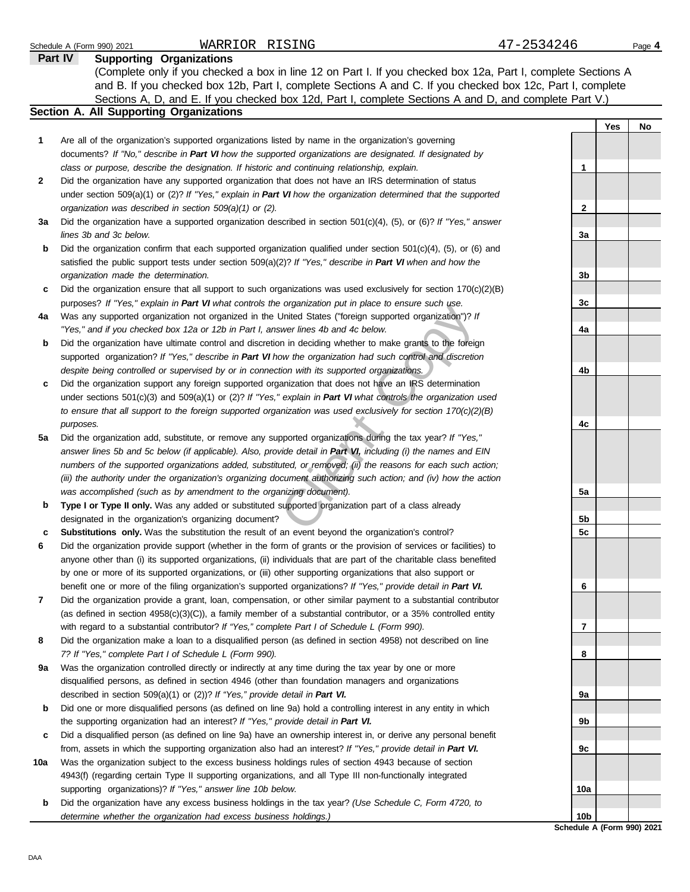|     | WARRIOR RISING<br>Schedule A (Form 990) 2021                                                                                                                                                                       | 47-2534246      |     | Page 4 |
|-----|--------------------------------------------------------------------------------------------------------------------------------------------------------------------------------------------------------------------|-----------------|-----|--------|
|     | <b>Supporting Organizations</b><br><b>Part IV</b>                                                                                                                                                                  |                 |     |        |
|     | (Complete only if you checked a box in line 12 on Part I. If you checked box 12a, Part I, complete Sections A                                                                                                      |                 |     |        |
|     | and B. If you checked box 12b, Part I, complete Sections A and C. If you checked box 12c, Part I, complete                                                                                                         |                 |     |        |
|     | Sections A, D, and E. If you checked box 12d, Part I, complete Sections A and D, and complete Part V.)                                                                                                             |                 |     |        |
|     | Section A. All Supporting Organizations                                                                                                                                                                            |                 |     |        |
|     |                                                                                                                                                                                                                    |                 | Yes | No     |
| 1   | Are all of the organization's supported organizations listed by name in the organization's governing                                                                                                               |                 |     |        |
|     | documents? If "No," describe in Part VI how the supported organizations are designated. If designated by                                                                                                           |                 |     |        |
|     | class or purpose, describe the designation. If historic and continuing relationship, explain.                                                                                                                      | 1               |     |        |
| 2   | Did the organization have any supported organization that does not have an IRS determination of status                                                                                                             |                 |     |        |
|     | under section 509(a)(1) or (2)? If "Yes," explain in Part VI how the organization determined that the supported                                                                                                    |                 |     |        |
|     | organization was described in section 509(a)(1) or (2).                                                                                                                                                            | 2               |     |        |
| За  | Did the organization have a supported organization described in section $501(c)(4)$ , (5), or (6)? If "Yes," answer                                                                                                |                 |     |        |
|     | lines 3b and 3c below.                                                                                                                                                                                             | 3a              |     |        |
| b   | Did the organization confirm that each supported organization qualified under section $501(c)(4)$ , $(5)$ , or $(6)$ and                                                                                           |                 |     |        |
|     | satisfied the public support tests under section 509(a)(2)? If "Yes," describe in Part VI when and how the                                                                                                         |                 |     |        |
|     | organization made the determination.                                                                                                                                                                               | 3b              |     |        |
|     | Did the organization ensure that all support to such organizations was used exclusively for section $170(c)(2)(B)$                                                                                                 |                 |     |        |
| c   |                                                                                                                                                                                                                    | 3c              |     |        |
|     | purposes? If "Yes," explain in Part VI what controls the organization put in place to ensure such use.<br>Was any supported organization not organized in the United States ("foreign supported organization")? If |                 |     |        |
| 4a  |                                                                                                                                                                                                                    |                 |     |        |
|     | "Yes," and if you checked box 12a or 12b in Part I, answer lines 4b and 4c below.                                                                                                                                  | 4a              |     |        |
| b   | Did the organization have ultimate control and discretion in deciding whether to make grants to the foreign                                                                                                        |                 |     |        |
|     | supported organization? If "Yes," describe in Part VI how the organization had such control and discretion                                                                                                         |                 |     |        |
|     | despite being controlled or supervised by or in connection with its supported organizations.                                                                                                                       | 4b              |     |        |
| c   | Did the organization support any foreign supported organization that does not have an IRS determination                                                                                                            |                 |     |        |
|     | under sections $501(c)(3)$ and $509(a)(1)$ or (2)? If "Yes," explain in Part VI what controls the organization used                                                                                                |                 |     |        |
|     | to ensure that all support to the foreign supported organization was used exclusively for section $170(c)(2)(B)$                                                                                                   |                 |     |        |
|     | purposes.                                                                                                                                                                                                          | 4c              |     |        |
| 5a  | Did the organization add, substitute, or remove any supported organizations during the tax year? If "Yes,"                                                                                                         |                 |     |        |
|     | answer lines 5b and 5c below (if applicable). Also, provide detail in Part VI, including (i) the names and EIN                                                                                                     |                 |     |        |
|     | numbers of the supported organizations added, substituted, or removed; (ii) the reasons for each such action;                                                                                                      |                 |     |        |
|     | (iii) the authority under the organization's organizing document authorizing such action; and (iv) how the action                                                                                                  |                 |     |        |
|     | was accomplished (such as by amendment to the organizing document).                                                                                                                                                | 5a              |     |        |
| b   | Type I or Type II only. Was any added or substituted supported organization part of a class already                                                                                                                |                 |     |        |
|     | designated in the organization's organizing document?                                                                                                                                                              | 5b              |     |        |
| c   | Substitutions only. Was the substitution the result of an event beyond the organization's control?                                                                                                                 | 5c              |     |        |
|     | Did the organization provide support (whether in the form of grants or the provision of services or facilities) to                                                                                                 |                 |     |        |
|     | anyone other than (i) its supported organizations, (ii) individuals that are part of the charitable class benefited                                                                                                |                 |     |        |
|     | by one or more of its supported organizations, or (iii) other supporting organizations that also support or                                                                                                        |                 |     |        |
|     | benefit one or more of the filing organization's supported organizations? If "Yes," provide detail in Part VI.                                                                                                     | 6               |     |        |
| 7   | Did the organization provide a grant, loan, compensation, or other similar payment to a substantial contributor                                                                                                    |                 |     |        |
|     | (as defined in section $4958(c)(3)(C)$ ), a family member of a substantial contributor, or a 35% controlled entity                                                                                                 |                 |     |        |
|     | with regard to a substantial contributor? If "Yes," complete Part I of Schedule L (Form 990).                                                                                                                      | 7               |     |        |
| 8   | Did the organization make a loan to a disqualified person (as defined in section 4958) not described on line                                                                                                       |                 |     |        |
|     | 7? If "Yes," complete Part I of Schedule L (Form 990).                                                                                                                                                             | 8               |     |        |
| 9а  | Was the organization controlled directly or indirectly at any time during the tax year by one or more                                                                                                              |                 |     |        |
|     | disqualified persons, as defined in section 4946 (other than foundation managers and organizations                                                                                                                 |                 |     |        |
|     | described in section 509(a)(1) or (2))? If "Yes," provide detail in Part VI.                                                                                                                                       | 9а              |     |        |
| b   | Did one or more disqualified persons (as defined on line 9a) hold a controlling interest in any entity in which                                                                                                    |                 |     |        |
|     | the supporting organization had an interest? If "Yes," provide detail in Part VI.                                                                                                                                  | 9b              |     |        |
| c   | Did a disqualified person (as defined on line 9a) have an ownership interest in, or derive any personal benefit                                                                                                    |                 |     |        |
|     | from, assets in which the supporting organization also had an interest? If "Yes," provide detail in Part VI.                                                                                                       | 9с              |     |        |
| 10a | Was the organization subject to the excess business holdings rules of section 4943 because of section                                                                                                              |                 |     |        |
|     | 4943(f) (regarding certain Type II supporting organizations, and all Type III non-functionally integrated                                                                                                          |                 |     |        |
|     | supporting organizations)? If "Yes," answer line 10b below.                                                                                                                                                        | 10a             |     |        |
| b   | Did the organization have any excess business holdings in the tax year? (Use Schedule C, Form 4720, to                                                                                                             |                 |     |        |
|     | determine whether the organization had excess business holdings.)                                                                                                                                                  | 10 <sub>b</sub> |     |        |
|     |                                                                                                                                                                                                                    |                 |     |        |

**Schedule A (Form 990) 2021**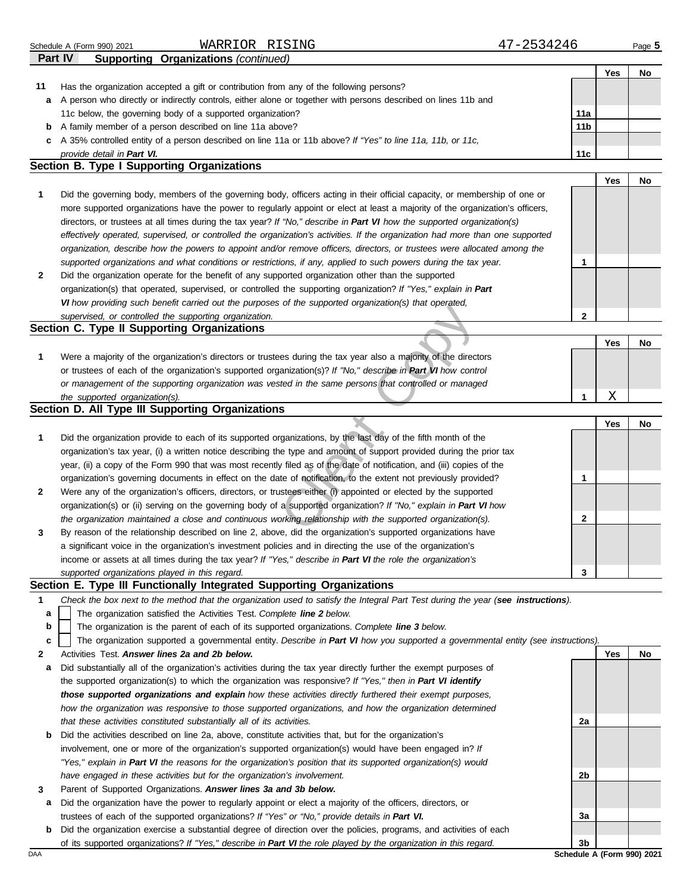| Part IV      | <b>Supporting Organizations (continued)</b>                                                                                       |              |     |                            |
|--------------|-----------------------------------------------------------------------------------------------------------------------------------|--------------|-----|----------------------------|
|              |                                                                                                                                   |              | Yes | No                         |
| 11           | Has the organization accepted a gift or contribution from any of the following persons?                                           |              |     |                            |
| а            | A person who directly or indirectly controls, either alone or together with persons described on lines 11b and                    |              |     |                            |
|              | 11c below, the governing body of a supported organization?                                                                        | 11a          |     |                            |
| b            | A family member of a person described on line 11a above?                                                                          | 11b          |     |                            |
| c            | A 35% controlled entity of a person described on line 11a or 11b above? If "Yes" to line 11a, 11b, or 11c,                        |              |     |                            |
|              | provide detail in Part VI.                                                                                                        | 11c          |     |                            |
|              | Section B. Type I Supporting Organizations                                                                                        |              |     |                            |
|              |                                                                                                                                   |              | Yes | No                         |
| 1            | Did the governing body, members of the governing body, officers acting in their official capacity, or membership of one or        |              |     |                            |
|              | more supported organizations have the power to regularly appoint or elect at least a majority of the organization's officers,     |              |     |                            |
|              | directors, or trustees at all times during the tax year? If "No," describe in Part VI how the supported organization(s)           |              |     |                            |
|              | effectively operated, supervised, or controlled the organization's activities. If the organization had more than one supported    |              |     |                            |
|              | organization, describe how the powers to appoint and/or remove officers, directors, or trustees were allocated among the          |              |     |                            |
|              | supported organizations and what conditions or restrictions, if any, applied to such powers during the tax year.                  | 1            |     |                            |
| $\mathbf{2}$ | Did the organization operate for the benefit of any supported organization other than the supported                               |              |     |                            |
|              | organization(s) that operated, supervised, or controlled the supporting organization? If "Yes," explain in Part                   |              |     |                            |
|              | VI how providing such benefit carried out the purposes of the supported organization(s) that operated,                            |              |     |                            |
|              | supervised, or controlled the supporting organization.                                                                            | $\mathbf{2}$ |     |                            |
|              | Section C. Type II Supporting Organizations                                                                                       |              |     |                            |
|              |                                                                                                                                   |              | Yes | No                         |
| 1            | Were a majority of the organization's directors or trustees during the tax year also a majority of the directors                  |              |     |                            |
|              | or trustees of each of the organization's supported organization(s)? If "No," describe in Part VI how control                     |              |     |                            |
|              | or management of the supporting organization was vested in the same persons that controlled or managed                            |              |     |                            |
|              | the supported organization(s).                                                                                                    | 1            | Χ   |                            |
|              | Section D. All Type III Supporting Organizations                                                                                  |              |     |                            |
|              |                                                                                                                                   |              | Yes | No                         |
| 1            | Did the organization provide to each of its supported organizations, by the last day of the fifth month of the                    |              |     |                            |
|              | organization's tax year, (i) a written notice describing the type and amount of support provided during the prior tax             |              |     |                            |
|              | year, (ii) a copy of the Form 990 that was most recently filed as of the date of notification, and (iii) copies of the            |              |     |                            |
|              | organization's governing documents in effect on the date of notification, to the extent not previously provided?                  | 1            |     |                            |
| 2            | Were any of the organization's officers, directors, or trustees either (i) appointed or elected by the supported                  |              |     |                            |
|              | organization(s) or (ii) serving on the governing body of a supported organization? If "No," explain in Part VI how                |              |     |                            |
|              | the organization maintained a close and continuous working relationship with the supported organization(s).                       | 2            |     |                            |
| 3            | By reason of the relationship described on line 2, above, did the organization's supported organizations have                     |              |     |                            |
|              | a significant voice in the organization's investment policies and in directing the use of the organization's                      |              |     |                            |
|              | income or assets at all times during the tax year? If "Yes," describe in Part VI the role the organization's                      |              |     |                            |
|              | supported organizations played in this regard.                                                                                    | 3            |     |                            |
|              | Section E. Type III Functionally Integrated Supporting Organizations                                                              |              |     |                            |
| 1            | Check the box next to the method that the organization used to satisfy the Integral Part Test during the year (see instructions). |              |     |                            |
| a            | The organization satisfied the Activities Test. Complete line 2 below.                                                            |              |     |                            |
| b            | The organization is the parent of each of its supported organizations. Complete line 3 below.                                     |              |     |                            |
| c            | The organization supported a governmental entity. Describe in Part VI how you supported a governmental entity (see instructions). |              |     |                            |
| $\mathbf{2}$ | Activities Test. Answer lines 2a and 2b below.                                                                                    |              | Yes | No                         |
| а            | Did substantially all of the organization's activities during the tax year directly further the exempt purposes of                |              |     |                            |
|              | the supported organization(s) to which the organization was responsive? If "Yes," then in Part VI identify                        |              |     |                            |
|              | those supported organizations and explain how these activities directly furthered their exempt purposes,                          |              |     |                            |
|              | how the organization was responsive to those supported organizations, and how the organization determined                         |              |     |                            |
|              | that these activities constituted substantially all of its activities.                                                            | 2a           |     |                            |
| b            | Did the activities described on line 2a, above, constitute activities that, but for the organization's                            |              |     |                            |
|              | involvement, one or more of the organization's supported organization(s) would have been engaged in? If                           |              |     |                            |
|              | "Yes," explain in Part VI the reasons for the organization's position that its supported organization(s) would                    |              |     |                            |
|              | have engaged in these activities but for the organization's involvement.                                                          | 2b           |     |                            |
| 3            | Parent of Supported Organizations. Answer lines 3a and 3b below.                                                                  |              |     |                            |
|              | Did the organization have the power to regularly appoint or elect a majority of the officers, directors, or                       |              |     |                            |
| а            | trustees of each of the supported organizations? If "Yes" or "No," provide details in Part VI.                                    | За           |     |                            |
| b            | Did the organization exercise a substantial degree of direction over the policies, programs, and activities of each               |              |     |                            |
|              | of its supported organizations? If "Yes," describe in Part VI the role played by the organization in this regard.                 | 3b           |     |                            |
| DAA          |                                                                                                                                   |              |     | Schedule A (Form 990) 2021 |

Schedule A (Form 990) 2021 Page **5**

WARRIOR RISING 47-2534246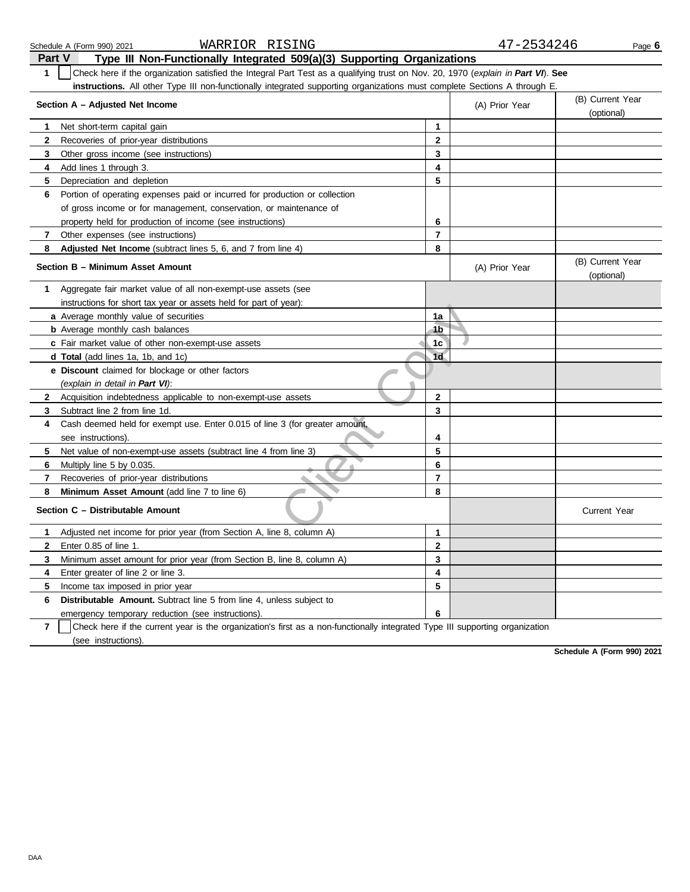|                | WARRIOR RISING<br>Schedule A (Form 990) 2021                                                                                     |                | 47-2534246     |                                | Page 6 |
|----------------|----------------------------------------------------------------------------------------------------------------------------------|----------------|----------------|--------------------------------|--------|
| <b>Part V</b>  | Type III Non-Functionally Integrated 509(a)(3) Supporting Organizations                                                          |                |                |                                |        |
| $\mathbf{1}$   | Check here if the organization satisfied the Integral Part Test as a qualifying trust on Nov. 20, 1970 (explain in Part VI). See |                |                |                                |        |
|                | instructions. All other Type III non-functionally integrated supporting organizations must complete Sections A through E.        |                |                |                                |        |
|                | Section A - Adjusted Net Income                                                                                                  |                | (A) Prior Year | (B) Current Year<br>(optional) |        |
| 1              | Net short-term capital gain                                                                                                      | 1              |                |                                |        |
| $\mathbf{2}$   | Recoveries of prior-year distributions                                                                                           | 2              |                |                                |        |
| 3              | Other gross income (see instructions)                                                                                            | 3              |                |                                |        |
| 4              | Add lines 1 through 3.                                                                                                           | 4              |                |                                |        |
| 5              | Depreciation and depletion                                                                                                       | 5              |                |                                |        |
| 6              | Portion of operating expenses paid or incurred for production or collection                                                      |                |                |                                |        |
|                | of gross income or for management, conservation, or maintenance of                                                               |                |                |                                |        |
|                | property held for production of income (see instructions)                                                                        | 6              |                |                                |        |
| 7              | Other expenses (see instructions)                                                                                                | 7              |                |                                |        |
| 8              | Adjusted Net Income (subtract lines 5, 6, and 7 from line 4)                                                                     | 8              |                |                                |        |
|                | Section B - Minimum Asset Amount                                                                                                 |                | (A) Prior Year | (B) Current Year<br>(optional) |        |
| 1              | Aggregate fair market value of all non-exempt-use assets (see                                                                    |                |                |                                |        |
|                | instructions for short tax year or assets held for part of year):                                                                |                |                |                                |        |
|                | a Average monthly value of securities                                                                                            | 1a             |                |                                |        |
|                | <b>b</b> Average monthly cash balances                                                                                           | 4 <sub>b</sub> |                |                                |        |
|                | c Fair market value of other non-exempt-use assets                                                                               | 1c             |                |                                |        |
|                | d Total (add lines 1a, 1b, and 1c)                                                                                               | 1 <sub>d</sub> |                |                                |        |
|                | e Discount claimed for blockage or other factors                                                                                 |                |                |                                |        |
|                | (explain in detail in Part VI):                                                                                                  |                |                |                                |        |
| $\mathbf{2}$   | Acquisition indebtedness applicable to non-exempt-use assets                                                                     | $\mathbf{2}$   |                |                                |        |
| 3              | Subtract line 2 from line 1d.                                                                                                    | 3              |                |                                |        |
| 4              | Cash deemed held for exempt use. Enter 0.015 of line 3 (for greater amount,                                                      |                |                |                                |        |
|                | see instructions).                                                                                                               | 4              |                |                                |        |
| 5              | Net value of non-exempt-use assets (subtract line 4 from line 3)                                                                 | 5              |                |                                |        |
| 6              | Multiply line 5 by 0.035.                                                                                                        | 6              |                |                                |        |
| 7              | Recoveries of prior-year distributions                                                                                           | 7              |                |                                |        |
| 8              | Minimum Asset Amount (add line 7 to line 6)                                                                                      | 8              |                |                                |        |
|                | Section C - Distributable Amount                                                                                                 |                |                | <b>Current Year</b>            |        |
| 1              | Adjusted net income for prior year (from Section A, line 8, column A)                                                            | 1              |                |                                |        |
| 2              | Enter 0.85 of line 1.                                                                                                            | 2              |                |                                |        |
| 3              | Minimum asset amount for prior year (from Section B, line 8, column A)                                                           | 3              |                |                                |        |
| 4              | Enter greater of line 2 or line 3.                                                                                               | 4              |                |                                |        |
| 5              | Income tax imposed in prior year                                                                                                 | 5              |                |                                |        |
| 6              | Distributable Amount. Subtract line 5 from line 4, unless subject to                                                             |                |                |                                |        |
|                | emergency temporary reduction (see instructions).                                                                                | 6              |                |                                |        |
| $\overline{7}$ | Check here if the current year is the organization's first as a non-functionally integrated Type III supporting organization     |                |                |                                |        |
|                | (see instructions).                                                                                                              |                |                |                                |        |

**Schedule A (Form 990) 2021**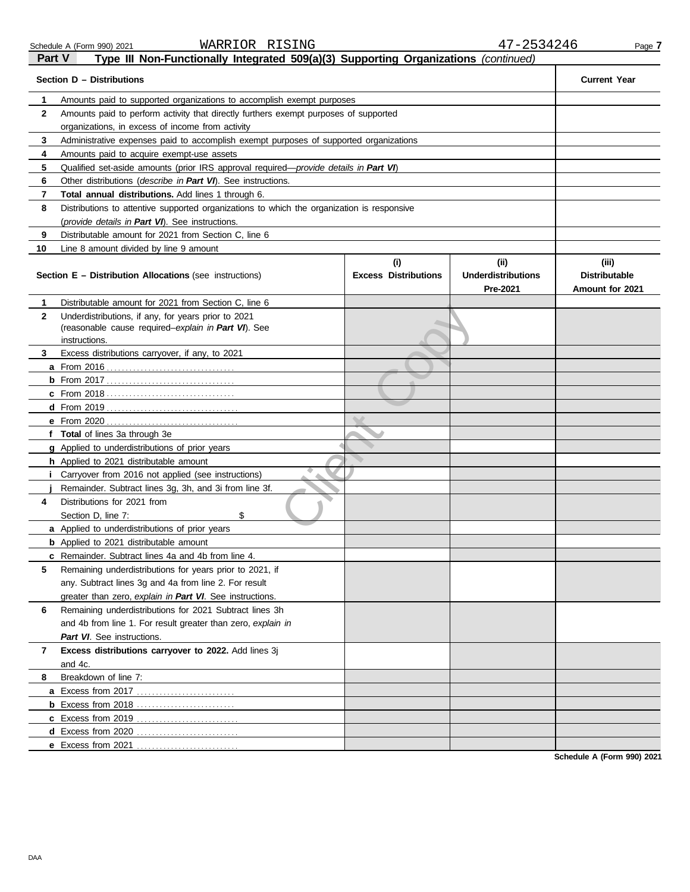Schedule A (Form 990) 2021 WARRIOR RISING 47-2534246 Page **7** 

**Part V Type III Non-Functionally Integrated 509(a)(3) Supporting Organizations** *(continued)*<br>**Part V Type III Non-Functionally Integrated 509(a)(3) Supporting Organizations** *(continued)* 

|              | Section D - Distributions                                                                  |                                    |                                                       | <b>Current Year</b>                              |  |  |
|--------------|--------------------------------------------------------------------------------------------|------------------------------------|-------------------------------------------------------|--------------------------------------------------|--|--|
| 1            | Amounts paid to supported organizations to accomplish exempt purposes                      |                                    |                                                       |                                                  |  |  |
| $\mathbf{2}$ | Amounts paid to perform activity that directly furthers exempt purposes of supported       |                                    |                                                       |                                                  |  |  |
|              | organizations, in excess of income from activity                                           |                                    |                                                       |                                                  |  |  |
| 3            | Administrative expenses paid to accomplish exempt purposes of supported organizations      |                                    |                                                       |                                                  |  |  |
| 4            | Amounts paid to acquire exempt-use assets                                                  |                                    |                                                       |                                                  |  |  |
| 5            | Qualified set-aside amounts (prior IRS approval required-provide details in Part VI)       |                                    |                                                       |                                                  |  |  |
| 6            | Other distributions (describe in Part VI). See instructions.                               |                                    |                                                       |                                                  |  |  |
| 7            | <b>Total annual distributions.</b> Add lines 1 through 6.                                  |                                    |                                                       |                                                  |  |  |
| 8            | Distributions to attentive supported organizations to which the organization is responsive |                                    |                                                       |                                                  |  |  |
|              | (provide details in Part VI). See instructions.                                            |                                    |                                                       |                                                  |  |  |
| 9            | Distributable amount for 2021 from Section C, line 6                                       |                                    |                                                       |                                                  |  |  |
| 10           | Line 8 amount divided by line 9 amount                                                     |                                    |                                                       |                                                  |  |  |
|              | <b>Section E - Distribution Allocations (see instructions)</b>                             | (i)<br><b>Excess Distributions</b> | (iii)<br><b>Underdistributions</b><br><b>Pre-2021</b> | (iii)<br><b>Distributable</b><br>Amount for 2021 |  |  |
| 1            | Distributable amount for 2021 from Section C, line 6                                       |                                    |                                                       |                                                  |  |  |
| $\mathbf{2}$ | Underdistributions, if any, for years prior to 2021                                        |                                    |                                                       |                                                  |  |  |
|              | (reasonable cause required-explain in Part VI). See                                        |                                    |                                                       |                                                  |  |  |
| 3            | instructions.<br>Excess distributions carryover, if any, to 2021                           |                                    |                                                       |                                                  |  |  |
|              |                                                                                            |                                    |                                                       |                                                  |  |  |
|              |                                                                                            |                                    |                                                       |                                                  |  |  |
|              |                                                                                            |                                    |                                                       |                                                  |  |  |
|              |                                                                                            |                                    |                                                       |                                                  |  |  |
|              | e From 2020                                                                                |                                    |                                                       |                                                  |  |  |
|              | . <u>.</u><br>f Total of lines 3a through 3e                                               |                                    |                                                       |                                                  |  |  |
|              | g Applied to underdistributions of prior years                                             |                                    |                                                       |                                                  |  |  |
|              | h Applied to 2021 distributable amount                                                     |                                    |                                                       |                                                  |  |  |
|              | ۰<br>Carryover from 2016 not applied (see instructions)                                    |                                    |                                                       |                                                  |  |  |
|              | Remainder. Subtract lines 3g, 3h, and 3i from line 3f.                                     |                                    |                                                       |                                                  |  |  |
| 4            | Distributions for 2021 from                                                                |                                    |                                                       |                                                  |  |  |
|              | Section D, line 7:<br>\$                                                                   |                                    |                                                       |                                                  |  |  |
|              | a Applied to underdistributions of prior years                                             |                                    |                                                       |                                                  |  |  |
|              | <b>b</b> Applied to 2021 distributable amount                                              |                                    |                                                       |                                                  |  |  |
|              | c Remainder. Subtract lines 4a and 4b from line 4.                                         |                                    |                                                       |                                                  |  |  |
|              | Remaining underdistributions for years prior to 2021, if                                   |                                    |                                                       |                                                  |  |  |
|              | any. Subtract lines 3q and 4a from line 2. For result                                      |                                    |                                                       |                                                  |  |  |
|              | greater than zero, explain in Part VI. See instructions.                                   |                                    |                                                       |                                                  |  |  |
| 6            | Remaining underdistributions for 2021 Subtract lines 3h                                    |                                    |                                                       |                                                  |  |  |
|              | and 4b from line 1. For result greater than zero, explain in                               |                                    |                                                       |                                                  |  |  |
|              | Part VI. See instructions.                                                                 |                                    |                                                       |                                                  |  |  |
| 7            | Excess distributions carryover to 2022. Add lines 3j                                       |                                    |                                                       |                                                  |  |  |
|              | and 4c.                                                                                    |                                    |                                                       |                                                  |  |  |
| 8            | Breakdown of line 7:                                                                       |                                    |                                                       |                                                  |  |  |
|              | a Excess from 2017                                                                         |                                    |                                                       |                                                  |  |  |
|              |                                                                                            |                                    |                                                       |                                                  |  |  |
|              | c Excess from 2019<br>.                                                                    |                                    |                                                       |                                                  |  |  |
|              | d Excess from 2020                                                                         |                                    |                                                       |                                                  |  |  |
|              | e Excess from 2021                                                                         |                                    |                                                       |                                                  |  |  |

**Schedule A (Form 990) 2021**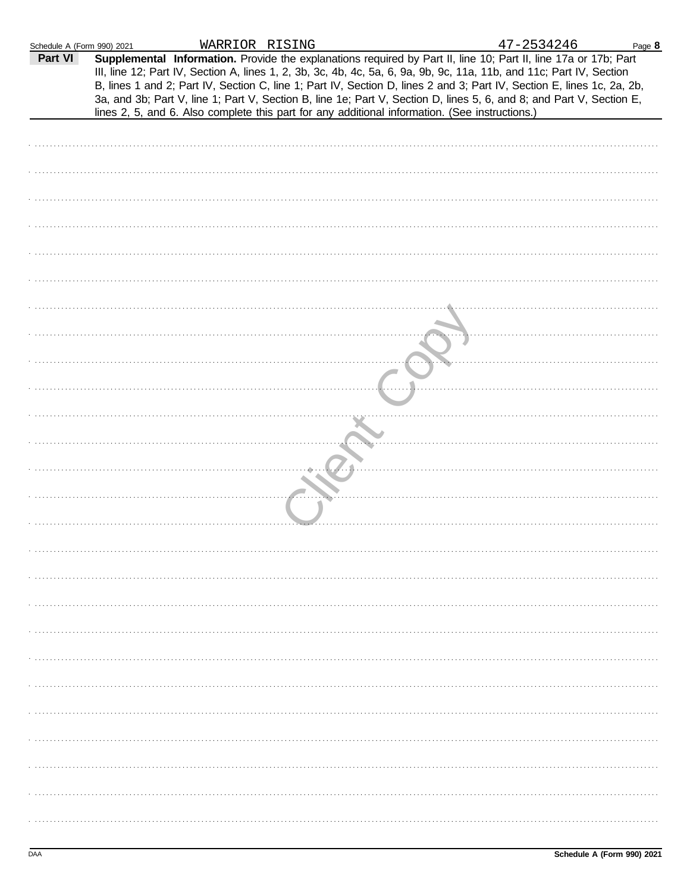| Schedule A (Form 990) 2021 | WARRIOR RISING                                                                                 |  | 47-2534246                                                                                                                                                                                                                                                                                                                                                                                                                                                                                | Page 8 |
|----------------------------|------------------------------------------------------------------------------------------------|--|-------------------------------------------------------------------------------------------------------------------------------------------------------------------------------------------------------------------------------------------------------------------------------------------------------------------------------------------------------------------------------------------------------------------------------------------------------------------------------------------|--------|
| Part VI                    | lines 2, 5, and 6. Also complete this part for any additional information. (See instructions.) |  | Supplemental Information. Provide the explanations required by Part II, line 10; Part II, line 17a or 17b; Part<br>III, line 12; Part IV, Section A, lines 1, 2, 3b, 3c, 4b, 4c, 5a, 6, 9a, 9b, 9c, 11a, 11b, and 11c; Part IV, Section<br>B, lines 1 and 2; Part IV, Section C, line 1; Part IV, Section D, lines 2 and 3; Part IV, Section E, lines 1c, 2a, 2b,<br>3a, and 3b; Part V, line 1; Part V, Section B, line 1e; Part V, Section D, lines 5, 6, and 8; and Part V, Section E, |        |
|                            |                                                                                                |  |                                                                                                                                                                                                                                                                                                                                                                                                                                                                                           |        |
|                            |                                                                                                |  |                                                                                                                                                                                                                                                                                                                                                                                                                                                                                           |        |
|                            |                                                                                                |  |                                                                                                                                                                                                                                                                                                                                                                                                                                                                                           |        |
|                            |                                                                                                |  |                                                                                                                                                                                                                                                                                                                                                                                                                                                                                           |        |
|                            |                                                                                                |  |                                                                                                                                                                                                                                                                                                                                                                                                                                                                                           |        |
|                            |                                                                                                |  |                                                                                                                                                                                                                                                                                                                                                                                                                                                                                           |        |
|                            |                                                                                                |  |                                                                                                                                                                                                                                                                                                                                                                                                                                                                                           |        |
|                            |                                                                                                |  |                                                                                                                                                                                                                                                                                                                                                                                                                                                                                           |        |
|                            |                                                                                                |  |                                                                                                                                                                                                                                                                                                                                                                                                                                                                                           |        |
|                            |                                                                                                |  |                                                                                                                                                                                                                                                                                                                                                                                                                                                                                           |        |
|                            |                                                                                                |  |                                                                                                                                                                                                                                                                                                                                                                                                                                                                                           |        |
|                            |                                                                                                |  |                                                                                                                                                                                                                                                                                                                                                                                                                                                                                           |        |
|                            |                                                                                                |  |                                                                                                                                                                                                                                                                                                                                                                                                                                                                                           |        |
|                            |                                                                                                |  |                                                                                                                                                                                                                                                                                                                                                                                                                                                                                           |        |
|                            |                                                                                                |  |                                                                                                                                                                                                                                                                                                                                                                                                                                                                                           |        |
|                            |                                                                                                |  |                                                                                                                                                                                                                                                                                                                                                                                                                                                                                           |        |
|                            |                                                                                                |  |                                                                                                                                                                                                                                                                                                                                                                                                                                                                                           |        |
|                            |                                                                                                |  |                                                                                                                                                                                                                                                                                                                                                                                                                                                                                           |        |
|                            |                                                                                                |  |                                                                                                                                                                                                                                                                                                                                                                                                                                                                                           |        |
|                            |                                                                                                |  |                                                                                                                                                                                                                                                                                                                                                                                                                                                                                           |        |
|                            |                                                                                                |  |                                                                                                                                                                                                                                                                                                                                                                                                                                                                                           |        |
|                            |                                                                                                |  |                                                                                                                                                                                                                                                                                                                                                                                                                                                                                           |        |
|                            |                                                                                                |  |                                                                                                                                                                                                                                                                                                                                                                                                                                                                                           |        |
|                            |                                                                                                |  |                                                                                                                                                                                                                                                                                                                                                                                                                                                                                           |        |
|                            |                                                                                                |  |                                                                                                                                                                                                                                                                                                                                                                                                                                                                                           |        |
|                            |                                                                                                |  |                                                                                                                                                                                                                                                                                                                                                                                                                                                                                           |        |
|                            |                                                                                                |  |                                                                                                                                                                                                                                                                                                                                                                                                                                                                                           |        |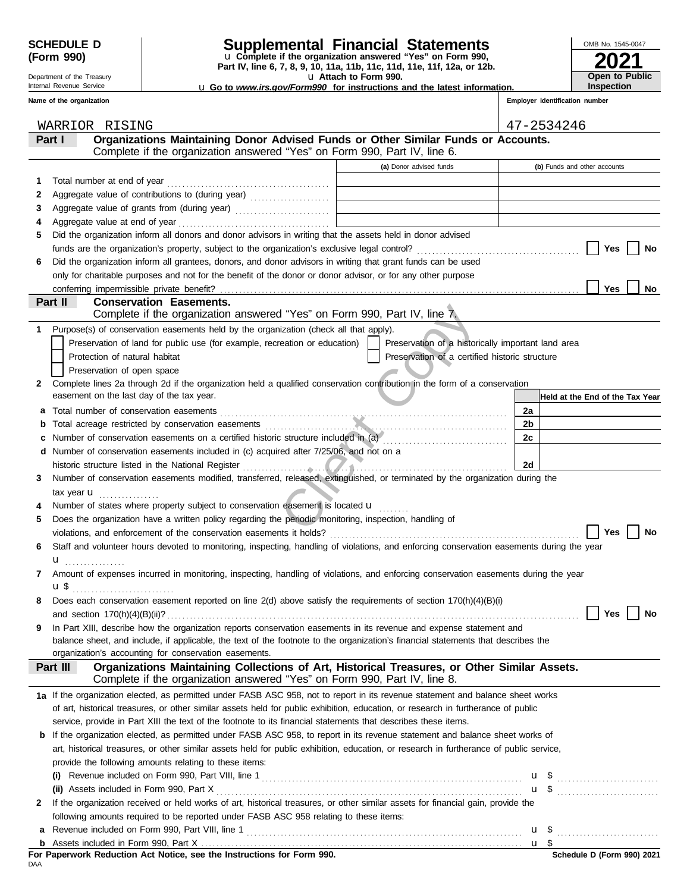Department of the Treasury Internal Revenue Service **Name of the organization**

### **SCHEDULE D Supplemental Financial Statements**

**Part IV, line 6, 7, 8, 9, 10, 11a, 11b, 11c, 11d, 11e, 11f, 12a, or 12b.** u **Complete if the organization answered "Yes" on Form 990,**

u **Attach to Form 990.** 

**2021** OMB No. 1545-0047 **Open to Public Inspection**

u **Go to** *www.irs.gov/Form990* **for instructions and the latest information.**

**Employer identification number**

|              | WARRIOR RISING                                                                                                                                                                        |                                                    |      | 47-2534246                      |
|--------------|---------------------------------------------------------------------------------------------------------------------------------------------------------------------------------------|----------------------------------------------------|------|---------------------------------|
|              | Organizations Maintaining Donor Advised Funds or Other Similar Funds or Accounts.<br>Part I                                                                                           |                                                    |      |                                 |
|              | Complete if the organization answered "Yes" on Form 990, Part IV, line 6.                                                                                                             |                                                    |      |                                 |
|              |                                                                                                                                                                                       | (a) Donor advised funds                            |      | (b) Funds and other accounts    |
| 1            |                                                                                                                                                                                       |                                                    |      |                                 |
| 2            |                                                                                                                                                                                       |                                                    |      |                                 |
| З            |                                                                                                                                                                                       |                                                    |      |                                 |
|              |                                                                                                                                                                                       |                                                    |      |                                 |
| 5            | Did the organization inform all donors and donor advisors in writing that the assets held in donor advised                                                                            |                                                    |      |                                 |
|              |                                                                                                                                                                                       |                                                    |      | Yes<br>No                       |
| 6            | Did the organization inform all grantees, donors, and donor advisors in writing that grant funds can be used                                                                          |                                                    |      |                                 |
|              | only for charitable purposes and not for the benefit of the donor or donor advisor, or for any other purpose                                                                          |                                                    |      |                                 |
|              | conferring impermissible private benefit?                                                                                                                                             |                                                    |      | Yes<br>No                       |
|              | Part II<br><b>Conservation Easements.</b>                                                                                                                                             |                                                    |      |                                 |
|              | Complete if the organization answered "Yes" on Form 990, Part IV, line 7.                                                                                                             |                                                    |      |                                 |
| 1.           | Purpose(s) of conservation easements held by the organization (check all that apply).                                                                                                 |                                                    |      |                                 |
|              | Preservation of land for public use (for example, recreation or education)                                                                                                            | Preservation of a historically important land area |      |                                 |
|              | Protection of natural habitat                                                                                                                                                         | Preservation of a certified historic structure     |      |                                 |
|              | Preservation of open space                                                                                                                                                            |                                                    |      |                                 |
| 2            | Complete lines 2a through 2d if the organization held a qualified conservation contribution in the form of a conservation                                                             |                                                    |      |                                 |
|              | easement on the last day of the tax year.                                                                                                                                             |                                                    |      | Held at the End of the Tax Year |
| a            | Total number of conservation easements                                                                                                                                                |                                                    | 2a   |                                 |
| b            |                                                                                                                                                                                       |                                                    | 2b   |                                 |
|              |                                                                                                                                                                                       |                                                    | 2c   |                                 |
|              | d Number of conservation easements included in (c) acquired after 7/25/06, and not on a                                                                                               |                                                    |      |                                 |
|              | historic structure listed in the National Register                                                                                                                                    |                                                    | 2d   |                                 |
| 3            | Number of conservation easements modified, transferred, released, extinguished, or terminated by the organization during the                                                          |                                                    |      |                                 |
|              | tax year $\mathbf u$                                                                                                                                                                  |                                                    |      |                                 |
|              | Number of states where property subject to conservation easement is located <b>u</b>                                                                                                  |                                                    |      |                                 |
| 5            | Does the organization have a written policy regarding the periodic monitoring, inspection, handling of                                                                                |                                                    |      |                                 |
|              |                                                                                                                                                                                       |                                                    |      | Yes<br>No                       |
| 6            | Staff and volunteer hours devoted to monitoring, inspecting, handling of violations, and enforcing conservation easements during the year                                             |                                                    |      |                                 |
|              | u <sub></sub>                                                                                                                                                                         |                                                    |      |                                 |
| 7            | Amount of expenses incurred in monitoring, inspecting, handling of violations, and enforcing conservation easements during the year                                                   |                                                    |      |                                 |
|              | u \$                                                                                                                                                                                  |                                                    |      |                                 |
| 8            | Does each conservation easement reported on line 2(d) above satisfy the requirements of section 170(h)(4)(B)(i)                                                                       |                                                    |      |                                 |
|              |                                                                                                                                                                                       |                                                    |      | No<br>Yes                       |
| 9            | In Part XIII, describe how the organization reports conservation easements in its revenue and expense statement and                                                                   |                                                    |      |                                 |
|              | balance sheet, and include, if applicable, the text of the footnote to the organization's financial statements that describes the                                                     |                                                    |      |                                 |
|              | organization's accounting for conservation easements.                                                                                                                                 |                                                    |      |                                 |
|              | Organizations Maintaining Collections of Art, Historical Treasures, or Other Similar Assets.<br>Part III<br>Complete if the organization answered "Yes" on Form 990, Part IV, line 8. |                                                    |      |                                 |
|              |                                                                                                                                                                                       |                                                    |      |                                 |
|              | 1a If the organization elected, as permitted under FASB ASC 958, not to report in its revenue statement and balance sheet works                                                       |                                                    |      |                                 |
|              | of art, historical treasures, or other similar assets held for public exhibition, education, or research in furtherance of public                                                     |                                                    |      |                                 |
|              | service, provide in Part XIII the text of the footnote to its financial statements that describes these items.                                                                        |                                                    |      |                                 |
|              | <b>b</b> If the organization elected, as permitted under FASB ASC 958, to report in its revenue statement and balance sheet works of                                                  |                                                    |      |                                 |
|              | art, historical treasures, or other similar assets held for public exhibition, education, or research in furtherance of public service,                                               |                                                    |      |                                 |
|              | provide the following amounts relating to these items:                                                                                                                                |                                                    |      |                                 |
|              |                                                                                                                                                                                       |                                                    |      |                                 |
|              | (ii) Assets included in Form 990, Part X                                                                                                                                              |                                                    |      | $\mathbf{u}$ \$ $\ldots$        |
| $\mathbf{2}$ | If the organization received or held works of art, historical treasures, or other similar assets for financial gain, provide the                                                      |                                                    |      |                                 |
|              | following amounts required to be reported under FASB ASC 958 relating to these items:                                                                                                 |                                                    |      |                                 |
| a            |                                                                                                                                                                                       |                                                    |      |                                 |
|              |                                                                                                                                                                                       |                                                    | u \$ |                                 |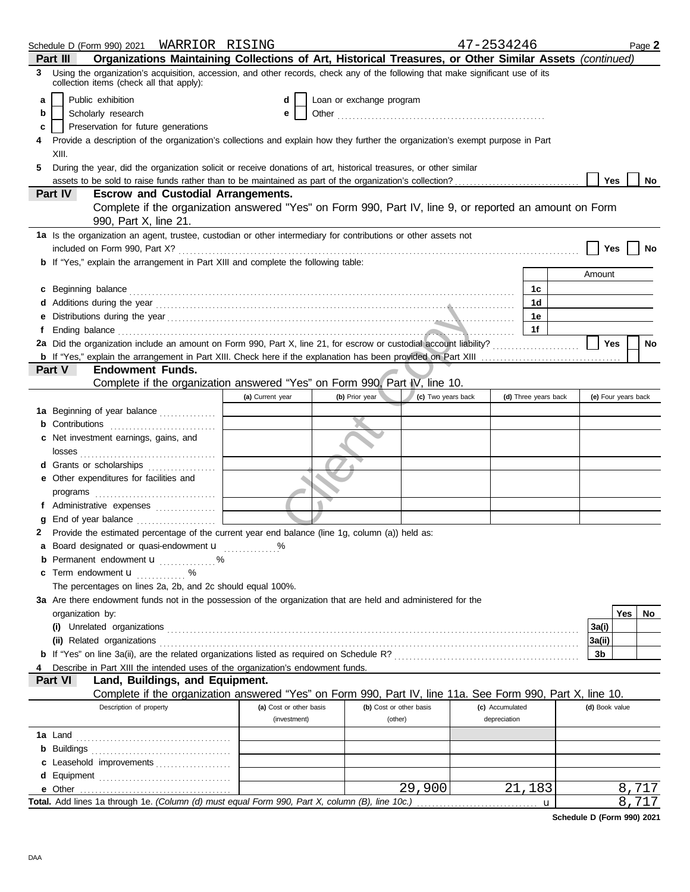|   |                                                                                                                                                                                                                                      |                         |                          |                    | 47-2534246      |                      |                |                     | Page 2 |
|---|--------------------------------------------------------------------------------------------------------------------------------------------------------------------------------------------------------------------------------------|-------------------------|--------------------------|--------------------|-----------------|----------------------|----------------|---------------------|--------|
|   | Organizations Maintaining Collections of Art, Historical Treasures, or Other Similar Assets (continued)<br>Part III                                                                                                                  |                         |                          |                    |                 |                      |                |                     |        |
| 3 | Using the organization's acquisition, accession, and other records, check any of the following that make significant use of its<br>collection items (check all that apply):                                                          |                         |                          |                    |                 |                      |                |                     |        |
| a | Public exhibition                                                                                                                                                                                                                    | d                       | Loan or exchange program |                    |                 |                      |                |                     |        |
| b | Scholarly research                                                                                                                                                                                                                   | е                       |                          |                    |                 |                      |                |                     |        |
| c | Preservation for future generations                                                                                                                                                                                                  |                         |                          |                    |                 |                      |                |                     |        |
| 4 | Provide a description of the organization's collections and explain how they further the organization's exempt purpose in Part                                                                                                       |                         |                          |                    |                 |                      |                |                     |        |
|   | XIII.                                                                                                                                                                                                                                |                         |                          |                    |                 |                      |                |                     |        |
|   |                                                                                                                                                                                                                                      |                         |                          |                    |                 |                      |                |                     |        |
| 5 | During the year, did the organization solicit or receive donations of art, historical treasures, or other similar                                                                                                                    |                         |                          |                    |                 |                      |                |                     |        |
|   | assets to be sold to raise funds rather than to be maintained as part of the organization's collection?<br>Part IV<br><b>Escrow and Custodial Arrangements.</b>                                                                      |                         |                          |                    |                 |                      | Yes            |                     | No     |
|   | Complete if the organization answered "Yes" on Form 990, Part IV, line 9, or reported an amount on Form                                                                                                                              |                         |                          |                    |                 |                      |                |                     |        |
|   | 990, Part X, line 21.                                                                                                                                                                                                                |                         |                          |                    |                 |                      |                |                     |        |
|   |                                                                                                                                                                                                                                      |                         |                          |                    |                 |                      |                |                     |        |
|   | 1a Is the organization an agent, trustee, custodian or other intermediary for contributions or other assets not                                                                                                                      |                         |                          |                    |                 |                      |                |                     |        |
|   |                                                                                                                                                                                                                                      |                         |                          |                    |                 |                      | Yes            |                     |        |
|   | <b>b</b> If "Yes," explain the arrangement in Part XIII and complete the following table:                                                                                                                                            |                         |                          |                    |                 |                      |                |                     |        |
|   |                                                                                                                                                                                                                                      |                         |                          |                    |                 |                      | Amount         |                     |        |
|   | c Beginning balance <b>contract to the contract of the contract of the contract of the contract of the contract of the contract of the contract of the contract of the contract of the contract of the contract of the contract </b> |                         |                          |                    |                 | 1c                   |                |                     |        |
|   | Additions during the year contact the contact of the year contact the set of the set of the set of the set of the set of the set of the set of the set of the set of the set of the set of the set of the set of the set of th       |                         |                          |                    |                 | 1 <sub>d</sub>       |                |                     |        |
|   | Distributions during the year manufactured and contact the year manufactured and the year manufactured and the                                                                                                                       |                         |                          |                    |                 | 1e                   |                |                     |        |
|   | Ending balance <b>construction and the construction of the construction</b> of the construction of the construction of the construction of the construction of the construction of the construction of the construction of the cons  |                         |                          |                    |                 | 1f                   |                |                     |        |
|   |                                                                                                                                                                                                                                      |                         |                          |                    |                 |                      | Yes            |                     | No     |
|   |                                                                                                                                                                                                                                      |                         |                          |                    |                 |                      |                |                     |        |
|   | Part V<br><b>Endowment Funds.</b>                                                                                                                                                                                                    |                         |                          |                    |                 |                      |                |                     |        |
|   | Complete if the organization answered "Yes" on Form 990, Part IV, line 10.                                                                                                                                                           |                         |                          |                    |                 |                      |                |                     |        |
|   |                                                                                                                                                                                                                                      | (a) Current year        | (b) Prior year           | (c) Two years back |                 | (d) Three years back |                | (e) Four years back |        |
|   | <b>1a</b> Beginning of year balance                                                                                                                                                                                                  |                         |                          |                    |                 |                      |                |                     |        |
|   | <b>b</b> Contributions <b>contributions</b>                                                                                                                                                                                          |                         |                          |                    |                 |                      |                |                     |        |
|   | c Net investment earnings, gains, and                                                                                                                                                                                                |                         |                          |                    |                 |                      |                |                     |        |
|   |                                                                                                                                                                                                                                      |                         |                          |                    |                 |                      |                |                     |        |
|   | d Grants or scholarships                                                                                                                                                                                                             |                         |                          |                    |                 |                      |                |                     |        |
|   | e Other expenditures for facilities and                                                                                                                                                                                              |                         |                          |                    |                 |                      |                |                     |        |
|   |                                                                                                                                                                                                                                      |                         |                          |                    |                 |                      |                |                     |        |
|   | f Administrative expenses                                                                                                                                                                                                            |                         |                          |                    |                 |                      |                |                     |        |
|   |                                                                                                                                                                                                                                      |                         |                          |                    |                 |                      |                |                     |        |
| 2 | Provide the estimated percentage of the current year end balance (line 1g, column (a)) held as:                                                                                                                                      |                         |                          |                    |                 |                      |                |                     |        |
|   | a Board designated or quasi-endowment u                                                                                                                                                                                              |                         |                          |                    |                 |                      |                |                     |        |
|   | <b>b</b> Permanent endowment <b>u</b> %                                                                                                                                                                                              |                         |                          |                    |                 |                      |                |                     |        |
|   | c Term endowment <b>u</b> %                                                                                                                                                                                                          |                         |                          |                    |                 |                      |                |                     |        |
|   | The percentages on lines 2a, 2b, and 2c should equal 100%.                                                                                                                                                                           |                         |                          |                    |                 |                      |                |                     |        |
|   | 3a Are there endowment funds not in the possession of the organization that are held and administered for the                                                                                                                        |                         |                          |                    |                 |                      |                |                     |        |
|   | organization by:                                                                                                                                                                                                                     |                         |                          |                    |                 |                      |                | Yes                 | No     |
|   |                                                                                                                                                                                                                                      |                         |                          |                    |                 |                      | 3a(i)          |                     |        |
|   |                                                                                                                                                                                                                                      |                         |                          |                    |                 |                      | 3a(ii)         |                     |        |
|   |                                                                                                                                                                                                                                      |                         |                          |                    |                 |                      | 3b             |                     |        |
|   | Describe in Part XIII the intended uses of the organization's endowment funds.                                                                                                                                                       |                         |                          |                    |                 |                      |                |                     |        |
|   | Land, Buildings, and Equipment.<br>Part VI                                                                                                                                                                                           |                         |                          |                    |                 |                      |                |                     |        |
|   | Complete if the organization answered "Yes" on Form 990, Part IV, line 11a. See Form 990, Part X, line 10.                                                                                                                           |                         |                          |                    |                 |                      |                |                     |        |
|   | Description of property                                                                                                                                                                                                              | (a) Cost or other basis | (b) Cost or other basis  |                    | (c) Accumulated |                      | (d) Book value |                     |        |
|   |                                                                                                                                                                                                                                      | (investment)            | (other)                  |                    | depreciation    |                      |                |                     |        |
|   |                                                                                                                                                                                                                                      |                         |                          |                    |                 |                      |                |                     |        |
|   |                                                                                                                                                                                                                                      |                         |                          |                    |                 |                      |                |                     |        |
|   | c Leasehold improvements                                                                                                                                                                                                             |                         |                          |                    |                 |                      |                |                     |        |
|   |                                                                                                                                                                                                                                      |                         |                          |                    |                 |                      |                |                     |        |
|   | e Other                                                                                                                                                                                                                              |                         |                          | 29,900             |                 | 21,183               |                | 8,717               |        |
|   | Total. Add lines 1a through 1e. (Column (d) must equal Form 990, Part X, column (B), line 10c.)                                                                                                                                      |                         |                          |                    |                 | u                    |                | 8,717               |        |
|   |                                                                                                                                                                                                                                      |                         |                          |                    |                 |                      |                |                     |        |

**Schedule D (Form 990) 2021**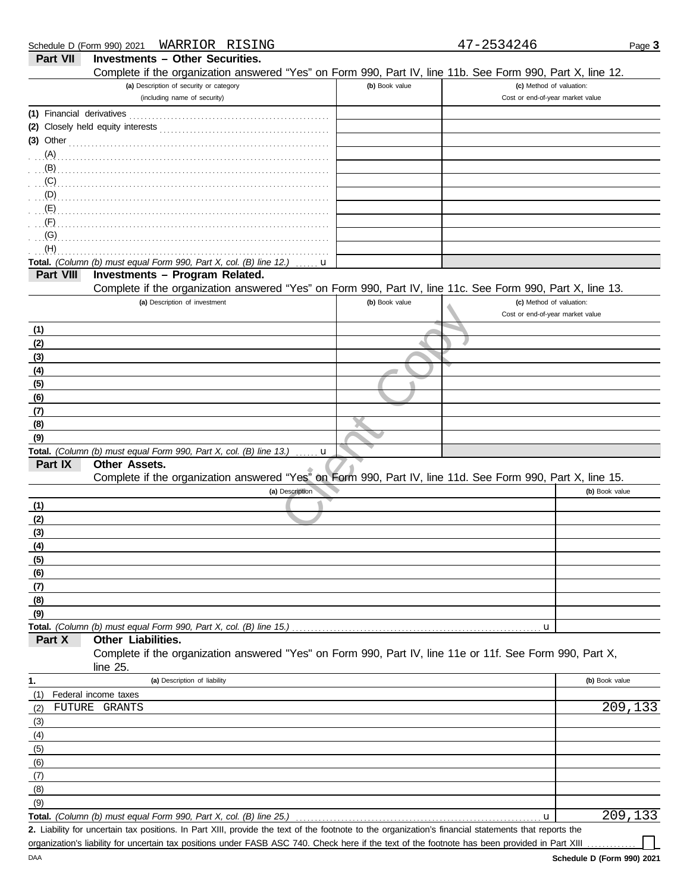|                           | WARRIOR RISING<br>Schedule D (Form 990) 2021                                                               |                | 47-2534246                       | Page 3         |
|---------------------------|------------------------------------------------------------------------------------------------------------|----------------|----------------------------------|----------------|
| <b>Part VII</b>           | <b>Investments - Other Securities.</b>                                                                     |                |                                  |                |
|                           | Complete if the organization answered "Yes" on Form 990, Part IV, line 11b. See Form 990, Part X, line 12. |                |                                  |                |
|                           | (a) Description of security or category                                                                    | (b) Book value | (c) Method of valuation:         |                |
|                           | (including name of security)                                                                               |                | Cost or end-of-year market value |                |
| (1) Financial derivatives |                                                                                                            |                |                                  |                |
|                           |                                                                                                            |                |                                  |                |
| $(3)$ Other               |                                                                                                            |                |                                  |                |
| $(A)$ .                   |                                                                                                            |                |                                  |                |
| $(B)$ .                   |                                                                                                            |                |                                  |                |
| (C)                       |                                                                                                            |                |                                  |                |
| (D)                       |                                                                                                            |                |                                  |                |
| (E)                       |                                                                                                            |                |                                  |                |
| (F)                       |                                                                                                            |                |                                  |                |
| (G)                       |                                                                                                            |                |                                  |                |
| (H)                       |                                                                                                            |                |                                  |                |
|                           | Total. (Column (b) must equal Form 990, Part X, col. (B) line 12.)<br>u                                    |                |                                  |                |
| Part VIII                 | Investments - Program Related.                                                                             |                |                                  |                |
|                           | Complete if the organization answered "Yes" on Form 990, Part IV, line 11c. See Form 990, Part X, line 13. |                |                                  |                |
|                           | (a) Description of investment                                                                              | (b) Book value | (c) Method of valuation:         |                |
|                           |                                                                                                            |                | Cost or end-of-year market value |                |
| (1)                       |                                                                                                            |                |                                  |                |
| (2)                       |                                                                                                            |                |                                  |                |
| (3)                       |                                                                                                            |                |                                  |                |
| (4)                       |                                                                                                            |                |                                  |                |
| (5)                       |                                                                                                            |                |                                  |                |
| (6)                       |                                                                                                            |                |                                  |                |
| (7)                       |                                                                                                            |                |                                  |                |
| (8)                       |                                                                                                            |                |                                  |                |
| (9)                       |                                                                                                            |                |                                  |                |
| Part IX                   | Total. (Column (b) must equal Form 990, Part X, col. (B) line 13.)<br>u<br><b>Other Assets.</b>            |                |                                  |                |
|                           | Complete if the organization answered "Yes" on Form 990, Part IV, line 11d. See Form 990, Part X, line 15. |                |                                  |                |
|                           | (a) Description                                                                                            |                |                                  | (b) Book value |
| (1)                       |                                                                                                            |                |                                  |                |
| (2)                       |                                                                                                            |                |                                  |                |
| (3)                       |                                                                                                            |                |                                  |                |
| (4)                       |                                                                                                            |                |                                  |                |
| (5)                       |                                                                                                            |                |                                  |                |
| (6)                       |                                                                                                            |                |                                  |                |
| (7)                       |                                                                                                            |                |                                  |                |
| (8)                       |                                                                                                            |                |                                  |                |
| (9)                       |                                                                                                            |                |                                  |                |
|                           |                                                                                                            |                | u                                |                |
| Part X                    | Other Liabilities.                                                                                         |                |                                  |                |
|                           | Complete if the organization answered "Yes" on Form 990, Part IV, line 11e or 11f. See Form 990, Part X,   |                |                                  |                |
|                           | line 25.                                                                                                   |                |                                  |                |
| 1.                        | (a) Description of liability                                                                               |                |                                  | (b) Book value |
| (1)                       | Federal income taxes                                                                                       |                |                                  |                |
| FUTURE<br>(2)             | GRANTS                                                                                                     |                |                                  | 209,133        |
| (3)                       |                                                                                                            |                |                                  |                |
| (4)                       |                                                                                                            |                |                                  |                |
| (5)                       |                                                                                                            |                |                                  |                |
| (6)                       |                                                                                                            |                |                                  |                |
| (7)                       |                                                                                                            |                |                                  |                |
| (8)                       |                                                                                                            |                |                                  |                |
| (9)                       |                                                                                                            |                |                                  |                |
|                           | Total. (Column (b) must equal Form 990, Part X, col. (B) line 25.)                                         |                | u                                | 209,133        |

Liability for uncertain tax positions. In Part XIII, provide the text of the footnote to the organization's financial statements that reports the **2.** organization's liability for uncertain tax positions under FASB ASC 740. Check here if the text of the footnote has been provided in Part XIII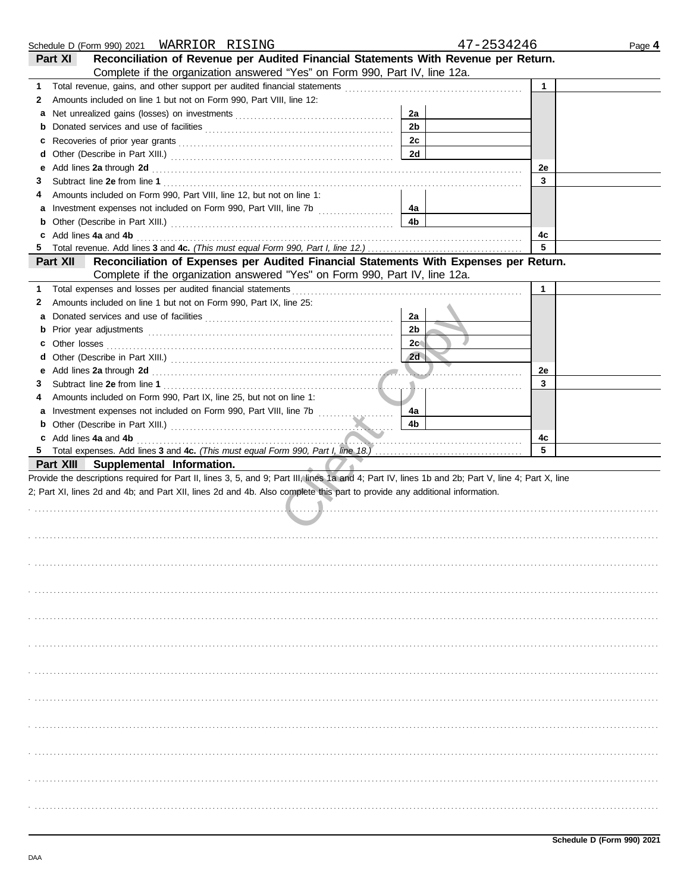|    |                                                                                                                                                                                                                                |                | 47-2534246   | Page 4 |
|----|--------------------------------------------------------------------------------------------------------------------------------------------------------------------------------------------------------------------------------|----------------|--------------|--------|
|    | Reconciliation of Revenue per Audited Financial Statements With Revenue per Return.<br>Part XI                                                                                                                                 |                |              |        |
|    | Complete if the organization answered "Yes" on Form 990, Part IV, line 12a.                                                                                                                                                    |                |              |        |
| 1. | Total revenue, gains, and other support per audited financial statements                                                                                                                                                       |                | $\mathbf{1}$ |        |
| 2  | Amounts included on line 1 but not on Form 990, Part VIII, line 12:                                                                                                                                                            |                |              |        |
| а  |                                                                                                                                                                                                                                | 2a             |              |        |
| b  |                                                                                                                                                                                                                                | 2 <sub>b</sub> |              |        |
| с  |                                                                                                                                                                                                                                | 2c             |              |        |
| d  |                                                                                                                                                                                                                                | 2d             |              |        |
| е  | Add lines 2a through 2d [11] Add [12] Add lines 2a through 2d [12] Add lines 2a through 2d [12] Add lines 2a through 2d [12] Add and Add and Addu                                                                              |                | 2e           |        |
| З  |                                                                                                                                                                                                                                |                | 3            |        |
| 4  | Amounts included on Form 990, Part VIII, line 12, but not on line 1:                                                                                                                                                           |                |              |        |
| а  |                                                                                                                                                                                                                                | 4a             |              |        |
| b  |                                                                                                                                                                                                                                | 4b             |              |        |
| c  | Add lines 4a and 4b                                                                                                                                                                                                            |                | 4с           |        |
| 5  |                                                                                                                                                                                                                                |                | 5            |        |
|    | Reconciliation of Expenses per Audited Financial Statements With Expenses per Return.<br>Part XII                                                                                                                              |                |              |        |
|    | Complete if the organization answered "Yes" on Form 990, Part IV, line 12a.                                                                                                                                                    |                |              |        |
| 1. | Total expenses and losses per audited financial statements                                                                                                                                                                     |                | $\mathbf{1}$ |        |
| 2  | Amounts included on line 1 but not on Form 990, Part IX, line 25:                                                                                                                                                              |                |              |        |
| а  |                                                                                                                                                                                                                                | 2a             |              |        |
| b  |                                                                                                                                                                                                                                | 2 <sub>b</sub> |              |        |
| c  |                                                                                                                                                                                                                                | 2c             |              |        |
| d  |                                                                                                                                                                                                                                | 2d             |              |        |
|    |                                                                                                                                                                                                                                |                | 2e           |        |
| е  |                                                                                                                                                                                                                                | .              | 3            |        |
| З  |                                                                                                                                                                                                                                |                |              |        |
| 4  | Amounts included on Form 990, Part IX, line 25, but not on line 1:                                                                                                                                                             |                |              |        |
| а  | Investment expenses not included on Form 990, Part VIII, line 7b [100] [100] [100] [100] [100] [100] [100] [100] [100] [100] [100] [100] [100] [100] [100] [100] [100] [100] [100] [100] [100] [100] [100] [100] [100] [100] [ | 4a<br>4b       |              |        |
| b  |                                                                                                                                                                                                                                |                |              |        |
| 5  | Add lines 4a and 4b                                                                                                                                                                                                            |                | 4с<br>5      |        |
|    | Part XIII Supplemental Information.                                                                                                                                                                                            |                |              |        |
|    | Provide the descriptions required for Part II, lines 3, 5, and 9; Part III, lines 1a and 4; Part IV, lines 1b and 2b; Part V, line 4; Part X, line                                                                             |                |              |        |
|    | 2; Part XI, lines 2d and 4b; and Part XII, lines 2d and 4b. Also complete this part to provide any additional information.                                                                                                     |                |              |        |
|    |                                                                                                                                                                                                                                |                |              |        |
|    |                                                                                                                                                                                                                                |                |              |        |
|    |                                                                                                                                                                                                                                |                |              |        |
|    |                                                                                                                                                                                                                                |                |              |        |
|    |                                                                                                                                                                                                                                |                |              |        |
|    |                                                                                                                                                                                                                                |                |              |        |
|    |                                                                                                                                                                                                                                |                |              |        |
|    |                                                                                                                                                                                                                                |                |              |        |
|    |                                                                                                                                                                                                                                |                |              |        |
|    |                                                                                                                                                                                                                                |                |              |        |
|    |                                                                                                                                                                                                                                |                |              |        |
|    |                                                                                                                                                                                                                                |                |              |        |
|    |                                                                                                                                                                                                                                |                |              |        |
|    |                                                                                                                                                                                                                                |                |              |        |
|    |                                                                                                                                                                                                                                |                |              |        |
|    |                                                                                                                                                                                                                                |                |              |        |
|    |                                                                                                                                                                                                                                |                |              |        |
|    |                                                                                                                                                                                                                                |                |              |        |
|    |                                                                                                                                                                                                                                |                |              |        |
|    |                                                                                                                                                                                                                                |                |              |        |
|    |                                                                                                                                                                                                                                |                |              |        |
|    |                                                                                                                                                                                                                                |                |              |        |
|    |                                                                                                                                                                                                                                |                |              |        |
|    |                                                                                                                                                                                                                                |                |              |        |
|    |                                                                                                                                                                                                                                |                |              |        |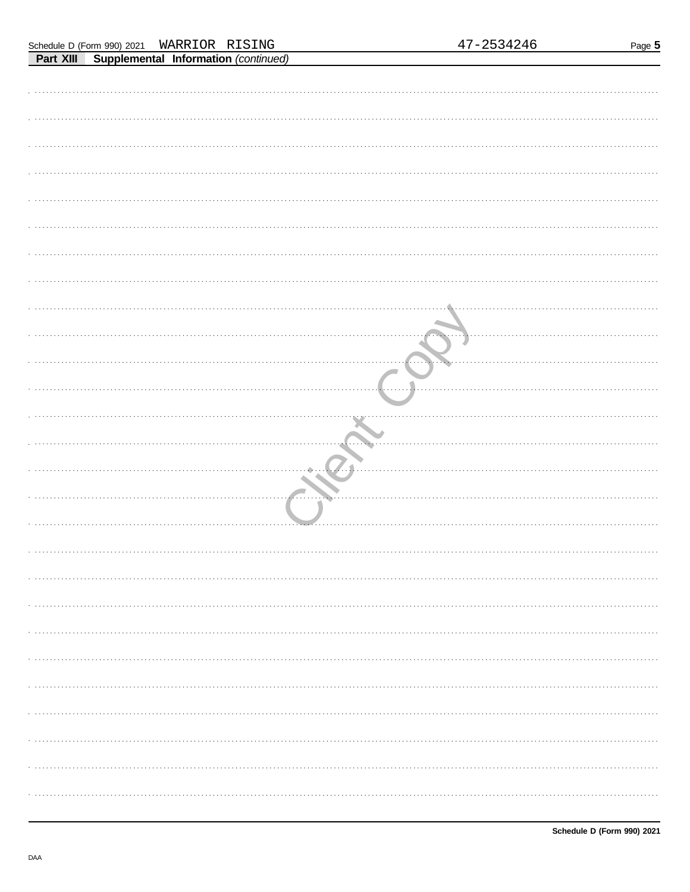| Part XIII |                            |         | Supplemental Information (continued) |
|-----------|----------------------------|---------|--------------------------------------|
|           | Schedule D (Form 990) 2021 | WARRIOR | RISING                               |

| <b>Fait VIII</b> | supplemental implimation (commuted) |  |  |  |
|------------------|-------------------------------------|--|--|--|
|                  |                                     |  |  |  |
|                  |                                     |  |  |  |
|                  |                                     |  |  |  |
|                  |                                     |  |  |  |
|                  |                                     |  |  |  |
|                  |                                     |  |  |  |
|                  |                                     |  |  |  |
|                  |                                     |  |  |  |
|                  |                                     |  |  |  |
|                  |                                     |  |  |  |
|                  |                                     |  |  |  |
|                  |                                     |  |  |  |
|                  |                                     |  |  |  |
|                  |                                     |  |  |  |
|                  |                                     |  |  |  |
|                  |                                     |  |  |  |
|                  |                                     |  |  |  |
|                  |                                     |  |  |  |
|                  |                                     |  |  |  |
|                  |                                     |  |  |  |
|                  |                                     |  |  |  |
|                  |                                     |  |  |  |
|                  |                                     |  |  |  |
|                  |                                     |  |  |  |
|                  |                                     |  |  |  |
|                  |                                     |  |  |  |
|                  |                                     |  |  |  |
|                  |                                     |  |  |  |
|                  |                                     |  |  |  |
|                  |                                     |  |  |  |
|                  |                                     |  |  |  |
|                  |                                     |  |  |  |
|                  |                                     |  |  |  |
|                  |                                     |  |  |  |
|                  |                                     |  |  |  |
|                  |                                     |  |  |  |
|                  |                                     |  |  |  |
|                  |                                     |  |  |  |
|                  |                                     |  |  |  |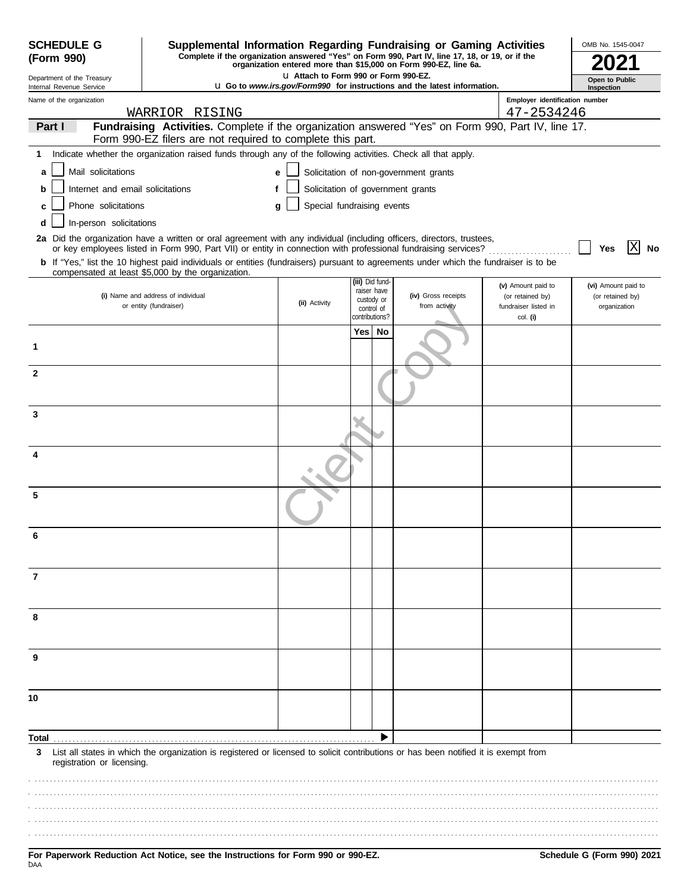| <b>SCHEDULE G</b><br>(Form 990)                        |                                                                                                                                                                                                                                          | Supplemental Information Regarding Fundraising or Gaming Activities<br>OMB No. 1545-0047<br>Complete if the organization answered "Yes" on Form 990, Part IV, line 17, 18, or 19, or if the |                |                                |                                                                                 |                                              |                                  |  |  |
|--------------------------------------------------------|------------------------------------------------------------------------------------------------------------------------------------------------------------------------------------------------------------------------------------------|---------------------------------------------------------------------------------------------------------------------------------------------------------------------------------------------|----------------|--------------------------------|---------------------------------------------------------------------------------|----------------------------------------------|----------------------------------|--|--|
|                                                        |                                                                                                                                                                                                                                          | LI Attach to Form 990 or Form 990-EZ.                                                                                                                                                       |                |                                | organization entered more than \$15,000 on Form 990-EZ, line 6a.                |                                              |                                  |  |  |
| Department of the Treasury<br>Internal Revenue Service |                                                                                                                                                                                                                                          |                                                                                                                                                                                             |                |                                | <b>u</b> Go to www.irs.gov/Form990 for instructions and the latest information. |                                              | Open to Public<br>Inspection     |  |  |
| Name of the organization                               |                                                                                                                                                                                                                                          |                                                                                                                                                                                             |                |                                |                                                                                 | Employer identification number<br>47-2534246 |                                  |  |  |
| Part I                                                 | WARRIOR RISING<br>Fundraising Activities. Complete if the organization answered "Yes" on Form 990, Part IV, line 17.                                                                                                                     |                                                                                                                                                                                             |                |                                |                                                                                 |                                              |                                  |  |  |
|                                                        | Form 990-EZ filers are not required to complete this part.                                                                                                                                                                               |                                                                                                                                                                                             |                |                                |                                                                                 |                                              |                                  |  |  |
| 1                                                      | Indicate whether the organization raised funds through any of the following activities. Check all that apply.                                                                                                                            |                                                                                                                                                                                             |                |                                |                                                                                 |                                              |                                  |  |  |
| Mail solicitations<br>a                                |                                                                                                                                                                                                                                          | e                                                                                                                                                                                           |                |                                | Solicitation of non-government grants                                           |                                              |                                  |  |  |
| Internet and email solicitations<br>b                  |                                                                                                                                                                                                                                          | f                                                                                                                                                                                           |                |                                | Solicitation of government grants                                               |                                              |                                  |  |  |
| Phone solicitations                                    |                                                                                                                                                                                                                                          | Special fundraising events<br>q                                                                                                                                                             |                |                                |                                                                                 |                                              |                                  |  |  |
| In-person solicitations<br>d                           |                                                                                                                                                                                                                                          |                                                                                                                                                                                             |                |                                |                                                                                 |                                              |                                  |  |  |
|                                                        | 2a Did the organization have a written or oral agreement with any individual (including officers, directors, trustees,<br>or key employees listed in Form 990, Part VII) or entity in connection with professional fundraising services? |                                                                                                                                                                                             |                |                                |                                                                                 |                                              | Yes                              |  |  |
|                                                        | b If "Yes," list the 10 highest paid individuals or entities (fundraisers) pursuant to agreements under which the fundraiser is to be<br>compensated at least \$5,000 by the organization.                                               |                                                                                                                                                                                             |                |                                |                                                                                 |                                              |                                  |  |  |
|                                                        |                                                                                                                                                                                                                                          |                                                                                                                                                                                             |                | (iii) Did fund-<br>raiser have |                                                                                 | (v) Amount paid to                           | (vi) Amount paid to              |  |  |
|                                                        | (i) Name and address of individual<br>or entity (fundraiser)                                                                                                                                                                             | (ii) Activity                                                                                                                                                                               |                | custody or<br>control of       | (iv) Gross receipts<br>from activity                                            | (or retained by)<br>fundraiser listed in     | (or retained by)<br>organization |  |  |
|                                                        |                                                                                                                                                                                                                                          |                                                                                                                                                                                             | contributions? |                                |                                                                                 | col. (i)                                     |                                  |  |  |
|                                                        |                                                                                                                                                                                                                                          |                                                                                                                                                                                             | Yes            | No                             |                                                                                 |                                              |                                  |  |  |
| 1                                                      |                                                                                                                                                                                                                                          |                                                                                                                                                                                             |                |                                |                                                                                 |                                              |                                  |  |  |
| $\mathbf{2}$                                           |                                                                                                                                                                                                                                          |                                                                                                                                                                                             |                |                                |                                                                                 |                                              |                                  |  |  |
|                                                        |                                                                                                                                                                                                                                          |                                                                                                                                                                                             |                |                                |                                                                                 |                                              |                                  |  |  |
| 3                                                      |                                                                                                                                                                                                                                          |                                                                                                                                                                                             |                |                                |                                                                                 |                                              |                                  |  |  |
|                                                        |                                                                                                                                                                                                                                          |                                                                                                                                                                                             |                |                                |                                                                                 |                                              |                                  |  |  |
|                                                        |                                                                                                                                                                                                                                          |                                                                                                                                                                                             |                |                                |                                                                                 |                                              |                                  |  |  |
| 4                                                      |                                                                                                                                                                                                                                          |                                                                                                                                                                                             |                |                                |                                                                                 |                                              |                                  |  |  |
|                                                        |                                                                                                                                                                                                                                          |                                                                                                                                                                                             |                |                                |                                                                                 |                                              |                                  |  |  |
| 5                                                      |                                                                                                                                                                                                                                          |                                                                                                                                                                                             |                |                                |                                                                                 |                                              |                                  |  |  |
| 6                                                      |                                                                                                                                                                                                                                          |                                                                                                                                                                                             |                |                                |                                                                                 |                                              |                                  |  |  |
|                                                        |                                                                                                                                                                                                                                          |                                                                                                                                                                                             |                |                                |                                                                                 |                                              |                                  |  |  |
|                                                        |                                                                                                                                                                                                                                          |                                                                                                                                                                                             |                |                                |                                                                                 |                                              |                                  |  |  |
| 7                                                      |                                                                                                                                                                                                                                          |                                                                                                                                                                                             |                |                                |                                                                                 |                                              |                                  |  |  |
|                                                        |                                                                                                                                                                                                                                          |                                                                                                                                                                                             |                |                                |                                                                                 |                                              |                                  |  |  |
| 8                                                      |                                                                                                                                                                                                                                          |                                                                                                                                                                                             |                |                                |                                                                                 |                                              |                                  |  |  |
|                                                        |                                                                                                                                                                                                                                          |                                                                                                                                                                                             |                |                                |                                                                                 |                                              |                                  |  |  |
| 9                                                      |                                                                                                                                                                                                                                          |                                                                                                                                                                                             |                |                                |                                                                                 |                                              |                                  |  |  |
|                                                        |                                                                                                                                                                                                                                          |                                                                                                                                                                                             |                |                                |                                                                                 |                                              |                                  |  |  |
| 10                                                     |                                                                                                                                                                                                                                          |                                                                                                                                                                                             |                |                                |                                                                                 |                                              |                                  |  |  |
|                                                        |                                                                                                                                                                                                                                          |                                                                                                                                                                                             |                |                                |                                                                                 |                                              |                                  |  |  |
|                                                        |                                                                                                                                                                                                                                          |                                                                                                                                                                                             |                |                                |                                                                                 |                                              |                                  |  |  |
| Total<br>3                                             | List all states in which the organization is registered or licensed to solicit contributions or has been notified it is exempt from                                                                                                      |                                                                                                                                                                                             |                |                                |                                                                                 |                                              |                                  |  |  |
| registration or licensing.                             |                                                                                                                                                                                                                                          |                                                                                                                                                                                             |                |                                |                                                                                 |                                              |                                  |  |  |
|                                                        |                                                                                                                                                                                                                                          |                                                                                                                                                                                             |                |                                |                                                                                 |                                              |                                  |  |  |
|                                                        |                                                                                                                                                                                                                                          |                                                                                                                                                                                             |                |                                |                                                                                 |                                              |                                  |  |  |
|                                                        |                                                                                                                                                                                                                                          |                                                                                                                                                                                             |                |                                |                                                                                 |                                              |                                  |  |  |
|                                                        |                                                                                                                                                                                                                                          |                                                                                                                                                                                             |                |                                |                                                                                 |                                              |                                  |  |  |
|                                                        |                                                                                                                                                                                                                                          |                                                                                                                                                                                             |                |                                |                                                                                 |                                              |                                  |  |  |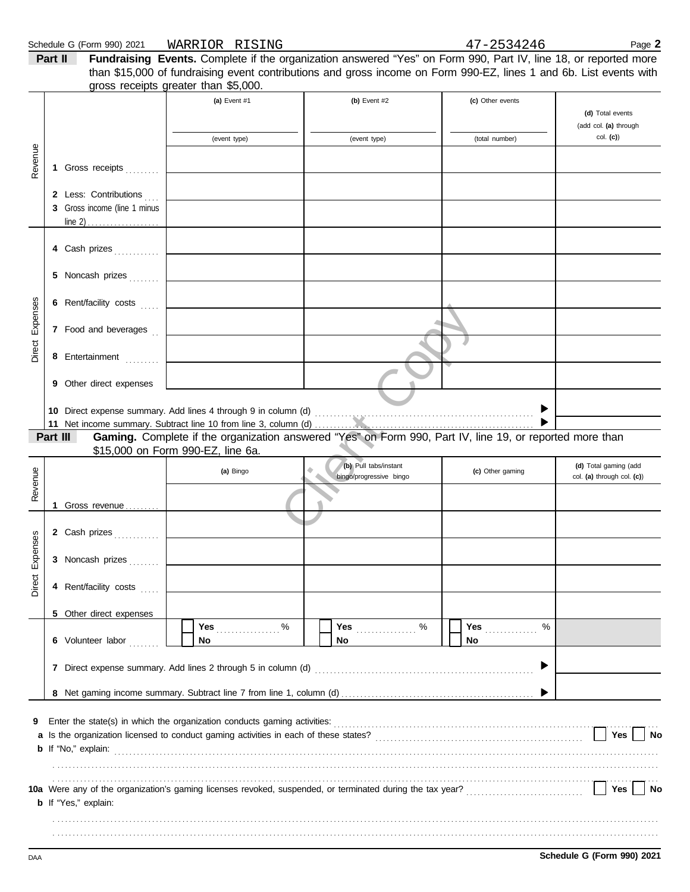|                    |         | Schedule G (Form 990) 2021                | WARRIOR RISING                       |                                                                                                                                                                                                                                       | 47-2534246       | Page 2                                              |
|--------------------|---------|-------------------------------------------|--------------------------------------|---------------------------------------------------------------------------------------------------------------------------------------------------------------------------------------------------------------------------------------|------------------|-----------------------------------------------------|
|                    | Part II |                                           | gross receipts greater than \$5,000. | Fundraising Events. Complete if the organization answered "Yes" on Form 990, Part IV, line 18, or reported more<br>than \$15,000 of fundraising event contributions and gross income on Form 990-EZ, lines 1 and 6b. List events with |                  |                                                     |
|                    |         |                                           | (a) Event #1                         | (b) Event #2                                                                                                                                                                                                                          | (c) Other events | (d) Total events                                    |
| Revenue            |         |                                           | (event type)                         | (event type)                                                                                                                                                                                                                          | (total number)   | (add col. (a) through<br>$col.$ (c))                |
|                    |         | 1 Gross receipts<br>2 Less: Contributions |                                      |                                                                                                                                                                                                                                       |                  |                                                     |
|                    |         | 3 Gross income (line 1 minus              |                                      |                                                                                                                                                                                                                                       |                  |                                                     |
|                    |         | 4 Cash prizes                             |                                      |                                                                                                                                                                                                                                       |                  |                                                     |
|                    |         | 5 Noncash prizes                          |                                      |                                                                                                                                                                                                                                       |                  |                                                     |
| Expenses<br>Direct | 6       | Rent/facility costs                       |                                      |                                                                                                                                                                                                                                       |                  |                                                     |
|                    |         | 7 Food and beverages                      |                                      |                                                                                                                                                                                                                                       |                  |                                                     |
|                    |         | 8 Entertainment                           |                                      |                                                                                                                                                                                                                                       |                  |                                                     |
|                    |         | 9 Other direct expenses                   |                                      |                                                                                                                                                                                                                                       |                  |                                                     |
|                    |         | Part III                                  | \$15,000 on Form 990-EZ, line 6a.    | Gaming. Complete if the organization answered "Yes" on Form 990, Part IV, line 19, or reported more than                                                                                                                              |                  |                                                     |
| Revenue            |         |                                           | (a) Bingo                            | (b) Pull tabs/instant<br>۰<br>bingo/progressive bingo                                                                                                                                                                                 | (c) Other gaming | (d) Total gaming (add<br>col. (a) through col. (c)) |
|                    |         | 1 Gross revenue                           |                                      | $\triangle$                                                                                                                                                                                                                           |                  |                                                     |
|                    |         | 2 Cash prizes                             |                                      |                                                                                                                                                                                                                                       |                  |                                                     |
| Direct Expenses    |         | 3 Noncash prizes                          |                                      |                                                                                                                                                                                                                                       |                  |                                                     |
|                    |         | 4 Rent/facility costs                     |                                      |                                                                                                                                                                                                                                       |                  |                                                     |
|                    |         | 5 Other direct expenses                   | Yes %                                | $\%$<br>Yes <b></b>                                                                                                                                                                                                                   | <b>Yes</b><br>%  |                                                     |
|                    |         | 6 Volunteer labor                         | No                                   | No                                                                                                                                                                                                                                    | No               |                                                     |
|                    |         |                                           |                                      |                                                                                                                                                                                                                                       | ▶                |                                                     |
|                    |         |                                           |                                      |                                                                                                                                                                                                                                       |                  |                                                     |
| 9                  |         |                                           |                                      | Enter the state(s) in which the organization conducts gaming activities:<br>The conditions conducts of the state conducts and the state of the state of the conducts of the conducts of the state of the state of the state of t      |                  | Yes<br>No                                           |
|                    |         | <b>b</b> If "Yes," explain:               |                                      |                                                                                                                                                                                                                                       |                  | Yes  <br><b>No</b>                                  |

. . . . . . . . . . . . . . . . . . . . . . . . . . . . . . . . . . . . . . . . . . . . . . . . . . . . . . . . . . . . . . . . . . . . . . . . . . . . . . . . . . . . . . . . . . . . . . . . . . . . . . . . . . . . . . . . . . . . . . . . . . . . . . . . . . . . . . . . . . . . . . . . . . . . . . . . . . . . . . . . . . . . . . . . . . . . . . . . . . . . . . . . . . . . . . . . . . . . . . . . . . . . . . . . . . . . . . . . . . . . . . . . . . . . . . . . . . . . . . . . . . . . . . . . . . . . . . . . . . . . . . . . . . . . . . . . . . . . . . . . . . . . . . . . . . . . . . . . . . . . . . . . . . . . . . . . . . . . . . . .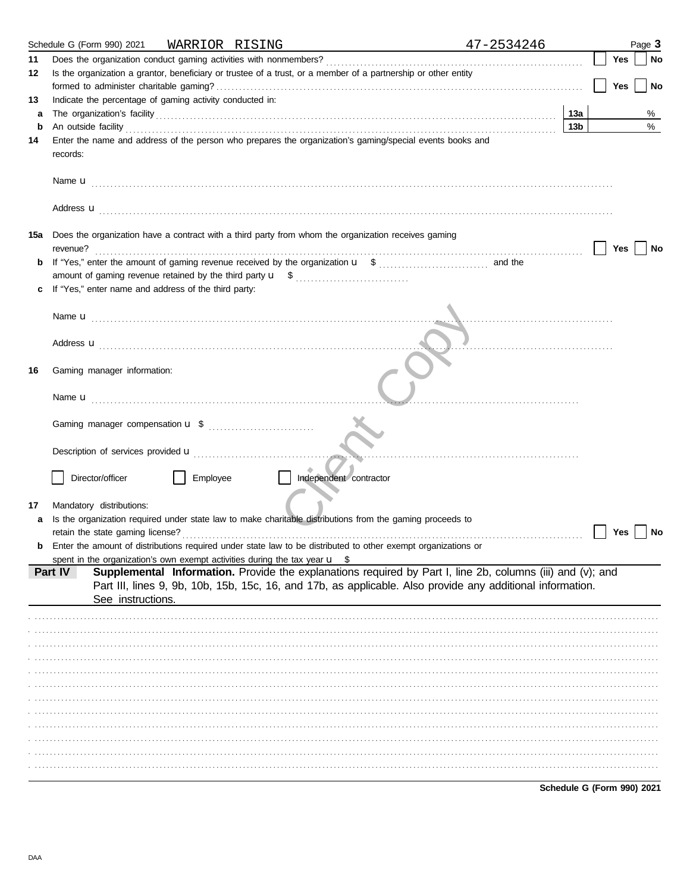|     | 47-2534246                                                                                                                                                                                                                                                                                                                                                                                                                                                                                                                                                                                                                             |                 |  |     | Page 3    |
|-----|----------------------------------------------------------------------------------------------------------------------------------------------------------------------------------------------------------------------------------------------------------------------------------------------------------------------------------------------------------------------------------------------------------------------------------------------------------------------------------------------------------------------------------------------------------------------------------------------------------------------------------------|-----------------|--|-----|-----------|
| 11  |                                                                                                                                                                                                                                                                                                                                                                                                                                                                                                                                                                                                                                        |                 |  | Yes | No        |
| 12  | Is the organization a grantor, beneficiary or trustee of a trust, or a member of a partnership or other entity                                                                                                                                                                                                                                                                                                                                                                                                                                                                                                                         |                 |  |     |           |
|     |                                                                                                                                                                                                                                                                                                                                                                                                                                                                                                                                                                                                                                        |                 |  | Yes | <b>No</b> |
| 13  | Indicate the percentage of gaming activity conducted in:                                                                                                                                                                                                                                                                                                                                                                                                                                                                                                                                                                               |                 |  |     |           |
| a   |                                                                                                                                                                                                                                                                                                                                                                                                                                                                                                                                                                                                                                        | 13a             |  |     | %         |
| b   | An outside facility <b>contained a set of the contract of the contract of the contract of the contract of the contract of the contract of the contract of the contract of the contract of the contract of the contract of the co</b>                                                                                                                                                                                                                                                                                                                                                                                                   | 13 <sub>b</sub> |  |     | $\%$      |
| 14  | records:                                                                                                                                                                                                                                                                                                                                                                                                                                                                                                                                                                                                                               |                 |  |     |           |
|     |                                                                                                                                                                                                                                                                                                                                                                                                                                                                                                                                                                                                                                        |                 |  |     |           |
|     |                                                                                                                                                                                                                                                                                                                                                                                                                                                                                                                                                                                                                                        |                 |  |     |           |
| 15а | Does the organization have a contract with a third party from whom the organization receives gaming<br>revenue?                                                                                                                                                                                                                                                                                                                                                                                                                                                                                                                        |                 |  | Yes | No        |
| b   |                                                                                                                                                                                                                                                                                                                                                                                                                                                                                                                                                                                                                                        |                 |  |     |           |
|     |                                                                                                                                                                                                                                                                                                                                                                                                                                                                                                                                                                                                                                        |                 |  |     |           |
| c   | If "Yes," enter name and address of the third party:                                                                                                                                                                                                                                                                                                                                                                                                                                                                                                                                                                                   |                 |  |     |           |
|     |                                                                                                                                                                                                                                                                                                                                                                                                                                                                                                                                                                                                                                        |                 |  |     |           |
|     |                                                                                                                                                                                                                                                                                                                                                                                                                                                                                                                                                                                                                                        |                 |  |     |           |
|     |                                                                                                                                                                                                                                                                                                                                                                                                                                                                                                                                                                                                                                        |                 |  |     |           |
|     |                                                                                                                                                                                                                                                                                                                                                                                                                                                                                                                                                                                                                                        |                 |  |     |           |
| 16  | Gaming manager information:                                                                                                                                                                                                                                                                                                                                                                                                                                                                                                                                                                                                            |                 |  |     |           |
|     |                                                                                                                                                                                                                                                                                                                                                                                                                                                                                                                                                                                                                                        |                 |  |     |           |
|     |                                                                                                                                                                                                                                                                                                                                                                                                                                                                                                                                                                                                                                        |                 |  |     |           |
|     |                                                                                                                                                                                                                                                                                                                                                                                                                                                                                                                                                                                                                                        |                 |  |     |           |
|     | Director/officer<br>Employee<br>Independent contractor                                                                                                                                                                                                                                                                                                                                                                                                                                                                                                                                                                                 |                 |  |     |           |
|     |                                                                                                                                                                                                                                                                                                                                                                                                                                                                                                                                                                                                                                        |                 |  |     |           |
| 17  | Mandatory distributions:                                                                                                                                                                                                                                                                                                                                                                                                                                                                                                                                                                                                               |                 |  |     |           |
| a   | Is the organization required under state law to make charitable distributions from the gaming proceeds to                                                                                                                                                                                                                                                                                                                                                                                                                                                                                                                              |                 |  |     |           |
|     |                                                                                                                                                                                                                                                                                                                                                                                                                                                                                                                                                                                                                                        |                 |  | Yes | No        |
|     |                                                                                                                                                                                                                                                                                                                                                                                                                                                                                                                                                                                                                                        |                 |  |     |           |
|     |                                                                                                                                                                                                                                                                                                                                                                                                                                                                                                                                                                                                                                        |                 |  |     |           |
|     |                                                                                                                                                                                                                                                                                                                                                                                                                                                                                                                                                                                                                                        |                 |  |     |           |
|     | Enter the name and address of the person who prepares the organization's gaming/special events books and<br>Address <b>u</b><br>retain the state gaming license?<br>Enter the amount of distributions required under state law to be distributed to other exempt organizations or<br>spent in the organization's own exempt activities during the tax year $\mathbf{u}$ \$<br>Supplemental Information. Provide the explanations required by Part I, line 2b, columns (iii) and (v); and<br>Part IV<br>Part III, lines 9, 9b, 10b, 15b, 15c, 16, and 17b, as applicable. Also provide any additional information.<br>See instructions. |                 |  |     |           |
|     |                                                                                                                                                                                                                                                                                                                                                                                                                                                                                                                                                                                                                                        |                 |  |     |           |
|     |                                                                                                                                                                                                                                                                                                                                                                                                                                                                                                                                                                                                                                        |                 |  |     |           |
|     |                                                                                                                                                                                                                                                                                                                                                                                                                                                                                                                                                                                                                                        |                 |  |     |           |
|     |                                                                                                                                                                                                                                                                                                                                                                                                                                                                                                                                                                                                                                        |                 |  |     |           |
|     |                                                                                                                                                                                                                                                                                                                                                                                                                                                                                                                                                                                                                                        |                 |  |     |           |
|     |                                                                                                                                                                                                                                                                                                                                                                                                                                                                                                                                                                                                                                        |                 |  |     |           |
|     |                                                                                                                                                                                                                                                                                                                                                                                                                                                                                                                                                                                                                                        |                 |  |     |           |
|     |                                                                                                                                                                                                                                                                                                                                                                                                                                                                                                                                                                                                                                        |                 |  |     |           |
|     |                                                                                                                                                                                                                                                                                                                                                                                                                                                                                                                                                                                                                                        |                 |  |     |           |
|     |                                                                                                                                                                                                                                                                                                                                                                                                                                                                                                                                                                                                                                        |                 |  |     |           |
|     |                                                                                                                                                                                                                                                                                                                                                                                                                                                                                                                                                                                                                                        |                 |  |     |           |
|     |                                                                                                                                                                                                                                                                                                                                                                                                                                                                                                                                                                                                                                        |                 |  |     |           |
|     |                                                                                                                                                                                                                                                                                                                                                                                                                                                                                                                                                                                                                                        |                 |  |     |           |

Schedule G (Form 990) 2021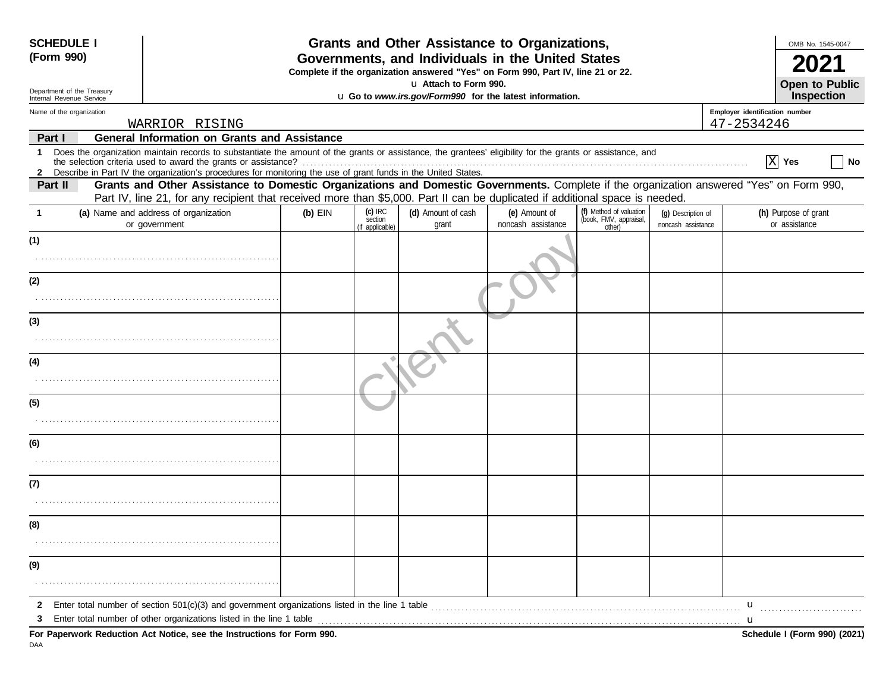| <b>SCHEDULE I</b>                                                                                                                                                                                                                                                                             |                                                                                                                                                                                                                                                                           |                      |                             | Grants and Other Assistance to Organizations,                                                                                         |                                                             |                                          |                                | OMB No. 1545-0047                     |
|-----------------------------------------------------------------------------------------------------------------------------------------------------------------------------------------------------------------------------------------------------------------------------------------------|---------------------------------------------------------------------------------------------------------------------------------------------------------------------------------------------------------------------------------------------------------------------------|----------------------|-----------------------------|---------------------------------------------------------------------------------------------------------------------------------------|-------------------------------------------------------------|------------------------------------------|--------------------------------|---------------------------------------|
| (Form 990)                                                                                                                                                                                                                                                                                    |                                                                                                                                                                                                                                                                           |                      |                             | Governments, and Individuals in the United States<br>Complete if the organization answered "Yes" on Form 990, Part IV, line 21 or 22. |                                                             |                                          |                                |                                       |
| Department of the Treasury<br>Internal Revenue Service                                                                                                                                                                                                                                        |                                                                                                                                                                                                                                                                           |                      | La Attach to Form 990.      | u Go to www.irs.gov/Form990 for the latest information.                                                                               |                                                             |                                          |                                | <b>Open to Public</b><br>Inspection   |
| Name of the organization                                                                                                                                                                                                                                                                      |                                                                                                                                                                                                                                                                           |                      |                             |                                                                                                                                       |                                                             |                                          | Employer identification number |                                       |
| WARRIOR RISING                                                                                                                                                                                                                                                                                |                                                                                                                                                                                                                                                                           |                      |                             |                                                                                                                                       |                                                             |                                          | 47-2534246                     |                                       |
| Part I                                                                                                                                                                                                                                                                                        | <b>General Information on Grants and Assistance</b>                                                                                                                                                                                                                       |                      |                             |                                                                                                                                       |                                                             |                                          |                                |                                       |
| Does the organization maintain records to substantiate the amount of the grants or assistance, the grantees' eligibility for the grants or assistance, and<br>$\mathbf{1}$<br>2 Describe in Part IV the organization's procedures for monitoring the use of grant funds in the United States. |                                                                                                                                                                                                                                                                           |                      |                             |                                                                                                                                       |                                                             |                                          |                                | X Yes<br>  No                         |
| Part II                                                                                                                                                                                                                                                                                       | Grants and Other Assistance to Domestic Organizations and Domestic Governments. Complete if the organization answered "Yes" on Form 990,<br>Part IV, line 21, for any recipient that received more than \$5,000. Part II can be duplicated if additional space is needed. |                      |                             |                                                                                                                                       |                                                             |                                          |                                |                                       |
| (a) Name and address of organization<br>-1<br>or government                                                                                                                                                                                                                                   | $(b)$ EIN                                                                                                                                                                                                                                                                 | $(c)$ IRC<br>section | (d) Amount of cash<br>grant | (e) Amount of<br>noncash assistance                                                                                                   | (f) Method of valuation<br>(book, FMV, appraisal,<br>other) | (q) Description of<br>noncash assistance |                                | (h) Purpose of grant<br>or assistance |
| (1)                                                                                                                                                                                                                                                                                           |                                                                                                                                                                                                                                                                           | (if applicable)      |                             |                                                                                                                                       |                                                             |                                          |                                |                                       |
|                                                                                                                                                                                                                                                                                               |                                                                                                                                                                                                                                                                           |                      |                             |                                                                                                                                       |                                                             |                                          |                                |                                       |
| (2)                                                                                                                                                                                                                                                                                           |                                                                                                                                                                                                                                                                           |                      |                             |                                                                                                                                       |                                                             |                                          |                                |                                       |
|                                                                                                                                                                                                                                                                                               |                                                                                                                                                                                                                                                                           |                      |                             |                                                                                                                                       |                                                             |                                          |                                |                                       |
| (3)                                                                                                                                                                                                                                                                                           |                                                                                                                                                                                                                                                                           |                      |                             |                                                                                                                                       |                                                             |                                          |                                |                                       |
|                                                                                                                                                                                                                                                                                               |                                                                                                                                                                                                                                                                           |                      |                             |                                                                                                                                       |                                                             |                                          |                                |                                       |
| (4)                                                                                                                                                                                                                                                                                           |                                                                                                                                                                                                                                                                           |                      |                             |                                                                                                                                       |                                                             |                                          |                                |                                       |
|                                                                                                                                                                                                                                                                                               |                                                                                                                                                                                                                                                                           |                      |                             |                                                                                                                                       |                                                             |                                          |                                |                                       |
| (5)                                                                                                                                                                                                                                                                                           |                                                                                                                                                                                                                                                                           |                      |                             |                                                                                                                                       |                                                             |                                          |                                |                                       |
|                                                                                                                                                                                                                                                                                               |                                                                                                                                                                                                                                                                           |                      |                             |                                                                                                                                       |                                                             |                                          |                                |                                       |
| (6)                                                                                                                                                                                                                                                                                           |                                                                                                                                                                                                                                                                           |                      |                             |                                                                                                                                       |                                                             |                                          |                                |                                       |
|                                                                                                                                                                                                                                                                                               |                                                                                                                                                                                                                                                                           |                      |                             |                                                                                                                                       |                                                             |                                          |                                |                                       |
| (7)                                                                                                                                                                                                                                                                                           |                                                                                                                                                                                                                                                                           |                      |                             |                                                                                                                                       |                                                             |                                          |                                |                                       |
|                                                                                                                                                                                                                                                                                               |                                                                                                                                                                                                                                                                           |                      |                             |                                                                                                                                       |                                                             |                                          |                                |                                       |
| (8)                                                                                                                                                                                                                                                                                           |                                                                                                                                                                                                                                                                           |                      |                             |                                                                                                                                       |                                                             |                                          |                                |                                       |
|                                                                                                                                                                                                                                                                                               |                                                                                                                                                                                                                                                                           |                      |                             |                                                                                                                                       |                                                             |                                          |                                |                                       |
| (9)                                                                                                                                                                                                                                                                                           |                                                                                                                                                                                                                                                                           |                      |                             |                                                                                                                                       |                                                             |                                          |                                |                                       |
|                                                                                                                                                                                                                                                                                               |                                                                                                                                                                                                                                                                           |                      |                             |                                                                                                                                       |                                                             |                                          |                                |                                       |
| $\mathbf{2}$                                                                                                                                                                                                                                                                                  |                                                                                                                                                                                                                                                                           |                      |                             |                                                                                                                                       |                                                             |                                          | $\mathbf{u}$                   |                                       |
| Enter total number of other organizations listed in the line 1 table<br>З                                                                                                                                                                                                                     |                                                                                                                                                                                                                                                                           |                      |                             |                                                                                                                                       |                                                             |                                          | u                              |                                       |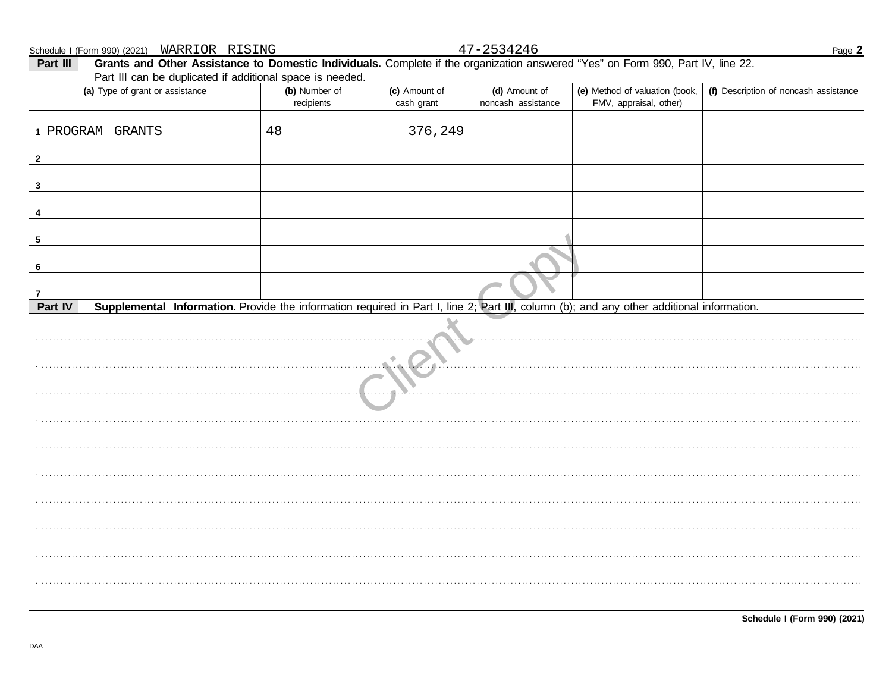$n \pm \sim n$  $\underline{\mathsf{S}}$ 

 $2521216$  $\sqrt{2}$ 

| Schedule I (Form 990) (2021)  WARRIOR RISING                                                                                                                           |                             |                             | $47 - 2534240$                      |                                                          | Page 2                                |
|------------------------------------------------------------------------------------------------------------------------------------------------------------------------|-----------------------------|-----------------------------|-------------------------------------|----------------------------------------------------------|---------------------------------------|
| Grants and Other Assistance to Domestic Individuals. Complete if the organization answered "Yes" on Form 990, Part IV, line 22.<br>Part III                            |                             |                             |                                     |                                                          |                                       |
| Part III can be duplicated if additional space is needed.                                                                                                              |                             |                             |                                     |                                                          |                                       |
| (a) Type of grant or assistance                                                                                                                                        | (b) Number of<br>recipients | (c) Amount of<br>cash grant | (d) Amount of<br>noncash assistance | (e) Method of valuation (book,<br>FMV, appraisal, other) | (f) Description of noncash assistance |
|                                                                                                                                                                        |                             |                             |                                     |                                                          |                                       |
| 1 PROGRAM GRANTS                                                                                                                                                       | 48                          | 376,249                     |                                     |                                                          |                                       |
| $\mathbf{2}$                                                                                                                                                           |                             |                             |                                     |                                                          |                                       |
| 3                                                                                                                                                                      |                             |                             |                                     |                                                          |                                       |
|                                                                                                                                                                        |                             |                             |                                     |                                                          |                                       |
| 4                                                                                                                                                                      |                             |                             |                                     |                                                          |                                       |
| $\overline{\mathbf{5}}$                                                                                                                                                |                             |                             |                                     |                                                          |                                       |
| 6                                                                                                                                                                      |                             |                             |                                     |                                                          |                                       |
|                                                                                                                                                                        |                             |                             |                                     |                                                          |                                       |
| $\overline{7}$<br>Part IV<br>Supplemental Information. Provide the information required in Part I, line 2; Part III, column (b); and any other additional information. |                             |                             |                                     |                                                          |                                       |
|                                                                                                                                                                        |                             |                             |                                     |                                                          |                                       |
|                                                                                                                                                                        |                             |                             |                                     |                                                          |                                       |
|                                                                                                                                                                        |                             |                             |                                     |                                                          |                                       |
|                                                                                                                                                                        |                             |                             |                                     |                                                          |                                       |
|                                                                                                                                                                        |                             |                             |                                     |                                                          |                                       |
|                                                                                                                                                                        |                             |                             |                                     |                                                          |                                       |
|                                                                                                                                                                        |                             |                             |                                     |                                                          |                                       |
|                                                                                                                                                                        |                             |                             |                                     |                                                          |                                       |
|                                                                                                                                                                        |                             |                             |                                     |                                                          |                                       |
|                                                                                                                                                                        |                             |                             |                                     |                                                          |                                       |
|                                                                                                                                                                        |                             |                             |                                     |                                                          |                                       |
|                                                                                                                                                                        |                             |                             |                                     |                                                          |                                       |
|                                                                                                                                                                        |                             |                             |                                     |                                                          |                                       |
|                                                                                                                                                                        |                             |                             |                                     |                                                          |                                       |
|                                                                                                                                                                        |                             |                             |                                     |                                                          |                                       |
|                                                                                                                                                                        |                             |                             |                                     |                                                          |                                       |
|                                                                                                                                                                        |                             |                             |                                     |                                                          |                                       |
|                                                                                                                                                                        |                             |                             |                                     |                                                          |                                       |
|                                                                                                                                                                        |                             |                             |                                     |                                                          |                                       |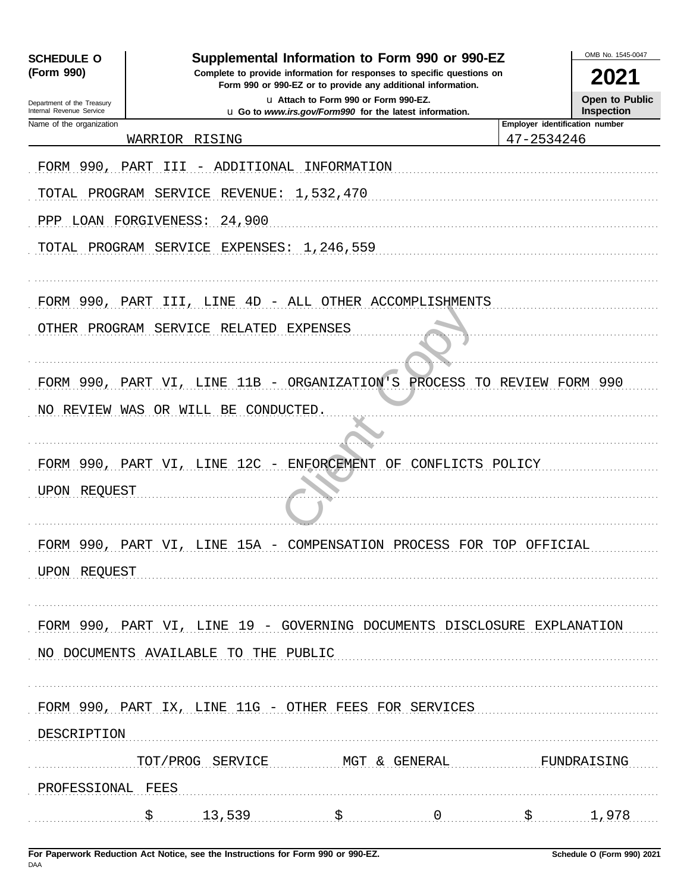| <b>SCHEDULE O</b>                                      | Supplemental Information to Form 990 or 990-EZ                          |                                                                                                 |                  |                                | OMB No. 1545-0047                          |
|--------------------------------------------------------|-------------------------------------------------------------------------|-------------------------------------------------------------------------------------------------|------------------|--------------------------------|--------------------------------------------|
| (Form 990)                                             | Complete to provide information for responses to specific questions on  | Form 990 or 990-EZ or to provide any additional information.                                    |                  |                                | 2021                                       |
| Department of the Treasury<br>Internal Revenue Service |                                                                         | u Attach to Form 990 or Form 990-EZ.<br>u Go to www.irs.gov/Form990 for the latest information. |                  |                                | <b>Open to Public</b><br><b>Inspection</b> |
| Name of the organization                               |                                                                         |                                                                                                 |                  | Employer identification number |                                            |
|                                                        | WARRIOR RISING                                                          |                                                                                                 |                  | 47-2534246                     |                                            |
| FORM 990, PART                                         | ADDITIONAL<br>III.                                                      | INFORMATION                                                                                     |                  |                                |                                            |
| TOTAL                                                  | PROGRAM SERVICE<br>REVENUE :                                            | 1,532,470                                                                                       |                  |                                |                                            |
| PPP LOAN FORGIVENESS:                                  | 24,900                                                                  |                                                                                                 |                  |                                |                                            |
|                                                        | TOTAL PROGRAM SERVICE EXPENSES: 1,246,559                               |                                                                                                 |                  |                                |                                            |
|                                                        | FORM 990, PART III, LINE 4D - ALL OTHER ACCOMPLISHMENTS                 |                                                                                                 |                  |                                |                                            |
|                                                        | OTHER PROGRAM SERVICE RELATED                                           | EXPENSES                                                                                        |                  |                                |                                            |
|                                                        | FORM 990, PART VI, LINE 11B - ORGANIZATION'S PROCESS                    |                                                                                                 |                  | TO REVIEW FORM 990             |                                            |
|                                                        | NO REVIEW WAS OR WILL BE CONDUCTED.                                     |                                                                                                 |                  |                                |                                            |
|                                                        |                                                                         |                                                                                                 |                  |                                |                                            |
|                                                        | FORM 990, PART VI, LINE 12C                                             | - ENFORCEMENT OF                                                                                | CONFLICTS POLICY |                                |                                            |
| UPON REQUEST                                           |                                                                         |                                                                                                 |                  |                                |                                            |
|                                                        |                                                                         |                                                                                                 |                  |                                |                                            |
|                                                        | FORM 990, PART VI, LINE 15A - COMPENSATION PROCESS FOR TOP OFFICIAL     |                                                                                                 |                  |                                |                                            |
| UPON REQUEST                                           |                                                                         |                                                                                                 |                  |                                |                                            |
|                                                        |                                                                         |                                                                                                 |                  |                                |                                            |
|                                                        | FORM 990, PART VI, LINE 19 - GOVERNING DOCUMENTS DISCLOSURE EXPLANATION |                                                                                                 |                  |                                |                                            |
|                                                        | NO DOCUMENTS AVAILABLE TO THE PUBLIC                                    |                                                                                                 |                  |                                |                                            |
|                                                        |                                                                         |                                                                                                 |                  |                                |                                            |
|                                                        | FORM 990, PART IX, LINE 11G - OTHER FEES FOR SERVICES                   |                                                                                                 |                  |                                |                                            |
| DESCRIPTION                                            |                                                                         |                                                                                                 |                  |                                |                                            |
|                                                        | TOT/PROG SERVICE MGT & GENERAL                                          |                                                                                                 |                  | FUNDRAISING                    |                                            |
| PROFESSIONAL FEES                                      |                                                                         |                                                                                                 |                  |                                |                                            |
|                                                        |                                                                         |                                                                                                 |                  |                                |                                            |
|                                                        | $\frac{13,539}{1,978}$ \$                                               |                                                                                                 |                  |                                |                                            |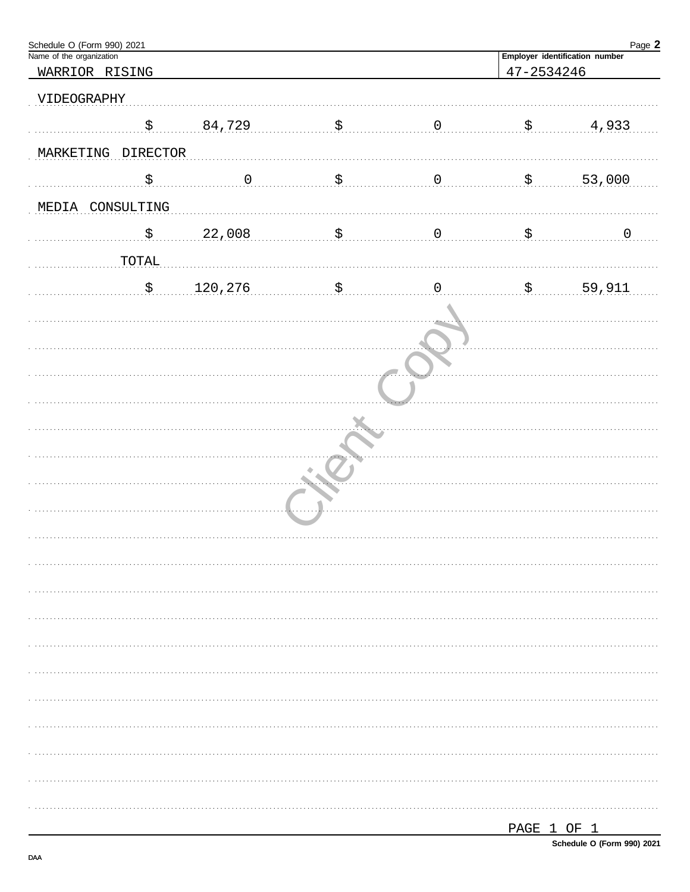| Schedule O (Form 990) 2021<br>Name of the organization |          |                           |                  |                           | Page 2                         |
|--------------------------------------------------------|----------|---------------------------|------------------|---------------------------|--------------------------------|
|                                                        |          |                           |                  |                           | Employer identification number |
| WARRIOR RISING                                         |          |                           |                  | 47-2534246                |                                |
| VIDEOGRAPHY                                            |          |                           |                  |                           |                                |
| $\boldsymbol{\mathsf{S}}$                              | 84,729   | $\ldots$ \$ $\ldots$      | $\overline{0}$ . | $\ddot{S}$ .              | 4,933                          |
| MARKETING DIRECTOR                                     |          |                           |                  |                           |                                |
| \$                                                     | $\,0\,$  | $\boldsymbol{\mathsf{S}}$ | $\overline{0}$   | $\mathbf{\dot{S}}$        | 53,000                         |
| MEDIA CONSULTING                                       |          |                           |                  |                           |                                |
| $\boldsymbol{\mathsf{S}}$                              |          | \$                        | $\overline{0}$   | \$                        | $\overline{0}$                 |
|                                                        | 22,008   |                           |                  |                           |                                |
| TOTAL                                                  |          |                           |                  |                           |                                |
| $\boldsymbol{\mathsf{S}}$                              | 120, 276 | \$                        | $\overline{0}$   | $\boldsymbol{\mathsf{S}}$ | 59,911                         |
|                                                        |          |                           |                  |                           |                                |
|                                                        |          |                           |                  |                           |                                |
|                                                        |          |                           |                  |                           |                                |
|                                                        |          |                           |                  |                           |                                |
|                                                        |          |                           |                  |                           |                                |
|                                                        |          |                           |                  |                           |                                |
|                                                        |          | ۰                         |                  |                           |                                |
|                                                        |          |                           |                  |                           |                                |
|                                                        |          |                           |                  |                           |                                |
|                                                        |          |                           |                  |                           |                                |
|                                                        |          |                           |                  |                           |                                |
|                                                        |          |                           |                  |                           |                                |
|                                                        |          |                           |                  |                           |                                |
|                                                        |          |                           |                  |                           |                                |
|                                                        |          |                           |                  |                           |                                |
|                                                        |          |                           |                  |                           |                                |
|                                                        |          |                           |                  |                           |                                |
|                                                        |          |                           |                  |                           |                                |
|                                                        |          |                           |                  |                           |                                |
|                                                        |          |                           |                  |                           |                                |
|                                                        |          |                           |                  |                           |                                |
|                                                        |          |                           |                  | PAGE 1 OF 1               |                                |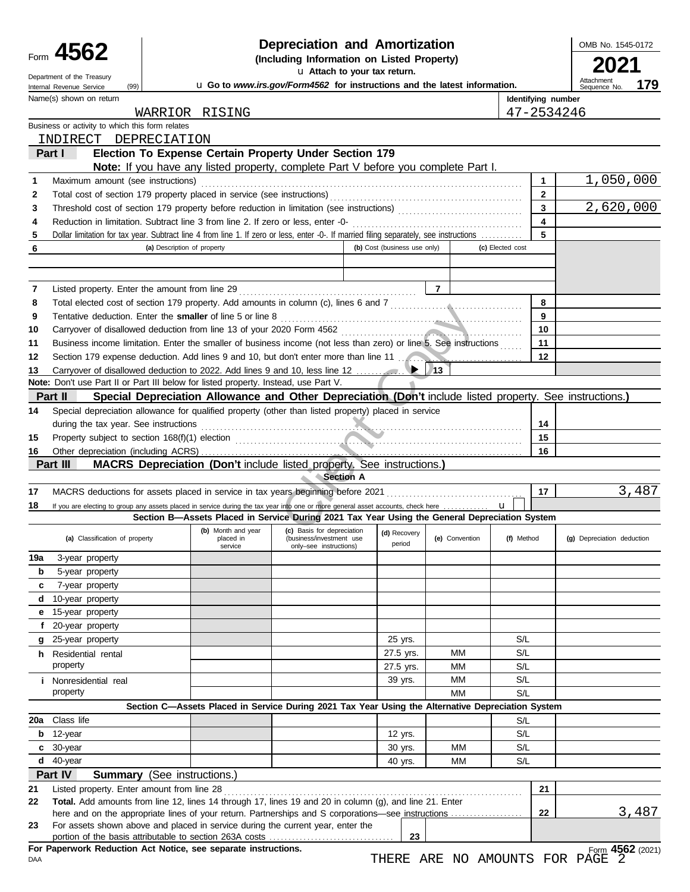|        | Form 4562<br>Department of the Treasury                                                                                                       |                             |                                                                                                   | Depreciation and Amortization<br>(Including Information on Listed Property)                                                                                                                                                          | u Attach to your tax return. |                |                    | OMB No. 1545-0172                                                                                        |
|--------|-----------------------------------------------------------------------------------------------------------------------------------------------|-----------------------------|---------------------------------------------------------------------------------------------------|--------------------------------------------------------------------------------------------------------------------------------------------------------------------------------------------------------------------------------------|------------------------------|----------------|--------------------|----------------------------------------------------------------------------------------------------------|
|        | (99)<br>Internal Revenue Service                                                                                                              |                             |                                                                                                   | u Go to www.irs.gov/Form4562 for instructions and the latest information.                                                                                                                                                            |                              |                |                    | Attachment<br>179<br>Sequence No.                                                                        |
|        | Name(s) shown on return                                                                                                                       |                             |                                                                                                   |                                                                                                                                                                                                                                      |                              |                | Identifying number |                                                                                                          |
|        |                                                                                                                                               |                             | WARRIOR RISING                                                                                    |                                                                                                                                                                                                                                      |                              |                |                    | 47-2534246                                                                                               |
|        | Business or activity to which this form relates                                                                                               |                             |                                                                                                   |                                                                                                                                                                                                                                      |                              |                |                    |                                                                                                          |
|        | INDIRECT DEPRECIATION                                                                                                                         |                             |                                                                                                   |                                                                                                                                                                                                                                      |                              |                |                    |                                                                                                          |
|        | Part I                                                                                                                                        |                             | Election To Expense Certain Property Under Section 179                                            |                                                                                                                                                                                                                                      |                              |                |                    |                                                                                                          |
|        |                                                                                                                                               |                             | Note: If you have any listed property, complete Part V before you complete Part I.                |                                                                                                                                                                                                                                      |                              |                |                    |                                                                                                          |
| 1      | Maximum amount (see instructions)                                                                                                             |                             |                                                                                                   |                                                                                                                                                                                                                                      |                              |                | 1                  | 1,050,000<br>$\mathbf{2}$                                                                                |
| 2<br>3 |                                                                                                                                               |                             |                                                                                                   |                                                                                                                                                                                                                                      |                              |                |                    | 2,620,000<br>3                                                                                           |
| 4      | Reduction in limitation. Subtract line 3 from line 2. If zero or less, enter -0-                                                              |                             |                                                                                                   |                                                                                                                                                                                                                                      |                              |                |                    | 4                                                                                                        |
| 5      | Dollar limitation for tax year. Subtract line 4 from line 1. If zero or less, enter -0-. If married filing separately, see instructions       |                             |                                                                                                   |                                                                                                                                                                                                                                      |                              |                |                    | 5                                                                                                        |
| 6      |                                                                                                                                               | (a) Description of property |                                                                                                   |                                                                                                                                                                                                                                      | (b) Cost (business use only) |                | (c) Elected cost   |                                                                                                          |
|        |                                                                                                                                               |                             |                                                                                                   |                                                                                                                                                                                                                                      |                              |                |                    |                                                                                                          |
|        |                                                                                                                                               |                             |                                                                                                   |                                                                                                                                                                                                                                      |                              |                |                    |                                                                                                          |
| 7      | Listed property. Enter the amount from line 29                                                                                                |                             |                                                                                                   |                                                                                                                                                                                                                                      |                              | $\overline{7}$ |                    |                                                                                                          |
| 8      | Total elected cost of section 179 property. Add amounts in column (c), lines 6 and 7 [[[[[[[[[[[[[[[[[[[[[[[[[                                |                             |                                                                                                   |                                                                                                                                                                                                                                      |                              |                |                    | 8                                                                                                        |
| 9      | Tentative deduction. Enter the smaller of line 5 or line 8                                                                                    |                             |                                                                                                   |                                                                                                                                                                                                                                      |                              |                |                    | 9                                                                                                        |
| 10     |                                                                                                                                               |                             |                                                                                                   |                                                                                                                                                                                                                                      |                              |                | 10                 |                                                                                                          |
| 11     | Business income limitation. Enter the smaller of business income (not less than zero) or line 5. See instructions                             |                             |                                                                                                   |                                                                                                                                                                                                                                      |                              |                | 11                 |                                                                                                          |
| 12     | Section 179 expense deduction. Add lines 9 and 10, but don't enter more than line 11                                                          |                             |                                                                                                   |                                                                                                                                                                                                                                      |                              |                |                    | 12                                                                                                       |
| 13     |                                                                                                                                               |                             |                                                                                                   |                                                                                                                                                                                                                                      |                              | $\sqrt{13}$    |                    |                                                                                                          |
|        | Note: Don't use Part II or Part III below for listed property. Instead, use Part V.                                                           |                             |                                                                                                   |                                                                                                                                                                                                                                      |                              |                |                    |                                                                                                          |
|        | Part II                                                                                                                                       |                             |                                                                                                   |                                                                                                                                                                                                                                      |                              |                |                    | Special Depreciation Allowance and Other Depreciation (Don't include listed property. See instructions.) |
| 14     | Special depreciation allowance for qualified property (other than listed property) placed in service<br>during the tax year. See instructions |                             |                                                                                                   |                                                                                                                                                                                                                                      |                              |                |                    |                                                                                                          |
| 15     | Property subject to section 168(f)(1) election                                                                                                |                             |                                                                                                   |                                                                                                                                                                                                                                      |                              |                | 15                 | 14                                                                                                       |
| 16     |                                                                                                                                               |                             |                                                                                                   | <u> Expansion and the community of the community of the community of the community of the community of the community of the community of the community of the community of the community of the community of the community of th</u> |                              |                | 16                 |                                                                                                          |
|        | Part III                                                                                                                                      |                             | MACRS Depreciation (Don't include listed property. See instructions.)                             |                                                                                                                                                                                                                                      |                              |                |                    |                                                                                                          |
|        |                                                                                                                                               |                             |                                                                                                   | <b>Section A</b>                                                                                                                                                                                                                     |                              |                |                    |                                                                                                          |
| 17     |                                                                                                                                               |                             |                                                                                                   |                                                                                                                                                                                                                                      |                              |                |                    | 3,487<br>17                                                                                              |
| 18     | If you are electing to group any assets placed in service during the tax year into one or more general asset accounts, check here             |                             |                                                                                                   |                                                                                                                                                                                                                                      |                              |                | $\mathbf{u}$       |                                                                                                          |
|        |                                                                                                                                               |                             | Section B-Assets Placed in Service During 2021 Tax Year Using the General Depreciation System     |                                                                                                                                                                                                                                      |                              |                |                    |                                                                                                          |
|        | (a) Classification of property                                                                                                                |                             | (b) Month and year<br>placed in<br>service                                                        | (c) Basis for depreciation<br>(business/investment use<br>only-see instructions)                                                                                                                                                     | (d) Recovery<br>period       | (e) Convention | (f) Method         | (g) Depreciation deduction                                                                               |
| 19a    | 3-year property                                                                                                                               |                             |                                                                                                   |                                                                                                                                                                                                                                      |                              |                |                    |                                                                                                          |
| b      | 5-year property                                                                                                                               |                             |                                                                                                   |                                                                                                                                                                                                                                      |                              |                |                    |                                                                                                          |
| c      | 7-year property                                                                                                                               |                             |                                                                                                   |                                                                                                                                                                                                                                      |                              |                |                    |                                                                                                          |
| d      | 10-year property                                                                                                                              |                             |                                                                                                   |                                                                                                                                                                                                                                      |                              |                |                    |                                                                                                          |
| е      | 15-year property                                                                                                                              |                             |                                                                                                   |                                                                                                                                                                                                                                      |                              |                |                    |                                                                                                          |
| f      | 20-year property                                                                                                                              |                             |                                                                                                   |                                                                                                                                                                                                                                      |                              |                |                    |                                                                                                          |
| g      | 25-year property                                                                                                                              |                             |                                                                                                   |                                                                                                                                                                                                                                      | 25 yrs.                      |                | S/L                |                                                                                                          |
|        | <b>h</b> Residential rental                                                                                                                   |                             |                                                                                                   |                                                                                                                                                                                                                                      | 27.5 yrs.                    | MМ             | S/L                |                                                                                                          |
|        | property                                                                                                                                      |                             |                                                                                                   |                                                                                                                                                                                                                                      | 27.5 yrs.                    | МM             | S/L                |                                                                                                          |
|        | <i>i</i> Nonresidential real                                                                                                                  |                             |                                                                                                   |                                                                                                                                                                                                                                      | 39 yrs.                      | MМ             | S/L                |                                                                                                          |
|        | property                                                                                                                                      |                             |                                                                                                   |                                                                                                                                                                                                                                      |                              | MM             | S/L                |                                                                                                          |
| 20a    | Class life                                                                                                                                    |                             | Section C-Assets Placed in Service During 2021 Tax Year Using the Alternative Depreciation System |                                                                                                                                                                                                                                      |                              |                |                    |                                                                                                          |
| b      | 12-year                                                                                                                                       |                             |                                                                                                   |                                                                                                                                                                                                                                      |                              |                | S/L<br>S/L         |                                                                                                          |
|        | c 30-year                                                                                                                                     |                             |                                                                                                   |                                                                                                                                                                                                                                      | 12 yrs.<br>30 yrs.           | MМ             | S/L                |                                                                                                          |
| d      | 40-year                                                                                                                                       |                             |                                                                                                   |                                                                                                                                                                                                                                      | 40 yrs.                      | МM             | S/L                |                                                                                                          |
|        | Part IV<br><b>Summary</b> (See instructions.)                                                                                                 |                             |                                                                                                   |                                                                                                                                                                                                                                      |                              |                |                    |                                                                                                          |
| 21     | Listed property. Enter amount from line 28                                                                                                    |                             |                                                                                                   |                                                                                                                                                                                                                                      |                              |                |                    | 21                                                                                                       |
| 22     | Total. Add amounts from line 12, lines 14 through 17, lines 19 and 20 in column (g), and line 21. Enter                                       |                             |                                                                                                   |                                                                                                                                                                                                                                      |                              |                |                    |                                                                                                          |
|        |                                                                                                                                               |                             |                                                                                                   |                                                                                                                                                                                                                                      |                              |                |                    | 3,487<br>22                                                                                              |
| 23     | For assets shown above and placed in service during the current year, enter the                                                               |                             |                                                                                                   |                                                                                                                                                                                                                                      |                              |                |                    |                                                                                                          |
|        |                                                                                                                                               |                             |                                                                                                   |                                                                                                                                                                                                                                      | 23                           |                |                    |                                                                                                          |
|        | For Paperwork Reduction Act Notice, see separate instructions.                                                                                |                             |                                                                                                   |                                                                                                                                                                                                                                      |                              |                |                    | Form 4562 (2021)                                                                                         |